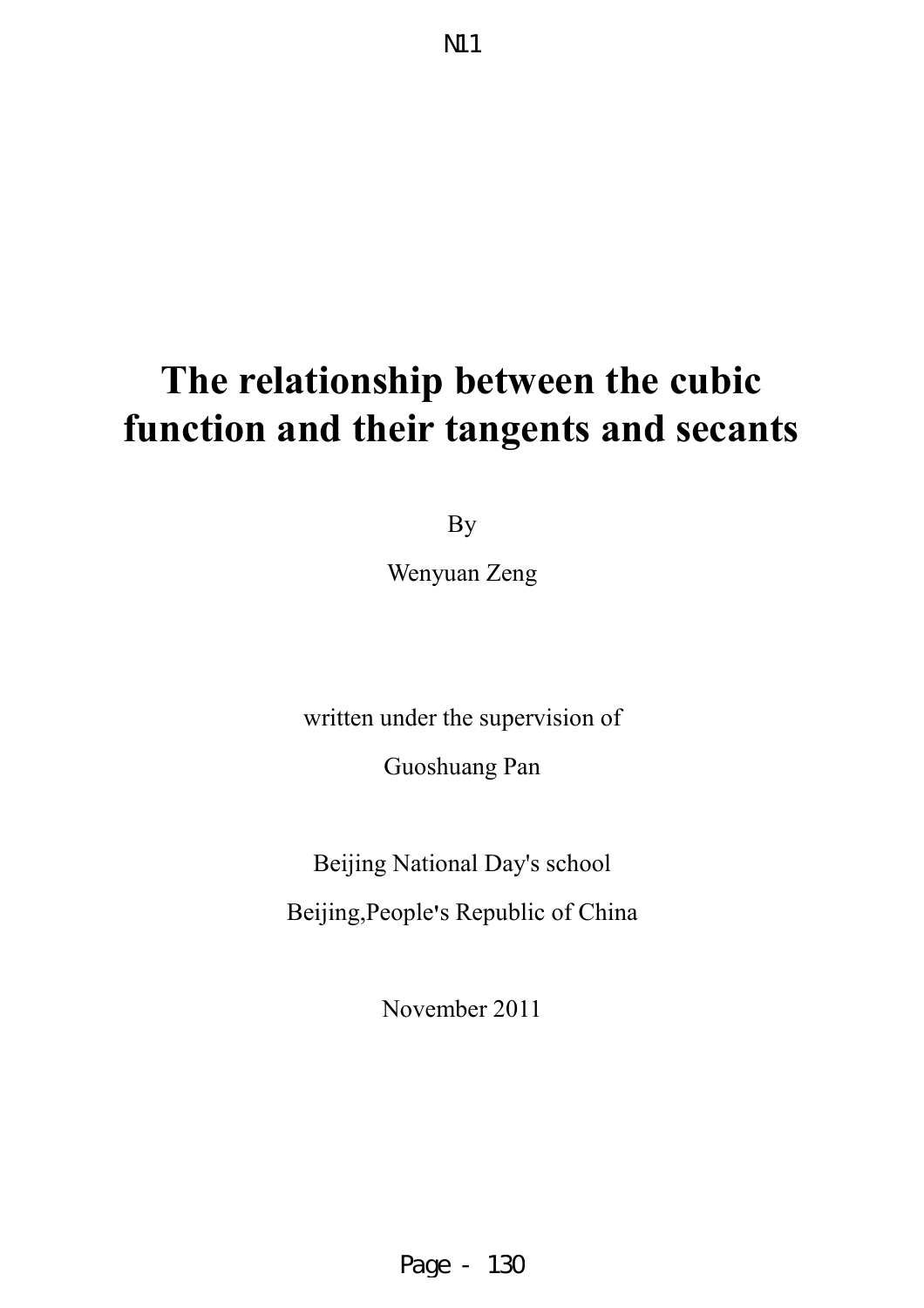# **The relationship between the cubic function and their tangents and secants**

By

Wenyuan Zeng

written under the supervision of Guoshuang Pan

Beijing National Day's school

Beijing,People**'**s Republic of China

November 2011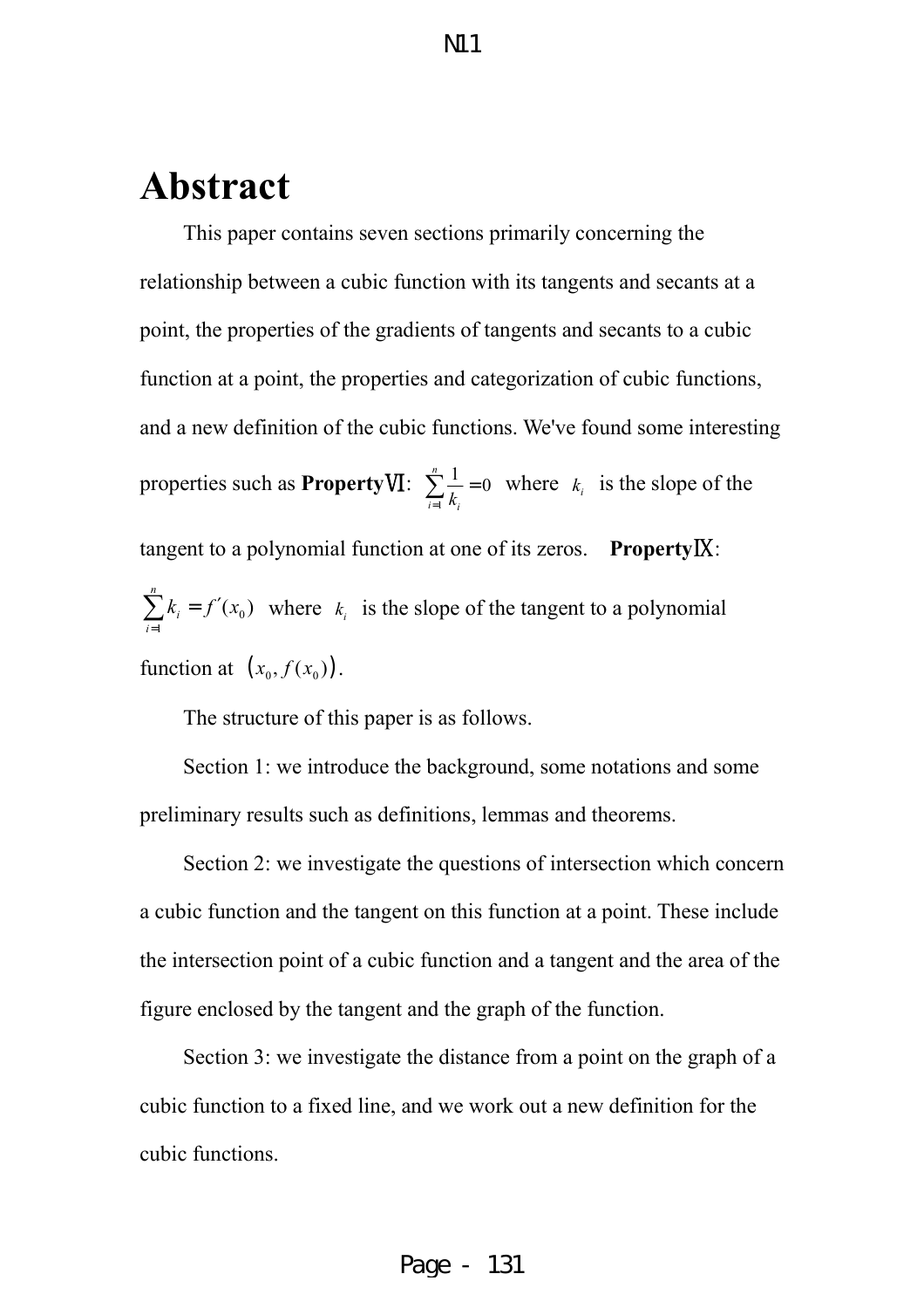# **Abstract**

This paper contains seven sections primarily concerning the relationship between a cubic function with its tangents and secants at a point, the properties of the gradients of tangents and secants to a cubic function at a point, the properties and categorization of cubic functions, and a new definition of the cubic functions. We've found some interesting properties such as **Property**Ⅵ: 1  $\frac{1}{1} = 0$ *n*  $\sum_{i=1}^{\infty} k_i$  $\sum_{k=1}^{n}$  = 0 where  $k_i$  is the slope of the tangent to a polynomial function at one of its zeros. **Property**Ⅸ: 0 1  $(x_{0})^{-}$ *n i i*  $k_i = f'(x_0)$ =  $\sum_{i=1}^{n} k_i = f'(x_0)$  where  $k_i$  is the slope of the tangent to a polynomial function at  $(x_0, f(x_0))$ .

The structure of this paper is as follows.

Section 1: we introduce the background, some notations and some preliminary results such as definitions, lemmas and theorems.

Section 2: we investigate the questions of intersection which concern a cubic function and the tangent on this function at a point. These include the intersection point of a cubic function and a tangent and the area of the figure enclosed by the tangent and the graph of the function.

Section 3: we investigate the distance from a point on the graph of a cubic function to a fixed line, and we work out a new definition for the cubic functions.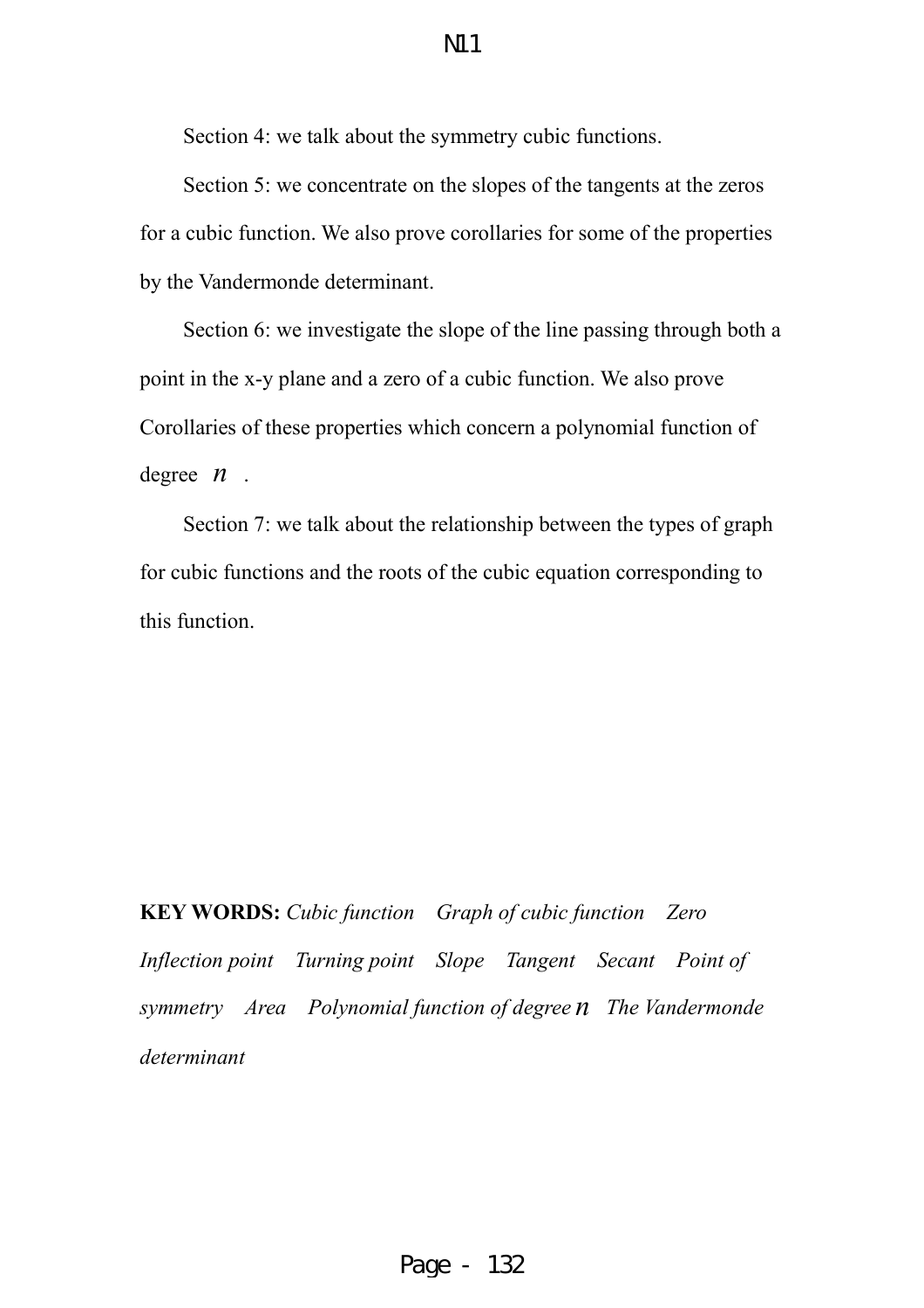Section 4: we talk about the symmetry cubic functions.

Section 5: we concentrate on the slopes of the tangents at the zeros for a cubic function. We also prove corollaries for some of the properties by the Vandermonde determinant.

Section 6: we investigate the slope of the line passing through both a point in the x-y plane and a zero of a cubic function. We also prove Corollaries of these properties which concern a polynomial function of degree *n* .

Section 7: we talk about the relationship between the types of graph for cubic functions and the roots of the cubic equation corresponding to this function.

**KEY WORDS:** *Cubic function Graph of cubic function Zero Inflection point Turning point Slope Tangent Secant Point of symmetry Area Polynomial function of degree n The Vandermonde determinant*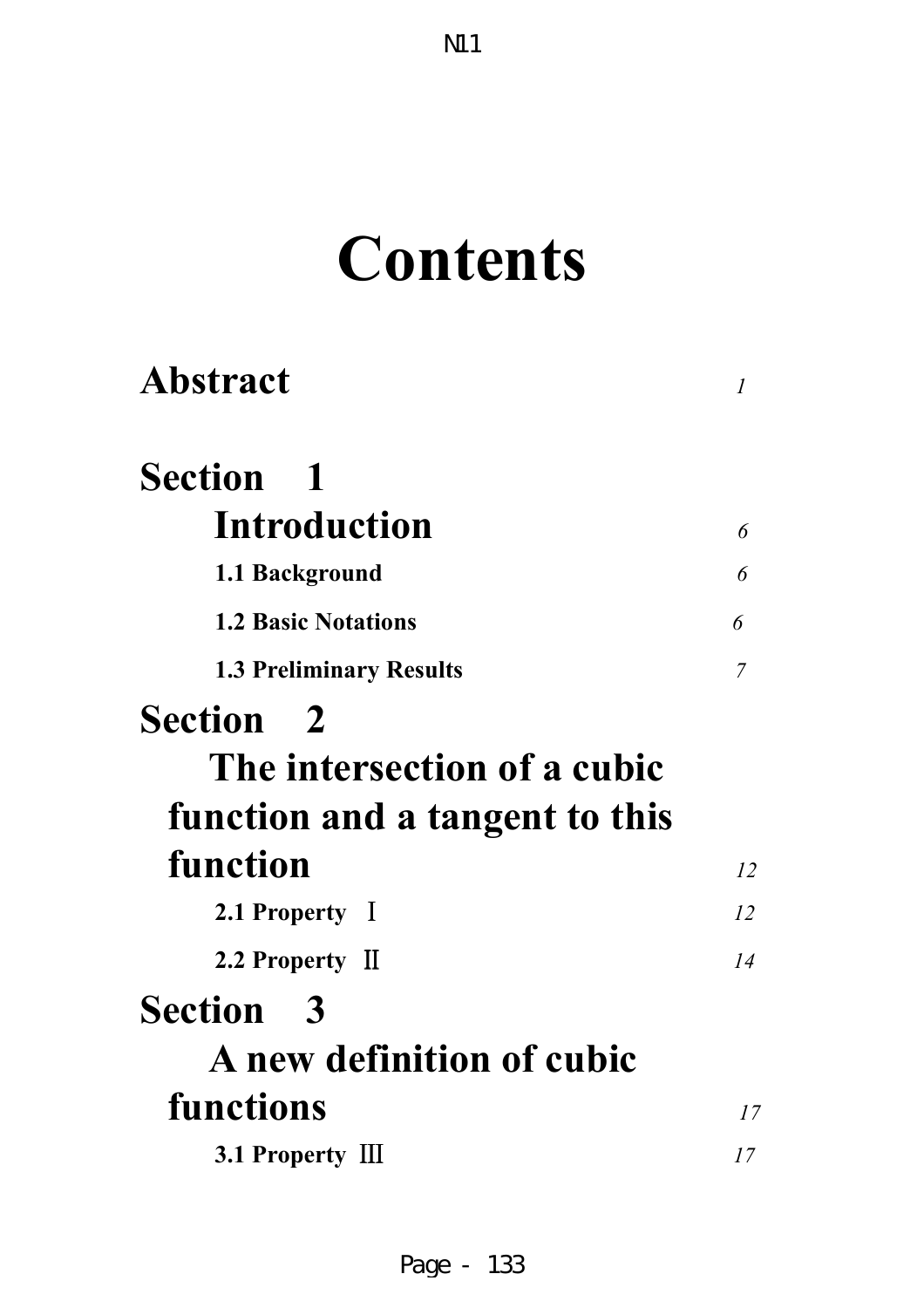# **Contents**

| <b>Abstract</b>                  | 1              |
|----------------------------------|----------------|
| <b>Section</b> 1                 |                |
| Introduction                     | 6              |
| 1.1 Background                   | 6              |
| <b>1.2 Basic Notations</b>       | 6              |
| <b>1.3 Preliminary Results</b>   | $\overline{7}$ |
| <b>Section</b> 2                 |                |
| The intersection of a cubic      |                |
| function and a tangent to this   |                |
| function                         | 12             |
| 2.1 Property I                   | 12             |
| 2.2 Property II                  | 14             |
| <b>Section</b> 3                 |                |
| <b>A</b> new definition of cubic |                |
| functions                        | 17             |
| 3.1 Property III                 | 17             |
|                                  |                |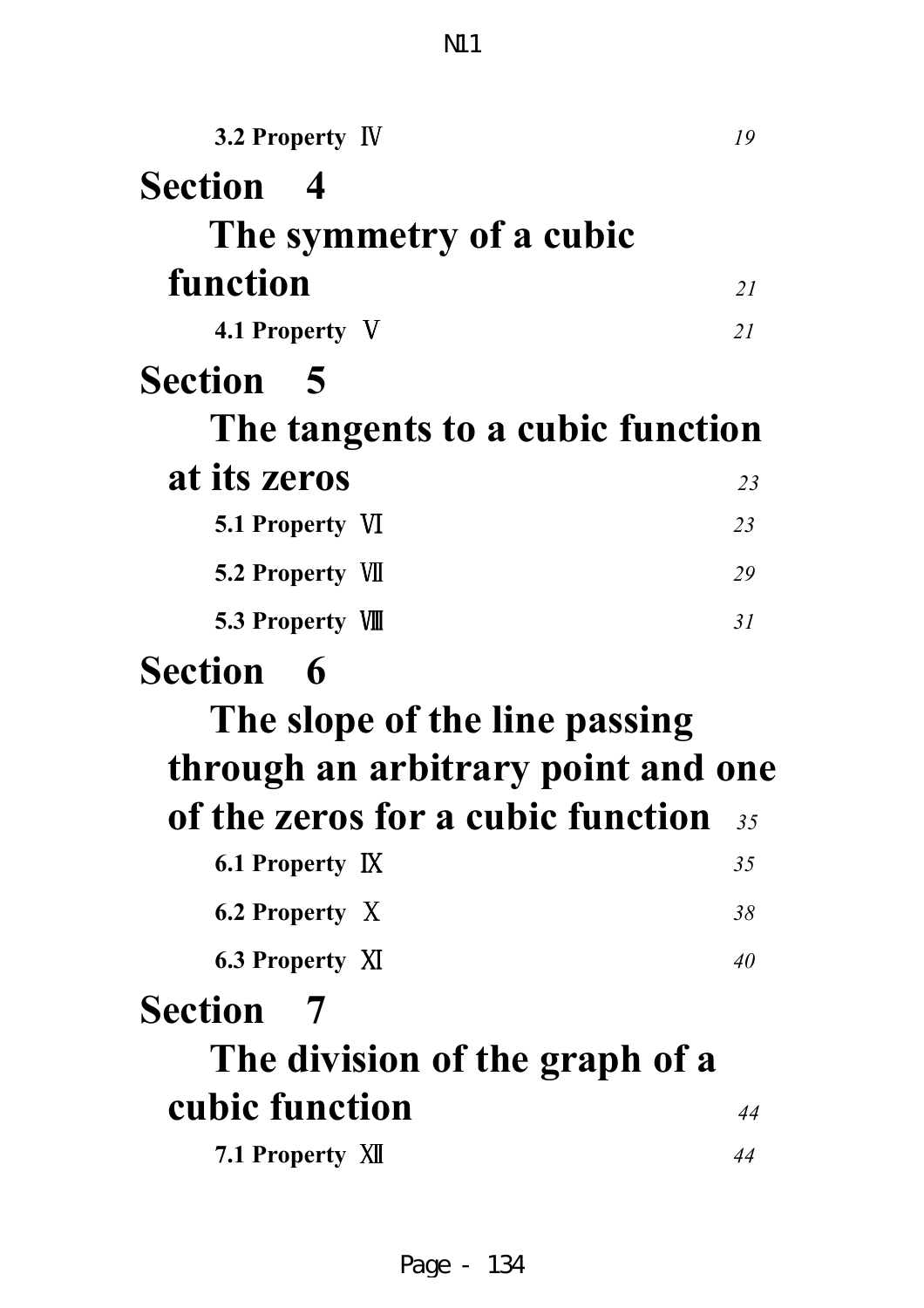| 3.2 Property IV                    | 19 |
|------------------------------------|----|
| <b>Section 4</b>                   |    |
| The symmetry of a cubic            |    |
| function                           | 21 |
| 4.1 Property V                     | 21 |
| <b>Section 5</b>                   |    |
| The tangents to a cubic function   |    |
| at its zeros                       | 23 |
| <b>5.1 Property VI</b>             | 23 |
| <b>5.2 Property VII</b>            | 29 |
| 5.3 Property VIII                  | 31 |
|                                    |    |
| <b>Section</b><br>$\mathbf 6$      |    |
| The slope of the line passing      |    |
| through an arbitrary point and one |    |
| of the zeros for a cubic function  | 35 |
| 6.1 Property IX                    | 35 |
| 6.2 Property X                     | 38 |
| <b>6.3 Property XI</b>             | 40 |
| <b>Section</b><br>$\overline{7}$   |    |
| The division of the graph of a     |    |
| cubic function                     | 44 |

N11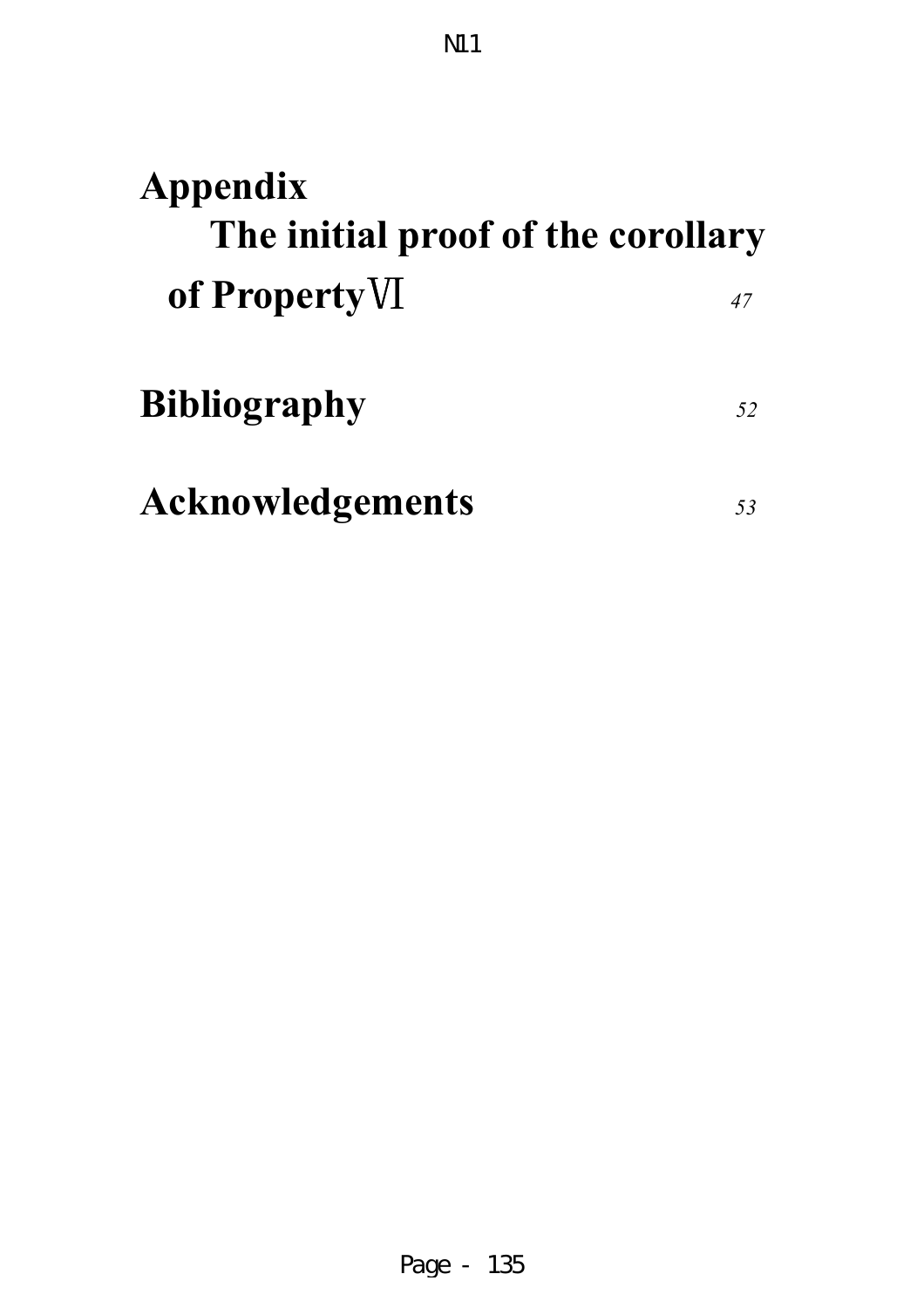| Appendix<br>The initial proof of the corollary |    |
|------------------------------------------------|----|
| of Property VI                                 | 47 |
| <b>Bibliography</b>                            | 52 |
| <b>Acknowledgements</b>                        |    |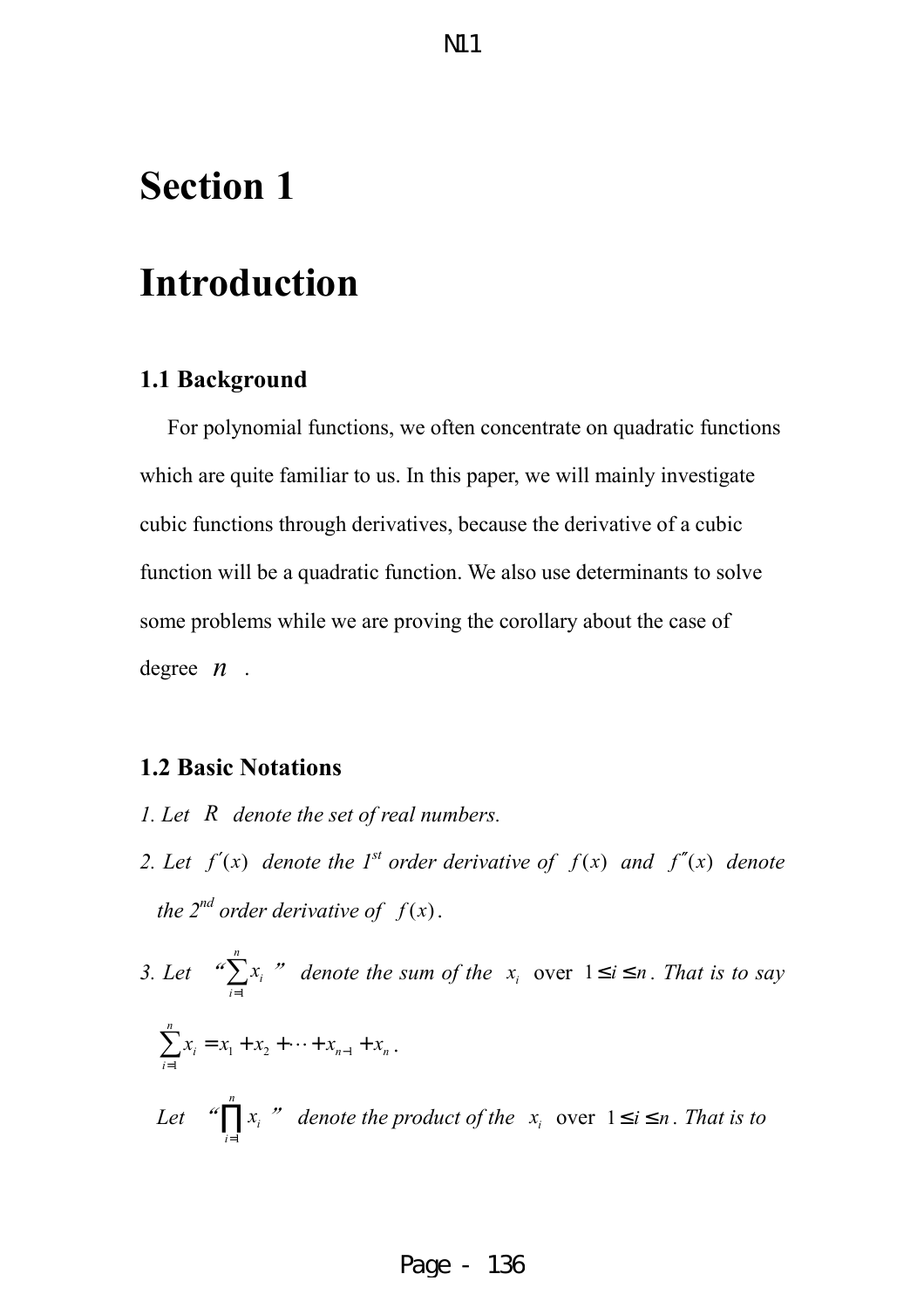# **Section 1**

# **Introduction**

#### **1.1 Background**

 For polynomial functions, we often concentrate on quadratic functions which are quite familiar to us. In this paper, we will mainly investigate cubic functions through derivatives, because the derivative of a cubic function will be a quadratic function. We also use determinants to solve some problems while we are proving the corollary about the case of degree *n* .

**N11** 

#### **1.2 Basic Notations**

- *1. Let R denote the set of real numbers.*
- *2. Let*  $f'(x)$  denote the 1<sup>*st*</sup> order derivative of  $f(x)$  and  $f''(x)$  denote *the 2<sup>nd</sup> order derivative of*  $f(x)$ .
- *3. Let* " 1 *n i i x* =  $\sum_{i=1}^{n} x_i$  *"* denote the sum of the  $x_i$  over  $1 \le i \le n$ . That is to say  $1 \times 2 \times 1 \times n-1$ 1 *n*  $i = \lambda_1 + \lambda_2 + \cdots + \lambda_{n-1} + \lambda_n$ *i*  $x_i = x_1 + x_2 + \cdots + x_{n-1} + x_n$ =  $\sum_{i=1}^{n} x_i = x_1 + x_2 + \cdots + x_{n-1} + x_n$ . *Let* " 1 *n i i x*  $\prod_{i=1}^n x_i$  *"* denote the product of the  $x_i$  over  $1 \le i \le n$ . That is to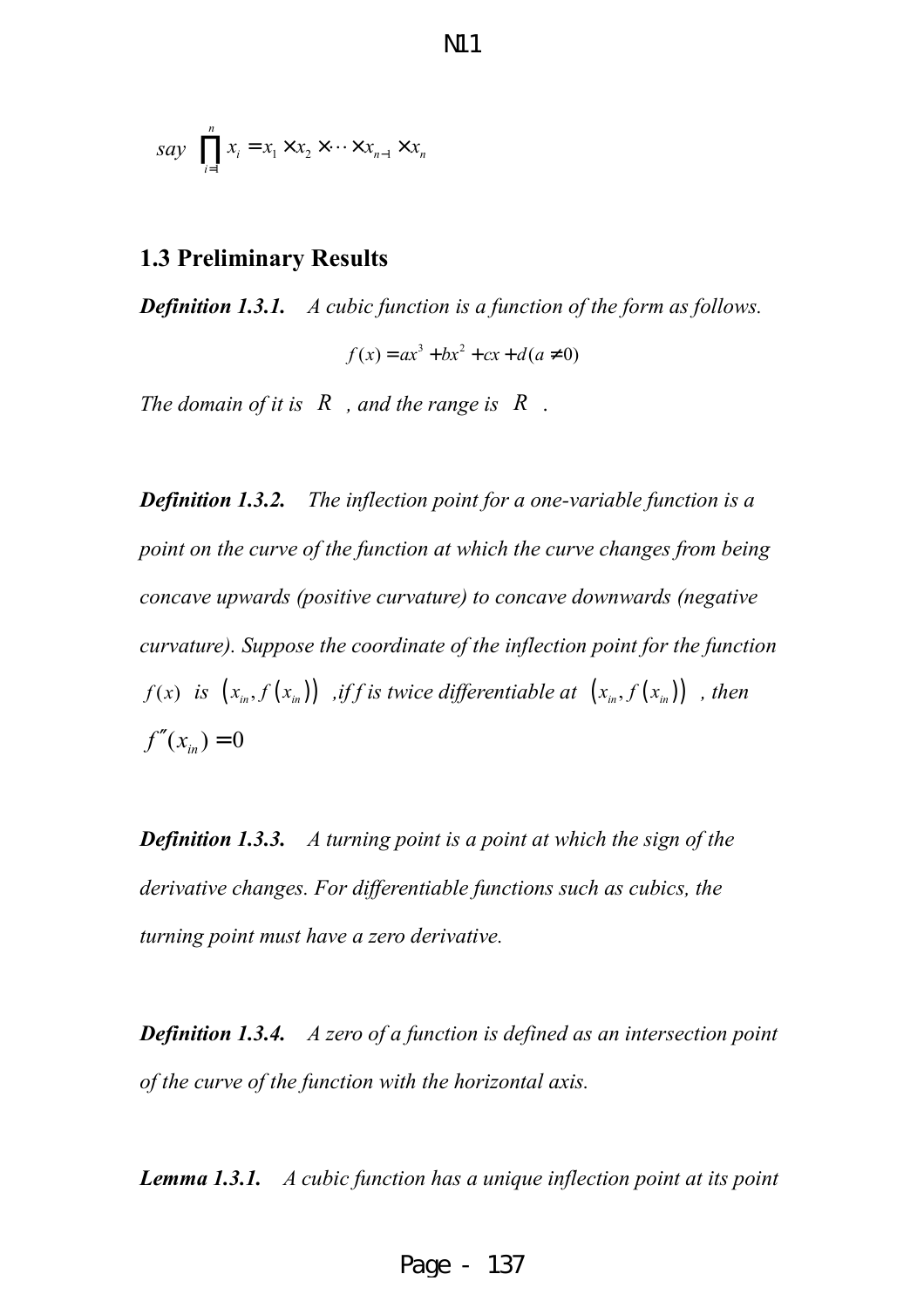$$
say \prod_{i=1}^{n} x_i = x_1 \times x_2 \times \cdots \times x_{n-1} \times x_n
$$

#### **1.3 Preliminary Results**

*Definition 1.3.1. A cubic function is a function of the form as follows.*

 $f(x) = ax^{3} + bx^{2} + cx + d(a \neq 0)$ 

*The domain of it is R , and the range is R* .

*Definition 1.3.2. The inflection point for a one-variable function is a point on the curve of the function at which the curve changes from being concave upwards (positive curvature) to concave downwards (negative curvature). Suppose the coordinate of the inflection point for the function f*(*x*) *is*  $(x_{in}, f(x_{in}))$  *,iff is twice differentiable at*  $(x_{in}, f(x_{in}))$  *, then*  $f''(x_{i}) = 0$ 

*Definition 1.3.3. A turning point is a point at which the sign of the derivative changes. For differentiable functions such as cubics, the turning point must have a zero derivative.*

*Definition 1.3.4. A zero of a function is defined as an intersection point of the curve of the function with the horizontal axis.*

*Lemma 1.3.1. A cubic function has a unique inflection point at its point*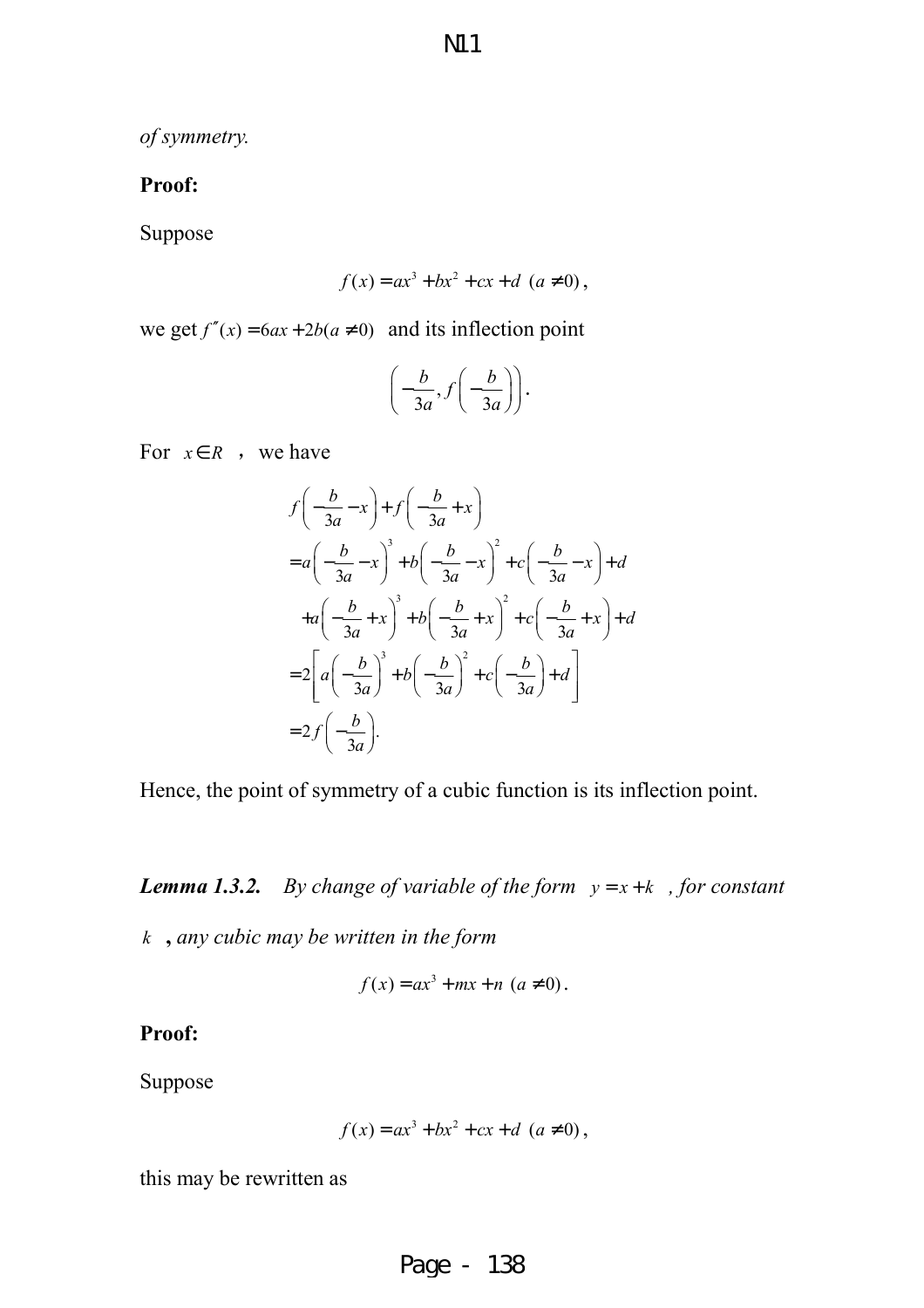*of symmetry.*

#### **Proof:**

Suppose

$$
f(x) = ax^3 + bx^2 + cx + d \ (a \neq 0),
$$

we get  $f''(x) = 6ax + 2b(a \ne 0)$  and its inflection point

$$
\left(-\frac{b}{3a}, f\left(-\frac{b}{3a}\right)\right).
$$

For  $x \in R$ , we have

$$
f\left(-\frac{b}{3a} - x\right) + f\left(-\frac{b}{3a} + x\right)
$$
  
=  $a\left(-\frac{b}{3a} - x\right)^3 + b\left(-\frac{b}{3a} - x\right)^2 + c\left(-\frac{b}{3a} - x\right) + d$   
+  $a\left(-\frac{b}{3a} + x\right)^3 + b\left(-\frac{b}{3a} + x\right)^2 + c\left(-\frac{b}{3a} + x\right) + d$   
=  $2\left[a\left(-\frac{b}{3a}\right)^3 + b\left(-\frac{b}{3a}\right)^2 + c\left(-\frac{b}{3a}\right) + d\right]$   
=  $2f\left(-\frac{b}{3a}\right)$ .

Hence, the point of symmetry of a cubic function is its inflection point.

*Lemma 1.3.2. By change of variable of the form*  $y = x + k$ *, for constant k* **,** *any cubic may be written in the form* 

$$
f(x) = ax3 + mx + n (a \neq 0).
$$

**Proof:** 

Suppose

$$
f(x) = ax^3 + bx^2 + cx + d \ (a \neq 0),
$$

this may be rewritten as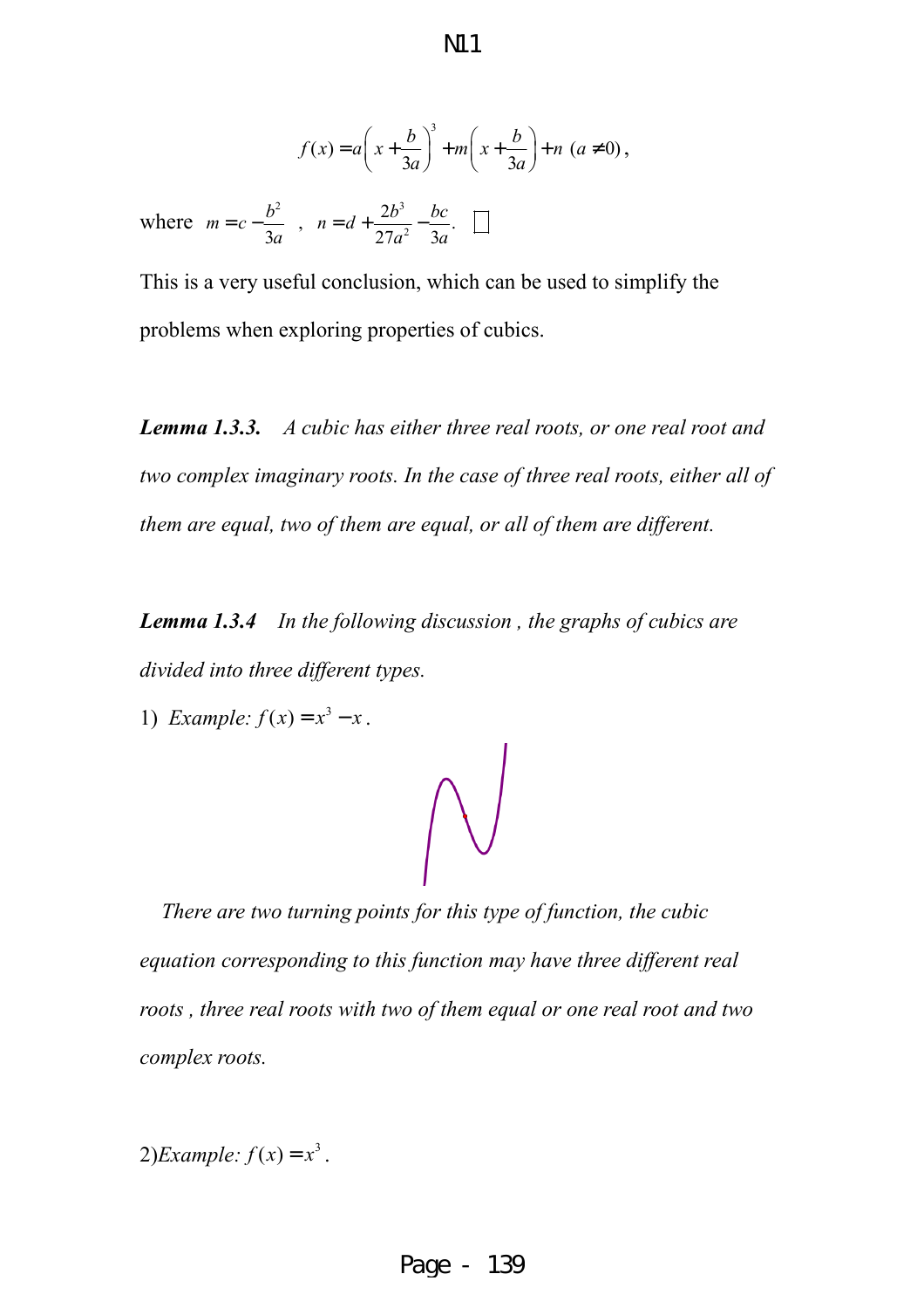$$
f(x) = a\left(x + \frac{b}{3a}\right)^3 + m\left(x + \frac{b}{3a}\right) + n\left(a \neq 0\right),
$$

where  $m = c - \frac{b^2}{2}$ ,  $n = d + \frac{2b^3}{2}$ 2  $n = d + \frac{2b^3}{2a^2} - \frac{bc}{a}$ . 3*a* 27 $a^2$  3*a*  $m = c - \frac{b^2}{2}$ ,  $n = d + \frac{2b^3}{2a^2} - \frac{bc^2}{2}$ *a*  $27a^2$  3*a*  $= c - \frac{b}{a}$ ,  $n = d + \frac{2b}{a-2}$ 

This is a very useful conclusion, which can be used to simplify the problems when exploring properties of cubics.

*Lemma 1.3.3. A cubic has either three real roots, or one real root and two complex imaginary roots. In the case of three real roots, either all of them are equal, two of them are equal, or all of them are different.*

*Lemma 1.3.4 In the following discussion , the graphs of cubics are divided into three different types.*

1) Example: 
$$
f(x) = x^3 - x
$$
.

 $\bigwedge$ 

 *There are two turning points for this type of function, the cubic equation corresponding to this function may have three different real roots , three real roots with two of them equal or one real root and two complex roots.* 

2)*Example:*  $f(x) = x^3$ .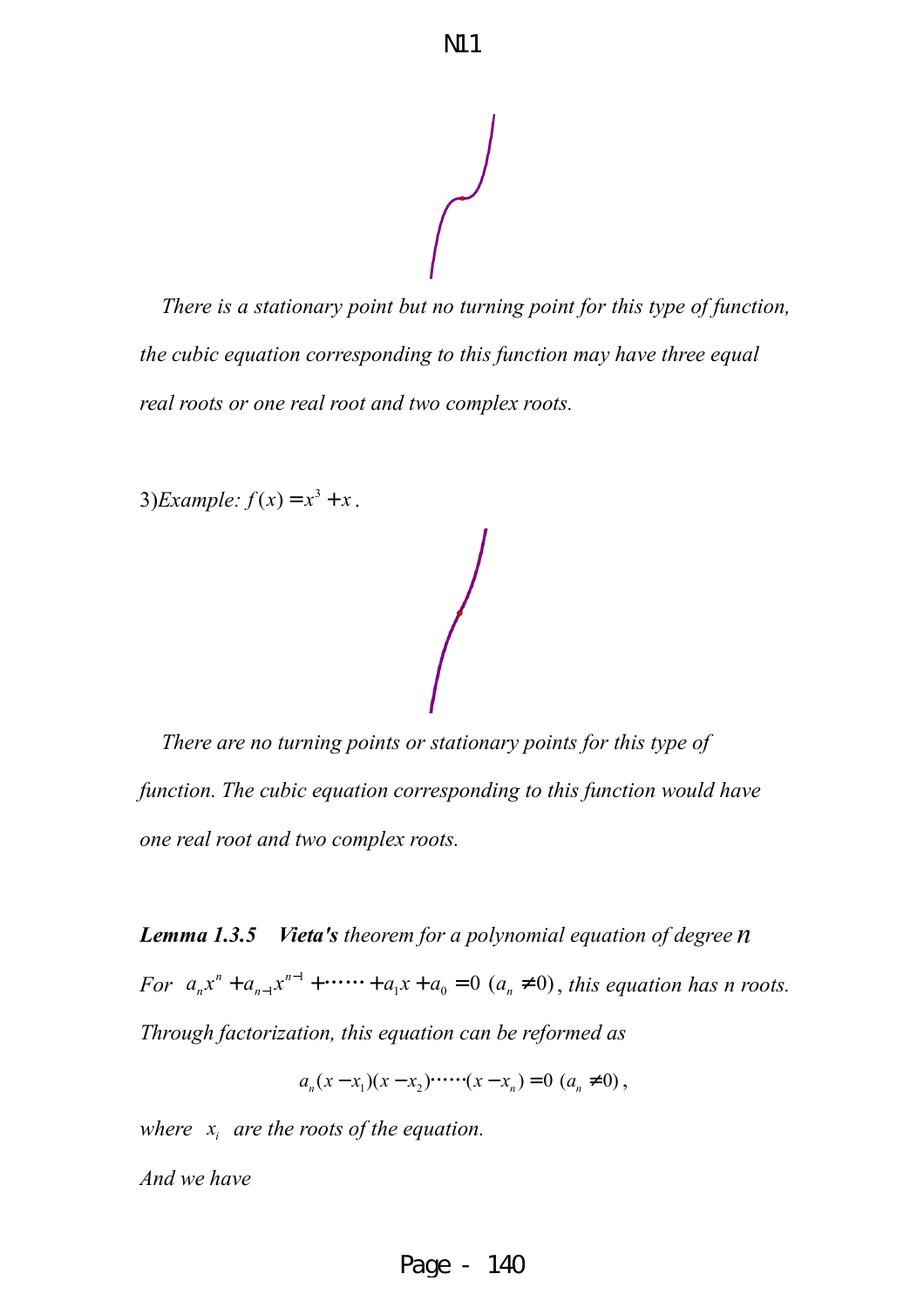*There is a stationary point but no turning point for this type of function, the cubic equation corresponding to this function may have three equal real roots or one real root and two complex roots.* 

3)*Example:*  $f(x) = x^3 + x$ .

 *There are no turning points or stationary points for this type of function. The cubic equation corresponding to this function would have one real root and two complex roots.* 

*Lemma 1.3.5 Vieta's theorem for a polynomial equation of degree n For*  $a_n x^n + a_{n-1} x^{n-1} + \cdots + a_1 x + a_0 = 0$  ( $a_n \neq 0$ ), this equation has n roots. *Through factorization, this equation can be reformed as* 

 $a_n(x-x_1)(x-x_2)$   $\dots$   $(x-x_n) = 0$   $(a_n \neq 0)$ ,

*where <sup>i</sup> x are the roots of the equation.* 

*And we have*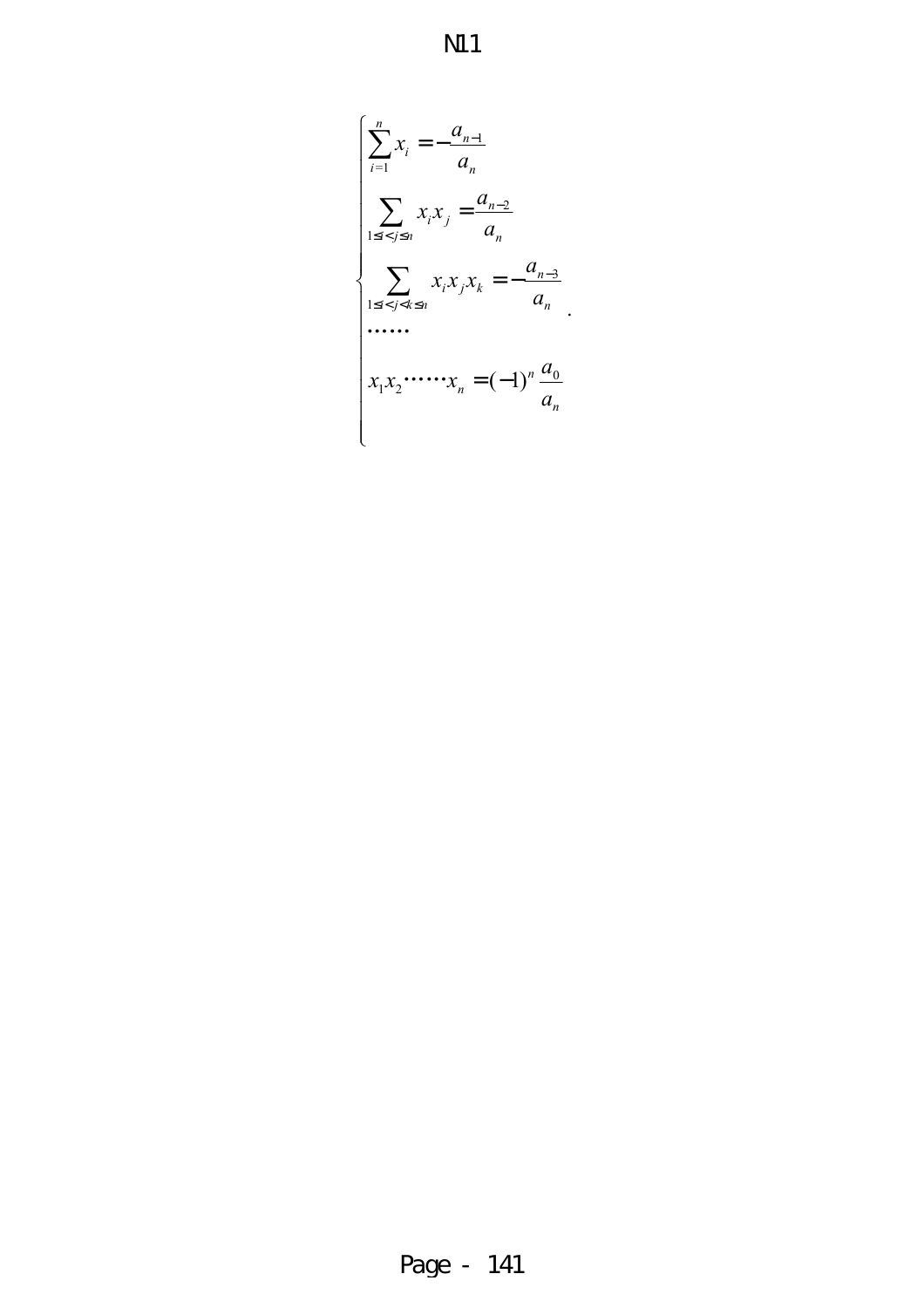$$
\rm{N\!11}
$$

$$
\begin{cases}\n\sum_{i=1}^{n} x_i = -\frac{a_{n-1}}{a_n} \\
\sum_{1 \le i < j \le n} x_i x_j = \frac{a_{n-2}}{a_n} \\
\sum_{1 \le i < j < k \le n} x_i x_j x_k = -\frac{a_{n-3}}{a_n} \\
\cdots \\
x_1 x_2 \cdots x_n = (-1)^n \frac{a_0}{a_n}\n\end{cases}
$$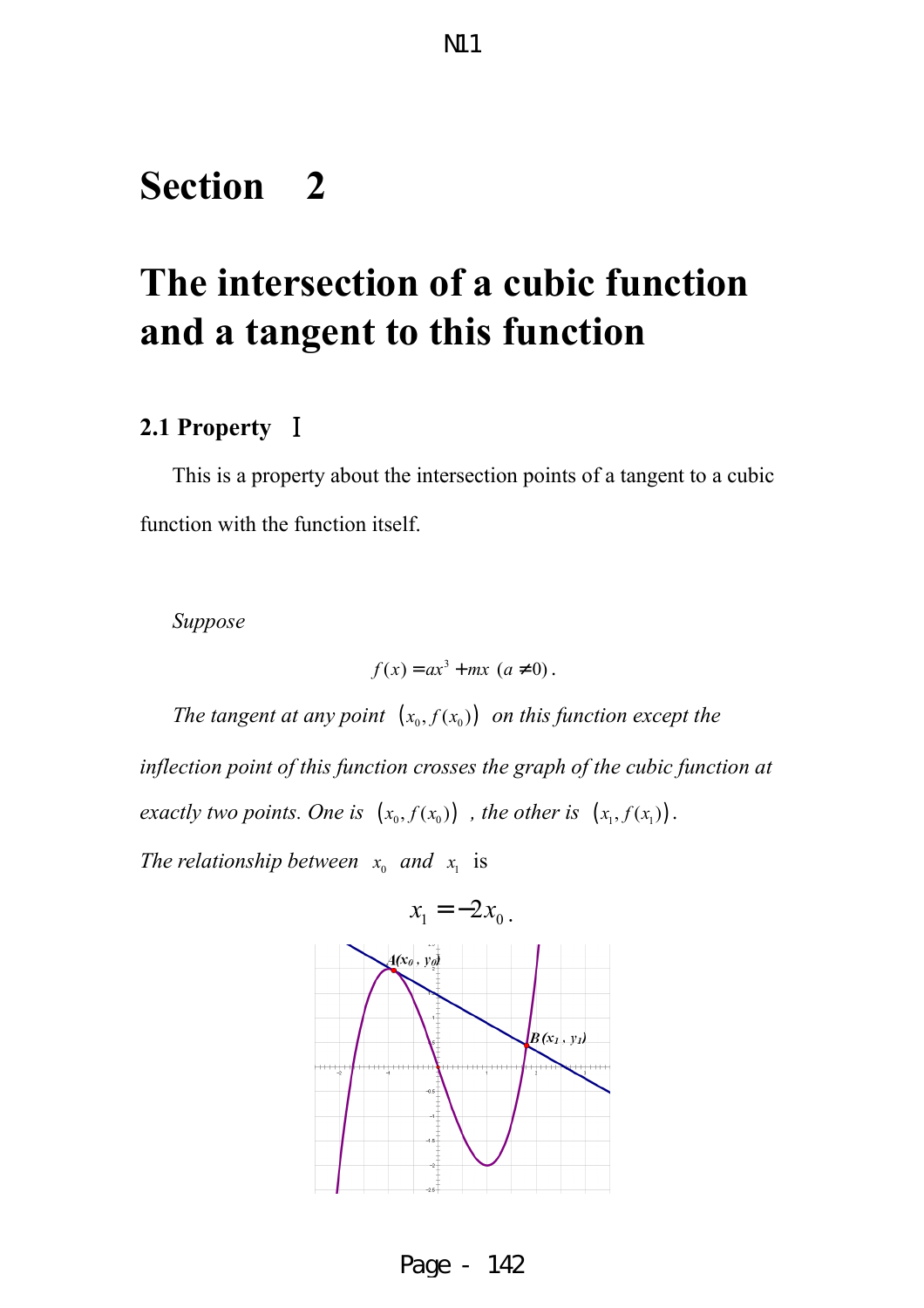# **Section 2**

# **The intersection of a cubic function and a tangent to this function**

#### **2.1 Property** Ⅰ

This is a property about the intersection points of a tangent to a cubic function with the function itself.

*Suppose*

 $f(x) = ax^3 + mx \ (a \neq 0)$ .

*The tangent at any point*  $(x_0, f(x_0))$  *on this function except the* 

*inflection point of this function crosses the graph of the cubic function at exactly two points. One is*  $(x_0, f(x_0))$ , the other is  $(x_1, f(x_1))$ .

*The relationship between*  $x_0$  *and*  $x_1$  is



Page - 142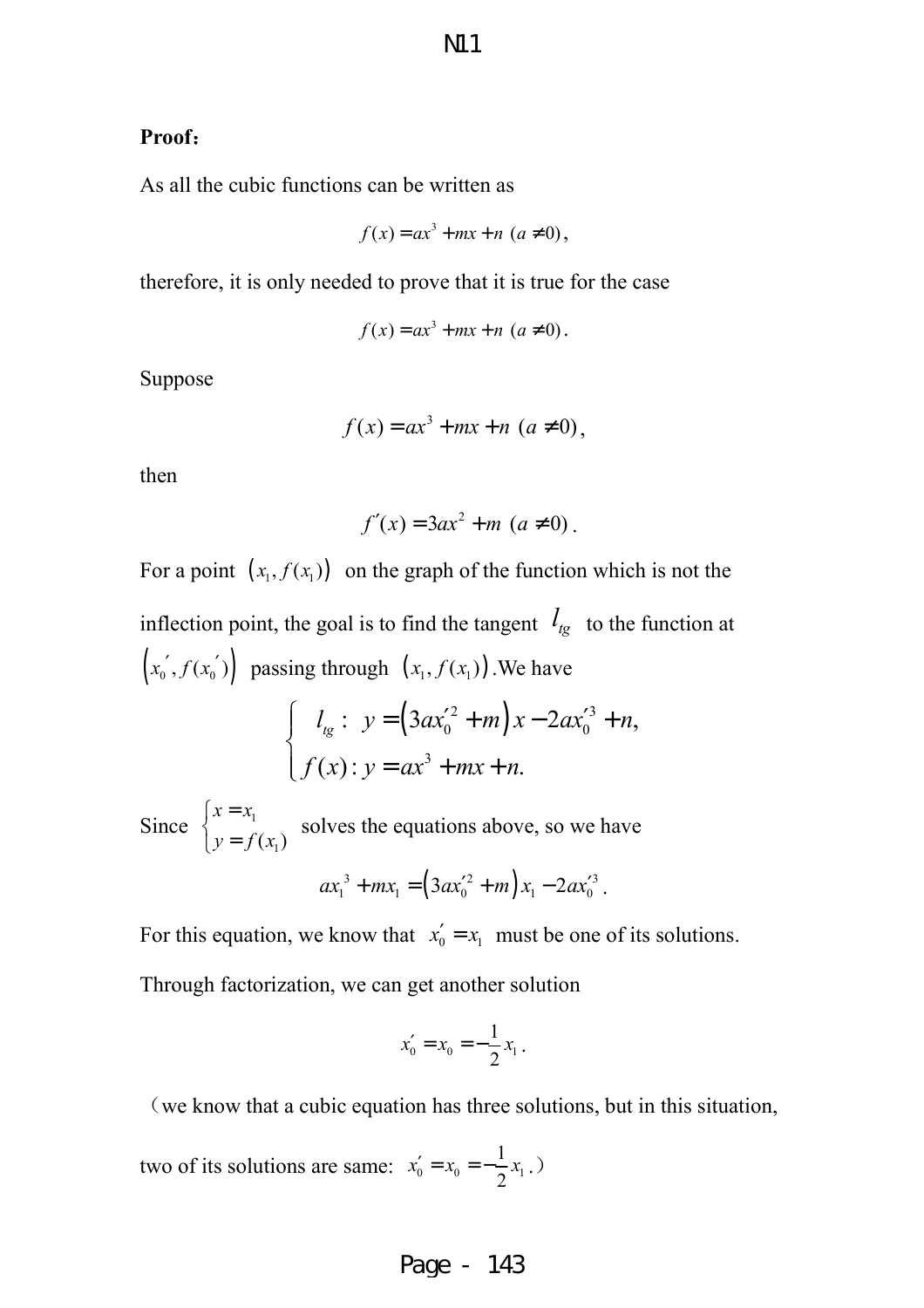#### **Proof**:

As all the cubic functions can be written as

$$
f(x) = ax3 + mx + n (a \neq 0),
$$

therefore, it is only needed to prove that it is true for the case

$$
f(x) = ax^3 + mx + n \ (a \neq 0).
$$

Suppose

$$
f(x) = ax^3 + mx + n\ (a \neq 0),
$$

then

$$
f'(x) = 3ax^2 + m\ (a \neq 0).
$$

For a point  $(x_1, f(x_1))$  on the graph of the function which is not the inflection point, the goal is to find the tangent  $l_{tg}$  to the function at  $(x_0', f(x_0'))$  passing through  $(x_1, f(x_1))$ . We have  $(3ax_0^2 + m)x - 2ax_0^3$  $0 \quad \text{in } \mathbb{R}$   $\mathcal{L}^{u,v}$ 3 :  $y = (3ax_0^2 + m)x - 2ax_0^3 + n$ ,  $(x)$ :  $y = ax^3 + mx + n$ .  $l_{lg}: y = (3ax_0'^2 + m)x - 2ax_0'^3 + n,$  $f(x)$ :  $y = ax^3 + mx + n$ .  $\int_{t_{\rm g}}$ :  $y = (3ax_0'^2 + m)x - 2ax_0'^3 +$ }<br>ገ  $\int f(x) : y = ax^3 + mx +$ Since  $\begin{cases} x - x_1 \\ y \end{cases}$  $(x_1)$  $x = x_1$  $y = f(x_1)$  $\left(x\right)$ }<br>ገ  $\left(y\right)$ solves the equations above, so we have

$$
ax_1^3 + mx_1 = (3ax_0'^2 + m)x_1 - 2ax_0'^3.
$$

For this equation, we know that  $x'_0 = x_1$  must be one of its solutions. Through factorization, we can get another solution

$$
x'_0 = x_0 = -\frac{1}{2}x_1.
$$

(we know that a cubic equation has three solutions, but in this situation,

two of its solutions are same:  $x'_0 = x_0 = -\frac{1}{2}x_1$ 2  $x'_0 = x_0 = -\frac{1}{2}x_1$ .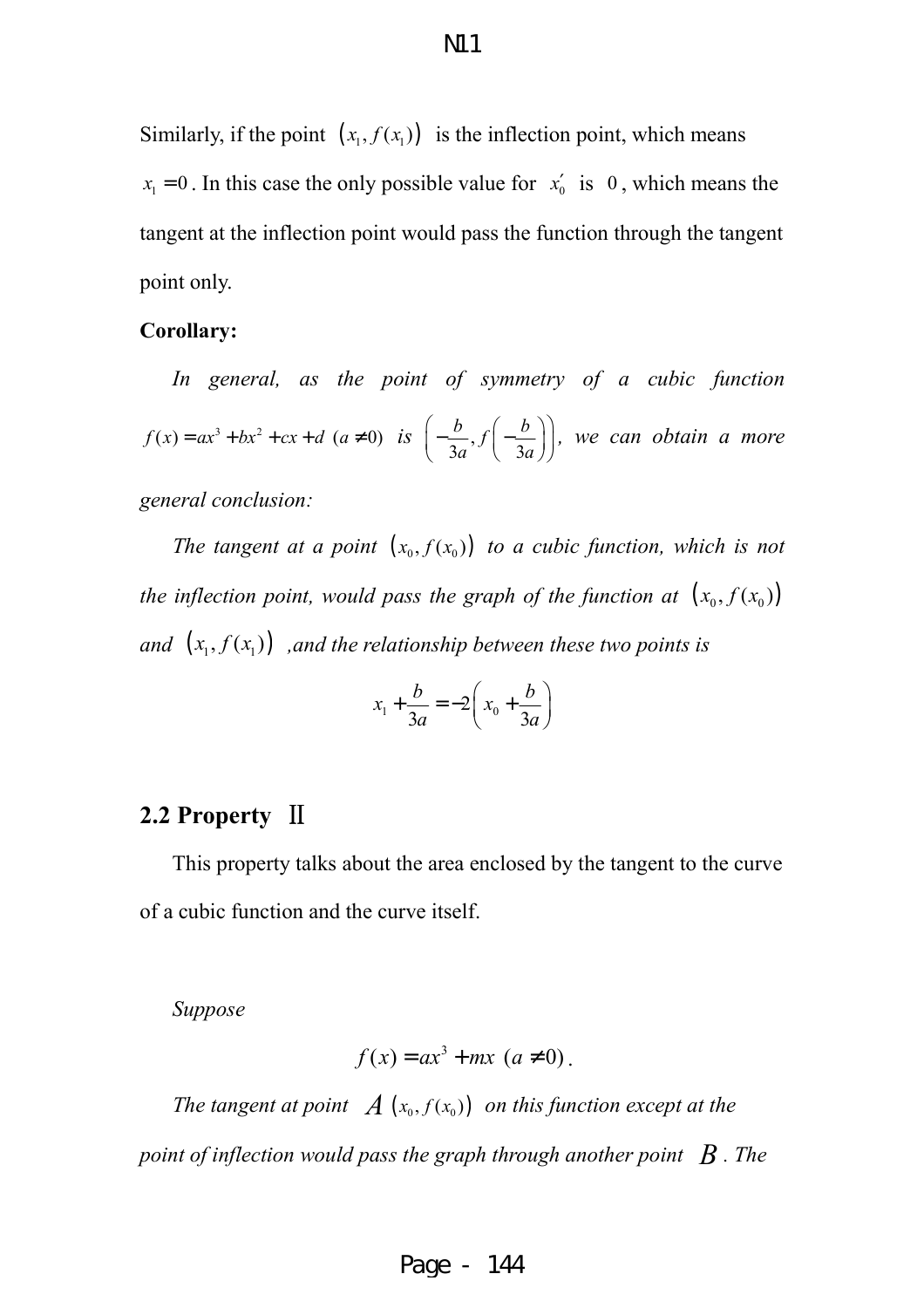Similarly, if the point  $(x_1, f(x_1))$  is the inflection point, which means  $x_1 = 0$ . In this case the only possible value for  $x'_0$  is 0, which means the tangent at the inflection point would pass the function through the tangent point only.

#### **Corollary:**

*In general, as the point of symmetry of a cubic function*   $f(x) = ax^3 + bx^2 + cx + d$  ( $a \ne 0$ ) is  $\left(-\frac{b}{2}\right)$ ,  $3a^{\prime\prime}$   $3a$  $\frac{b}{b}$ ,  $f\left(-\frac{b}{c}\right)$  $a^{\prime\prime}$   $\langle$  3*a*  $(b \t b \t b))$  $\left|-\frac{v}{2}\right|,f\left|-\frac{v}{2}\right|$  $\left(3a^{3}$   $(3a)$ *, we can obtain a more general conclusion:* 

*The tangent at a point*  $(x_0, f(x_0))$  *to a cubic function, which is not the inflection point, would pass the graph of the function at*  $(x_0, f(x_0))$ *and*  $(x_1, f(x_1))$  *, and the relationship between these two points is* 

$$
x_1 + \frac{b}{3a} = -2\left(x_0 + \frac{b}{3a}\right)
$$

#### **2.2 Property** Ⅱ

This property talks about the area enclosed by the tangent to the curve of a cubic function and the curve itself.

*Suppose* 

$$
f(x) = ax3 + mx \ (a \neq 0).
$$

*The tangent at point*  $\mathcal{A}$  ( $x_0$ ,  $f(x_0)$ ) *on this function except at the point of inflection would pass the graph through another point*  $\,$ *B. The*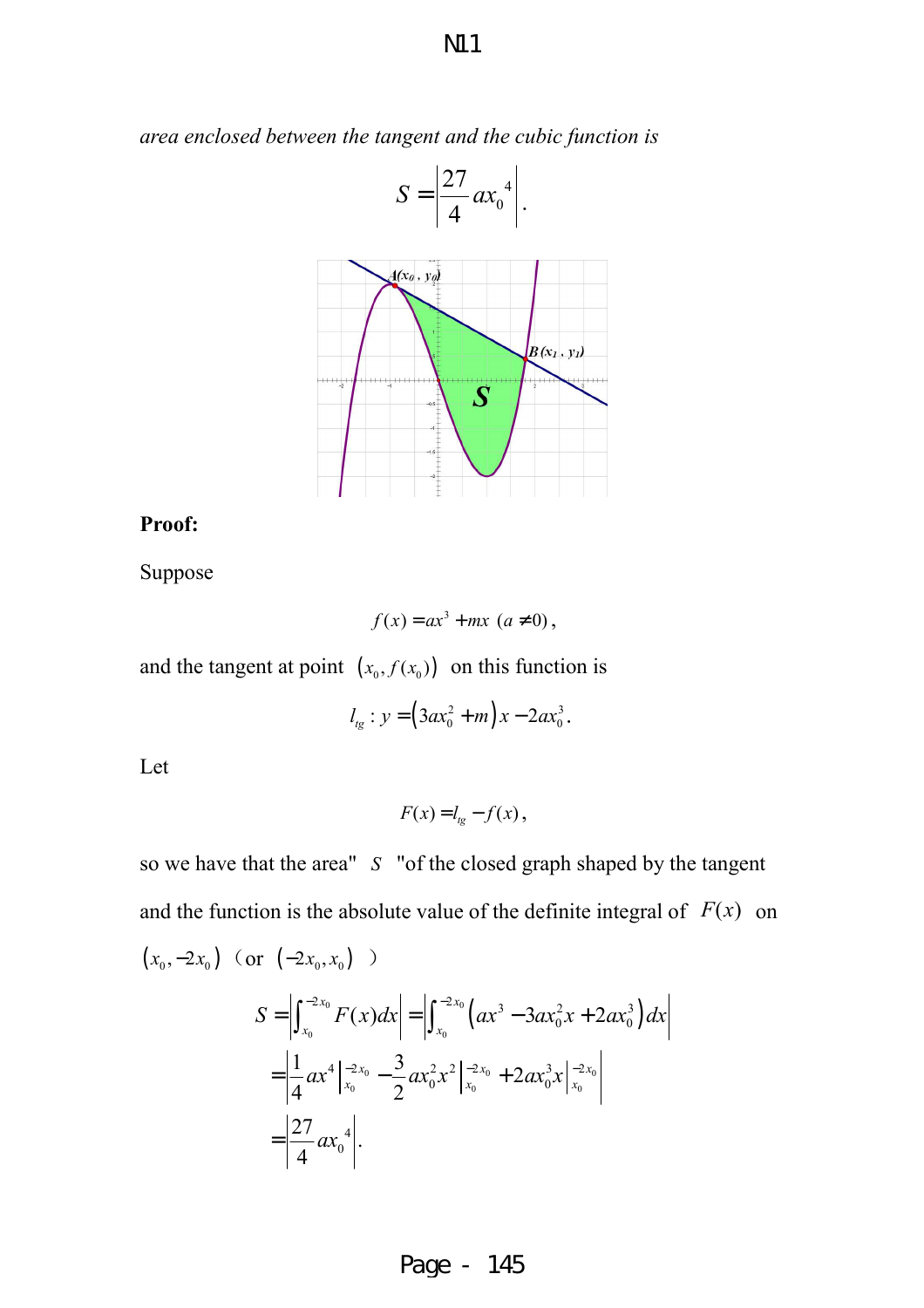*area enclosed between the tangent and the cubic function is* 



#### **Proof:**

Suppose

$$
f(x) = ax^3 + mx \ (a \neq 0),
$$

and the tangent at point  $(x_0, f(x_0))$  on this function is

 $\boldsymbol{0}$ 

4

 $=\left| \frac{27}{4}ax \right|$ 

.

$$
l_{tg}: y = (3ax_0^2 + m)x - 2ax_0^3.
$$

Let

$$
F(x) = l_{tg} - f(x),
$$

so we have that the area" *S* "of the closed graph shaped by the tangent and the function is the absolute value of the definite integral of  $F(x)$  on  $(x_0, -2x_0)$  (or  $(-2x_0, x_0)$ )  $\int_{0}^{0} F(x) dx = \left| \int_{0}^{-2\lambda_{0}} (ax^{3} - 3ax_{0}^{2}x + 2ax_{0}^{3}) dx \right|$ 0  $\vert \hspace{.1cm} \vert \hspace{.1cm} \bullet \hspace{.1cm} \lambda_0$  $0 = \frac{1}{2} \alpha r^2 r^2 |^{-2\lambda_0} + 2\alpha r^3 r |^{-2\lambda_0}$ 0  $\bigcirc$  0  $\bigvee^{1,0}$  0  $\bigvee^{1,0}$  $\left| \int_{0}^{2x_0} E(x) dx \right| = \left| \int_{0}^{-2x_0} \left( \cos^3 - 2\cos^2 x + 2\cos^3 x \right) dx \right|$  $\int_{0}^{x_0} F(x) dx = \int_{0}^{x_0} \left( ax^3 - 3ax_0^2x + 2ax_0^3 \right)$  $4|-2x_0$   $\frac{3}{2}x^2-2x_0$   $\frac{2}{2}x^3-2$  $\frac{1}{4}ax^4\Big|_{x_0}^{-2x_0}-\frac{3}{2}ax_0^2x^2\Big|_{x_0}^{-2x_0}+2ax_0^3$ 4 4  $\frac{1}{x_0}$  2 27  $S = \left| \int_{x_0}^{-2x_0} F(x) dx \right| = \left| \int_{x_0}^{-2x_0} \left( ax^3 - 3ax_0^2 x + 2ax_0^3 \right) dx \right|$  $x_0$   $\frac{3}{2}x^2 - x^2 - x_0$   $\frac{3}{2}x^3 - x^2 - x_0$  $=\left|\frac{1}{4}ax^4\right|_{x_0}^{x_2} - \frac{3}{2}ax_0^2x^2\left|_{x_0}^{x_2} + 2ax_0^3x\right|_{x_0}^{x_0}$ 

Page - 145

**N11**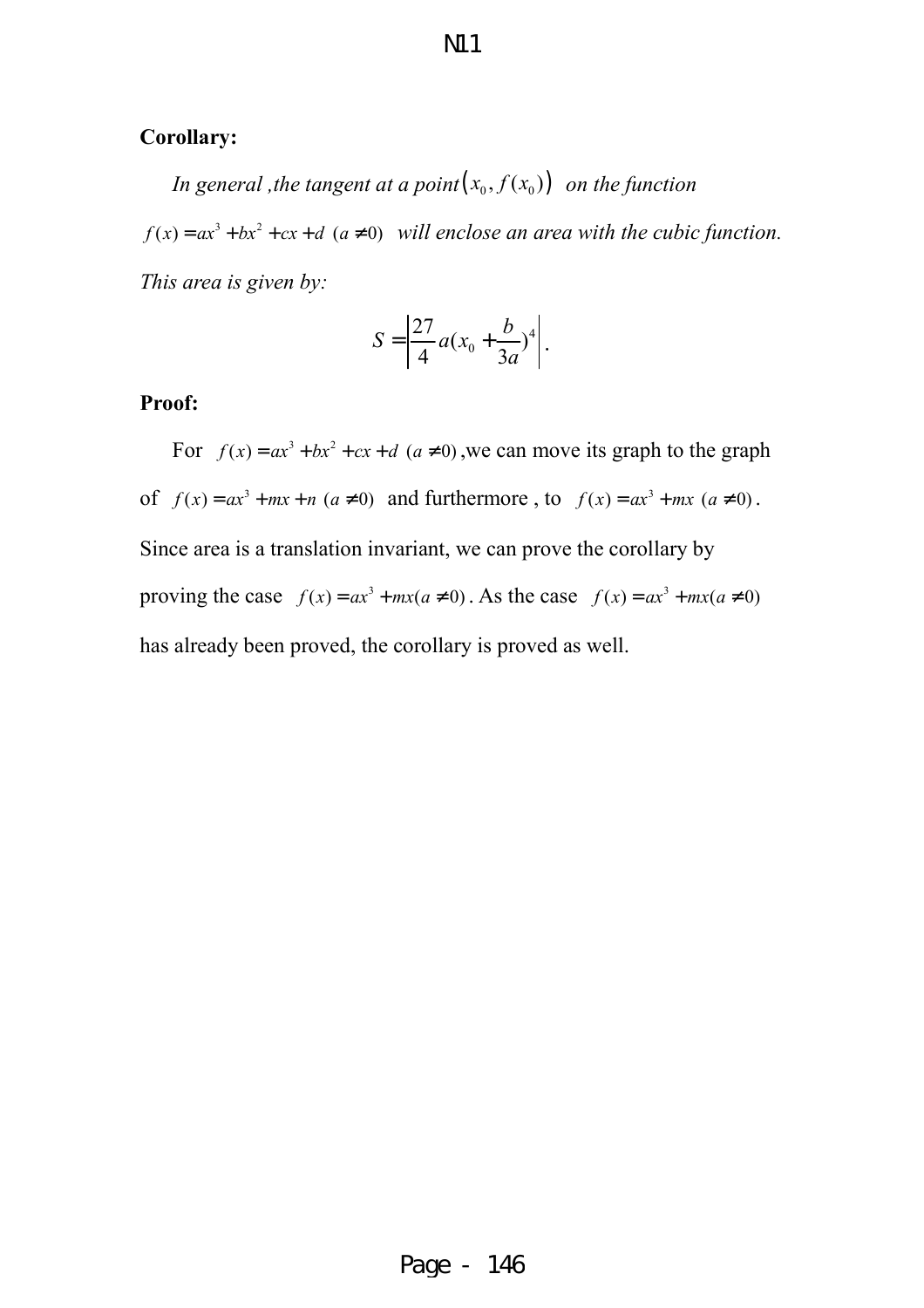#### **Corollary:**

*In general , the tangent at a point* $(x_0, f(x_0))$  *on the function*  $f(x) = ax^3 + bx^2 + cx + d$  ( $a \ne 0$ ) will enclose an area with the cubic function. *This area is given by:*

$$
S = \left| \frac{27}{4} a (x_0 + \frac{b}{3a})^4 \right|.
$$

#### **Proof:**

For  $f(x) = ax^3 + bx^2 + cx + d$  ( $a \ne 0$ ), we can move its graph to the graph of  $f(x) = ax^3 + mx + n$  ( $a \ne 0$ ) and furthermore, to  $f(x) = ax^3 + mx$  ( $a \ne 0$ ). Since area is a translation invariant, we can prove the corollary by proving the case  $f(x) = ax^3 + mx(a \neq 0)$ . As the case  $f(x) = ax^3 + mx(a \neq 0)$ has already been proved, the corollary is proved as well.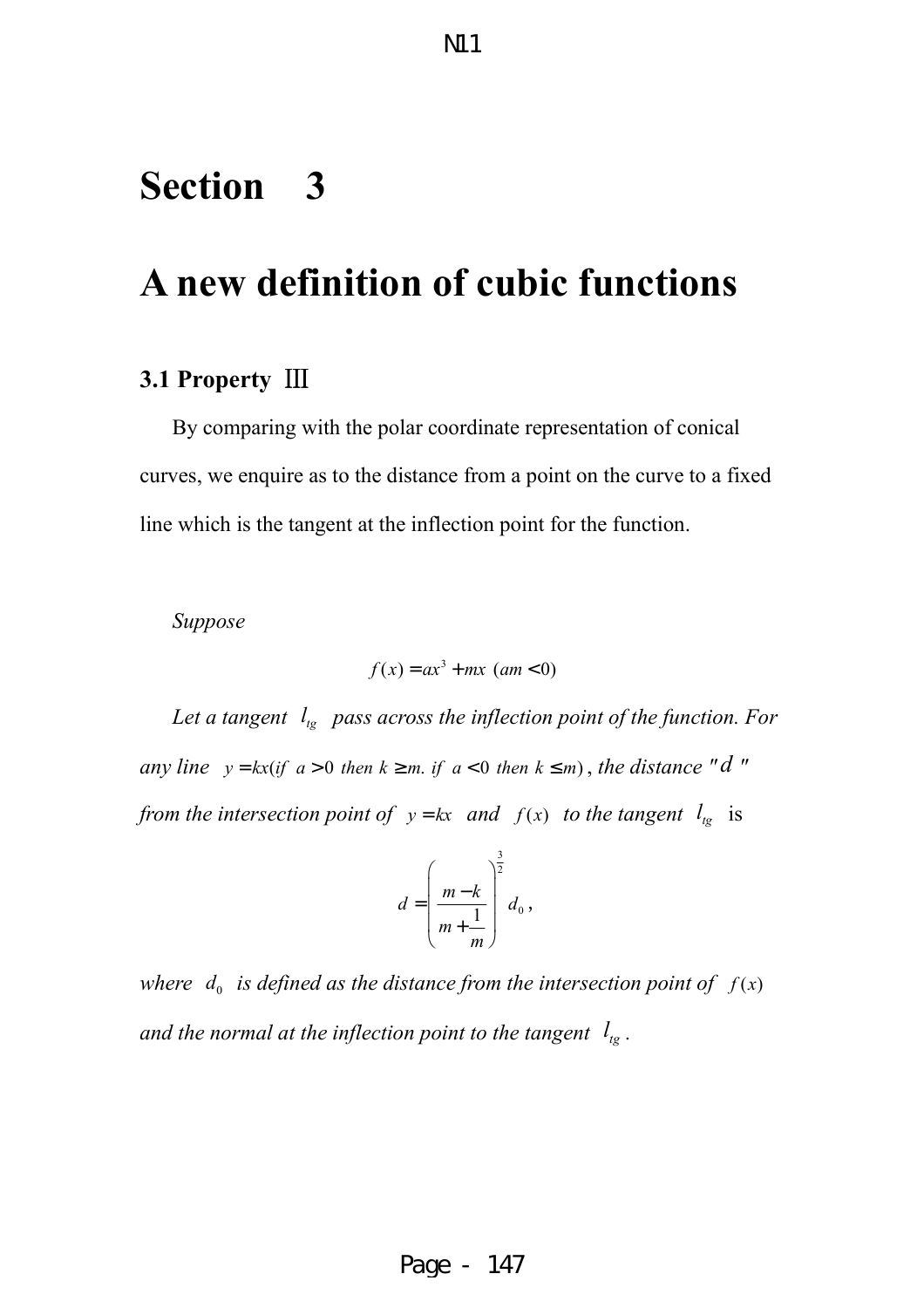### **Section 3**

### **A new definition of cubic functions**

#### **3.1 Property** Ⅲ

By comparing with the polar coordinate representation of conical curves, we enquire as to the distance from a point on the curve to a fixed line which is the tangent at the inflection point for the function.

*Suppose* 

$$
f(x) = ax^3 + mx \ (am < 0)
$$

Let a tangent  $l_{lg}$  pass across the inflection point of the function. For *any line*  $y = kx (if a > 0$  *then*  $k \ge m$  *if*  $a < 0$  *then*  $k \le m$ *)*, *the distance* "*d* " *from the intersection point of*  $y = kx$  *and*  $f(x)$  *to the tangent*  $l_{tg}$  is

$$
d = \left(\frac{m-k}{m+\frac{1}{m}}\right)^{\frac{3}{2}}d_0,
$$

where  $d_0$  *is defined as the distance from the intersection point of*  $f(x)$ *and the normal at the inflection point to the tangent*  $l_{tg}$ .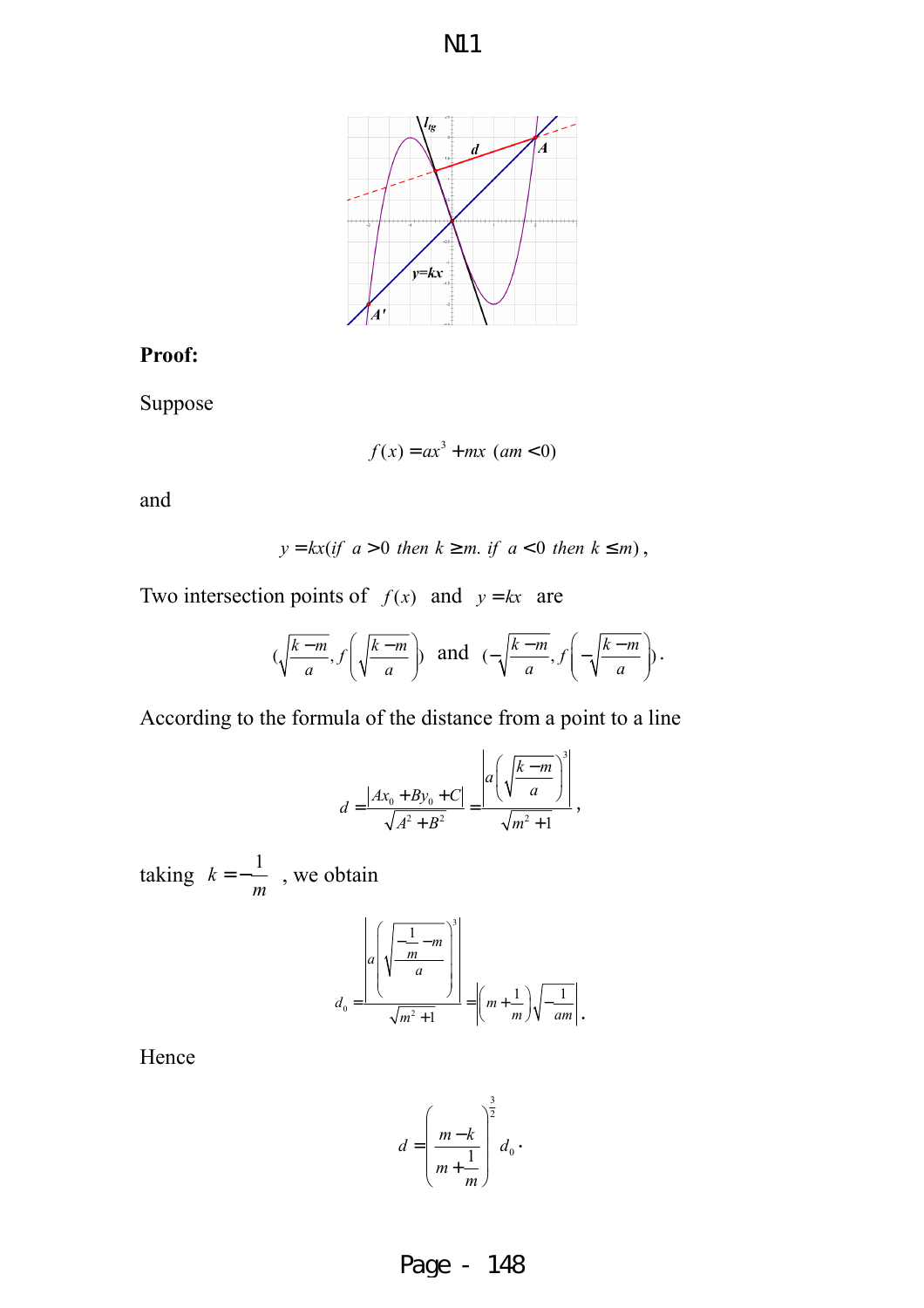



#### **Proof:**

Suppose

$$
f(x) = ax^3 + mx \ (am < 0)
$$

and

$$
y = kx(if\ a > 0\ then\ k \ge m\ if\ a < 0\ then\ k \le m),
$$

Two intersection points of  $f(x)$  and  $y = kx$  are

$$
(\sqrt{\frac{k-m}{a}}, f\left(\sqrt{\frac{k-m}{a}}\right))
$$
 and  $(-\sqrt{\frac{k-m}{a}}, f\left(-\sqrt{\frac{k-m}{a}}\right))$ .

According to the formula of the distance from a point to a line

$$
d = \frac{|Ax_0 + By_0 + C|}{\sqrt{A^2 + B^2}} = \frac{\left| a\left(\sqrt{\frac{k-m}{a}}\right)^3 \right|}{\sqrt{m^2 + 1}},
$$

taking  $k = -\frac{1}{k}$ *m*  $=-\frac{1}{x}$ , we obtain

$$
d_0 = \frac{\left| a \left( \sqrt{\frac{-\frac{1}{m} - m}{a}} \right)^3 \right|}{\sqrt{m^2 + 1}} = \left| \left( m + \frac{1}{m} \right) \sqrt{\frac{1}{am}} \right|.
$$

Hence

$$
d = \left(\frac{m-k}{m+\frac{1}{m}}\right)^{\frac{3}{2}}d_0.
$$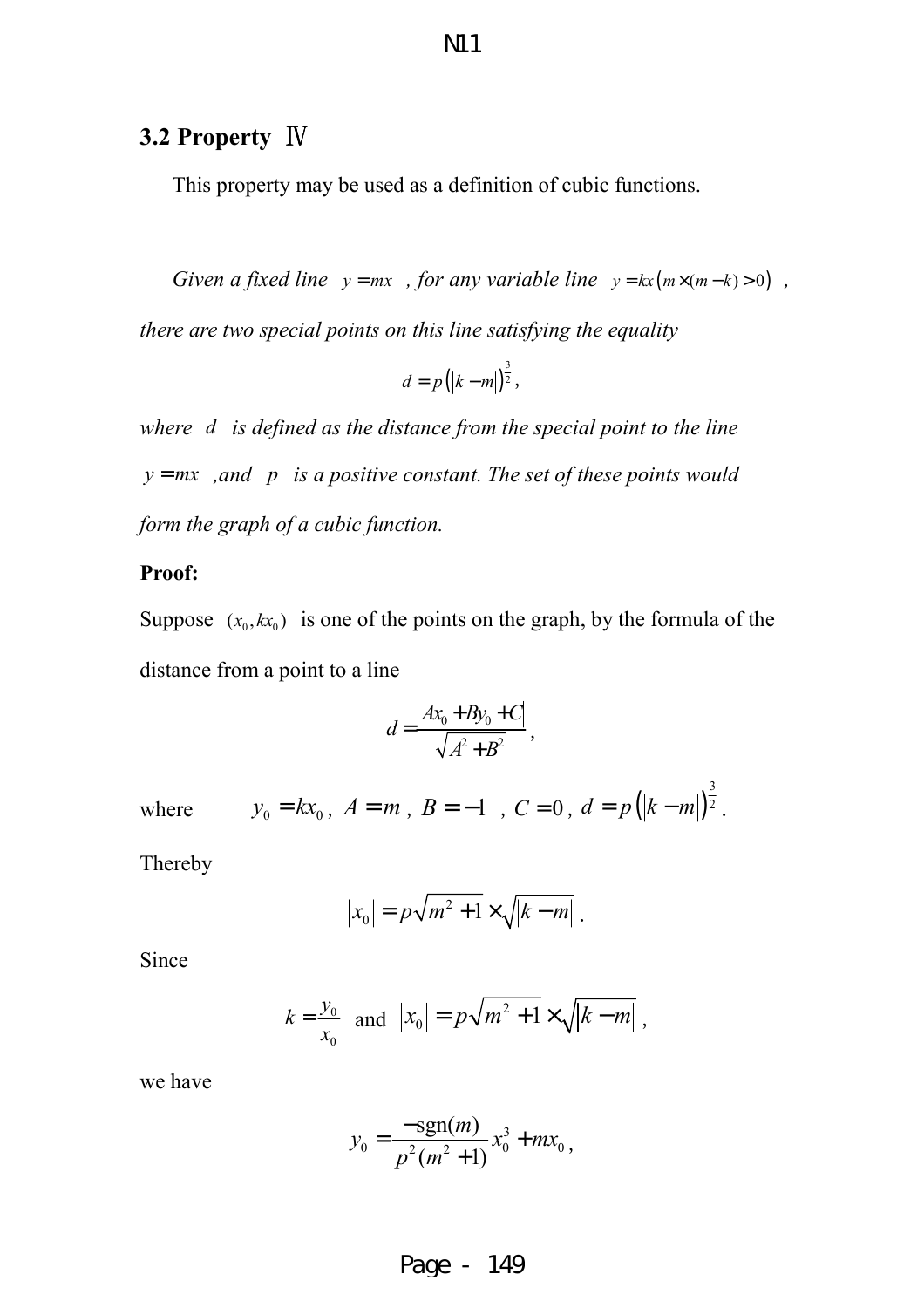#### **3.2 Property** Ⅳ

This property may be used as a definition of cubic functions.

*Given a fixed line*  $y = mx$ , *for any variable line*  $y = kx(m \times (m-k) > 0)$ ,

*there are two special points on this line satisfying the equality* 

$$
d=p(|k-m|)^{\frac{3}{2}},
$$

*where d is defined as the distance from the special point to the line*   $y = mx$ , and p is a positive constant. The set of these points would *form the graph of a cubic function.* 

#### **Proof:**

Suppose  $(x_0, kx_0)$  is one of the points on the graph, by the formula of the distance from a point to a line

$$
d = \frac{\left| Ax_0 + By_0 + C \right|}{\sqrt{A^2 + B^2}},
$$

where 
$$
y_0 = kx_0
$$
,  $A = m$ ,  $B = -1$ ,  $C = 0$ ,  $d = p(|k-m|)^{\frac{3}{2}}$ .

Thereby

$$
|x_0| = p\sqrt{m^2 + 1} \times \sqrt{k - m}.
$$

Since

$$
k = \frac{y_0}{x_0}
$$
 and  $|x_0| = p\sqrt{m^2 + 1} \times \sqrt{|k - m|}$ ,

we have

$$
y_0 = \frac{-\text{sgn}(m)}{p^2(m^2+1)} x_0^3 + mx_0,
$$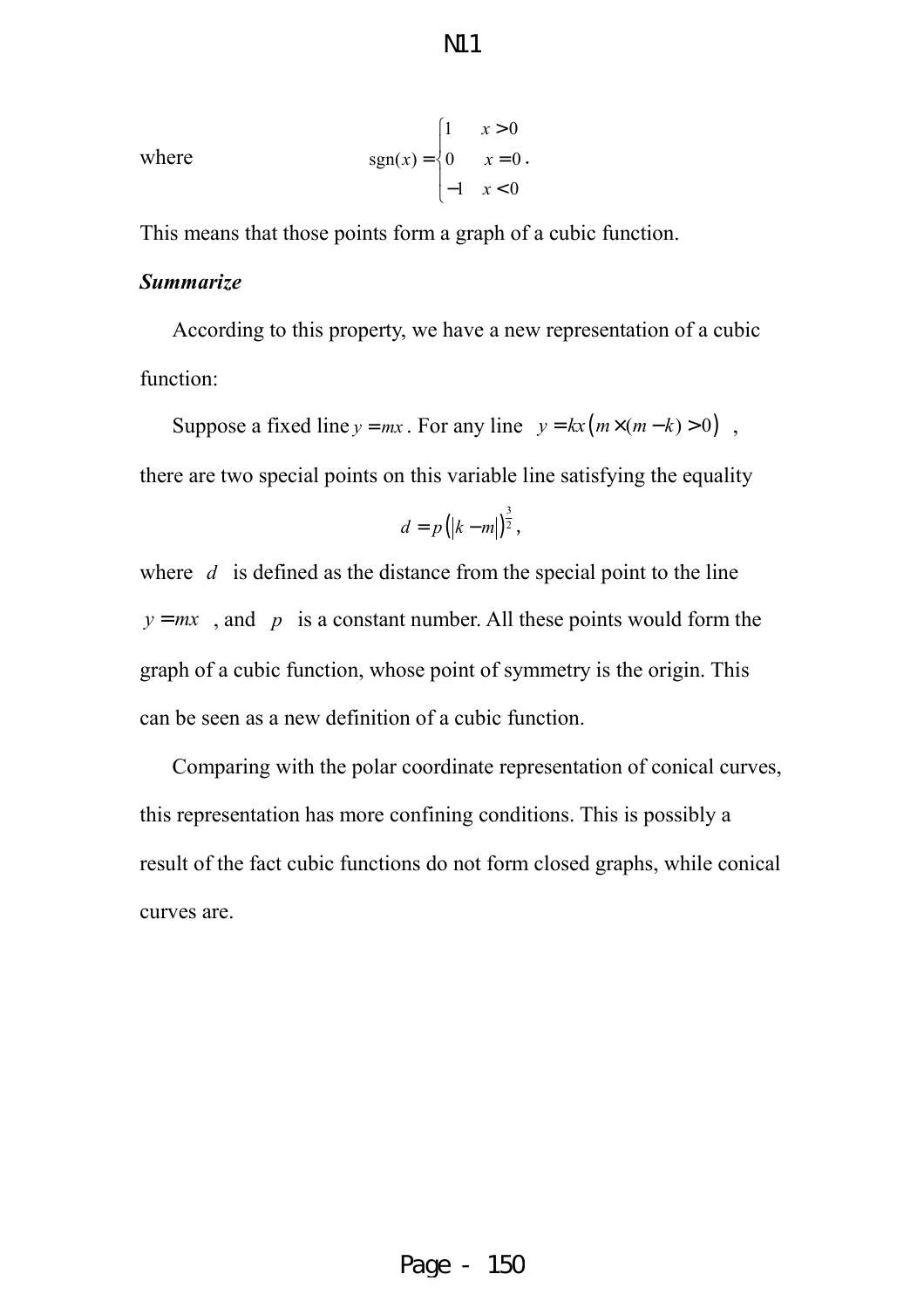N11

where 
$$
\text{sgn}(x) = \begin{cases} 1 & x > 0 \\ 0 & x = 0 \\ -1 & x < 0 \end{cases}
$$

This means that those points form a graph of a cubic function.

#### *Summarize*

According to this property, we have a new representation of a cubic function:

Suppose a fixed line  $y = mx$ . For any line  $y = kx (m \times (m - k) > 0)$ ,

there are two special points on this variable line satisfying the equality

$$
d=p(|k-m|)^{\frac{3}{2}},
$$

where *d* is defined as the distance from the special point to the line  $y = mx$ , and *p* is a constant number. All these points would form the graph of a cubic function, whose point of symmetry is the origin. This can be seen as a new definition of a cubic function.

Comparing with the polar coordinate representation of conical curves, this representation has more confining conditions. This is possibly a result of the fact cubic functions do not form closed graphs, while conical curves are.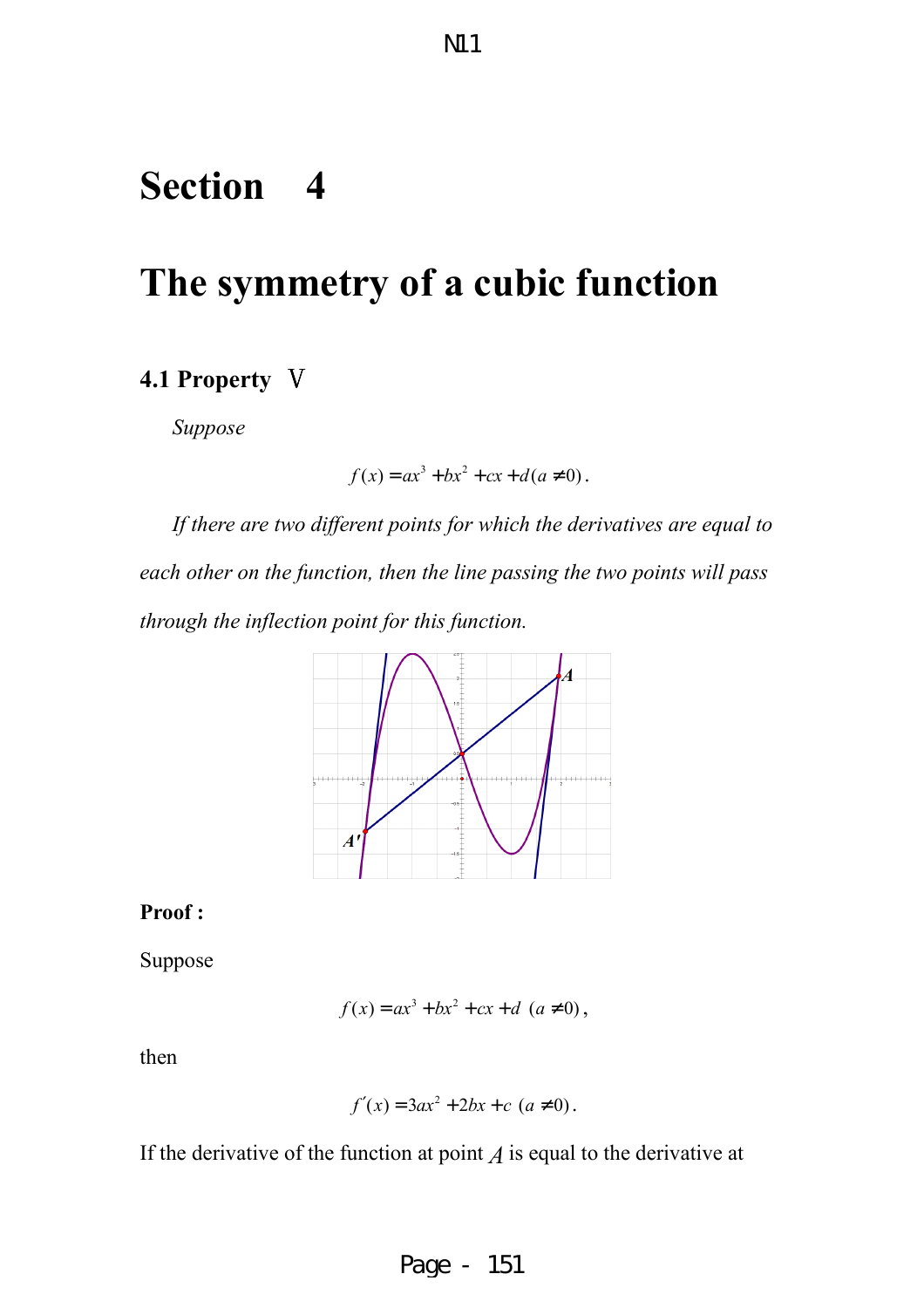### **Section 4**

# **The symmetry of a cubic function**

#### **4.1 Property** Ⅴ

*Suppose* 

$$
f(x) = ax^3 + bx^2 + cx + d(a \neq 0).
$$

*If there are two different points for which the derivatives are equal to each other on the function, then the line passing the two points will pass through the inflection point for this function.* 



#### **Proof :**

Suppose

$$
f(x) = ax^3 + bx^2 + cx + d \ (a \neq 0),
$$

then

$$
f'(x) = 3ax^2 + 2bx + c \ (a \neq 0).
$$

If the derivative of the function at point  $A$  is equal to the derivative at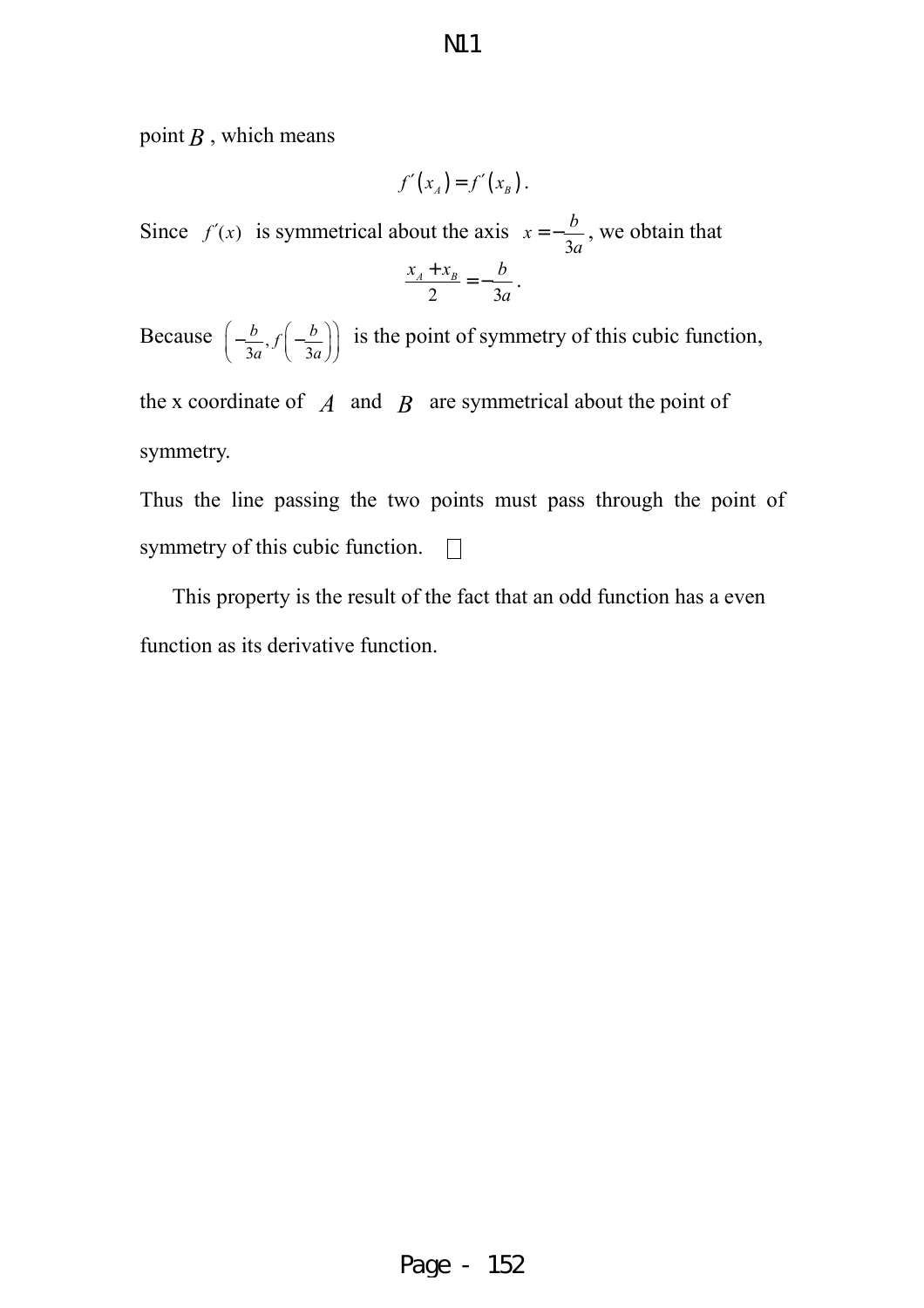point  $B$  , which means

$$
f'(x_A) = f'(x_B).
$$

Since  $f'(x)$  is symmetrical about the axis 3  $x = -\frac{b}{2}$ *a*  $=-\frac{b}{2}$ , we obtain that 2  $3a$  $x_{A} + x_{B} - b$ *a*  $\frac{+x_B}{2} = -\frac{b}{2}.$ 

Because  $\left(-\frac{b}{2}\right)$  $3a^{\prime\prime}$   $3a$  $\frac{b}{b}$ ,  $f\left(-\frac{b}{c}\right)$  $a^{\prime\prime}$  \ 3*a*  $(b \t b \t b))$  $\left(-\frac{6}{3a}, f\left(-\frac{6}{3a}\right)\right)$ is the point of symmetry of this cubic function,

the x coordinate of  $\overline{A}$  and  $\overline{B}$  are symmetrical about the point of symmetry.

Thus the line passing the two points must pass through the point of symmetry of this cubic function.  $\Box$ 

This property is the result of the fact that an odd function has a even function as its derivative function.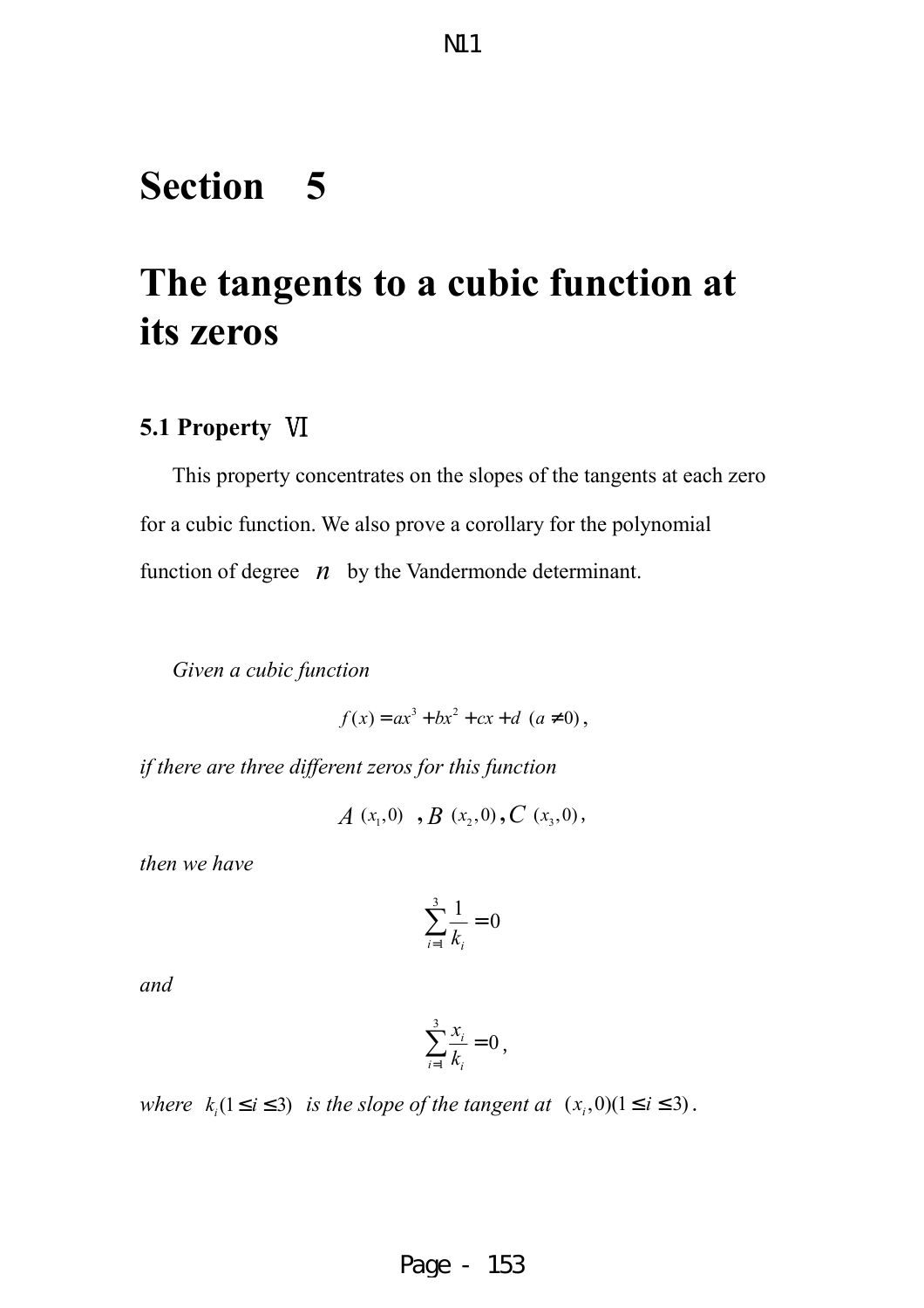# **Section 5**

# **The tangents to a cubic function at its zeros**

#### **5.1 Property** Ⅵ

This property concentrates on the slopes of the tangents at each zero for a cubic function. We also prove a corollary for the polynomial function of degree  $n$  by the Vandermonde determinant.

*Given a cubic function* 

$$
f(x) = ax^3 + bx^2 + cx + d \ (a \neq 0),
$$

*if there are three different zeros for this function* 

 $A(x_1,0)$ ,  $B(x_2,0)$ ,  $C(x_3,0)$ ,

*then we have* 

$$
\sum_{i=1}^3 \frac{1}{k_i} = 0
$$

*and*

$$
\sum_{i=1}^3 \frac{x_i}{k_i} = 0
$$

*where*  $k_i$  (1  $\le i \le 3$ ) *is the slope of the tangent at*  $(x_i, 0)$  (1  $\le i \le 3$ ).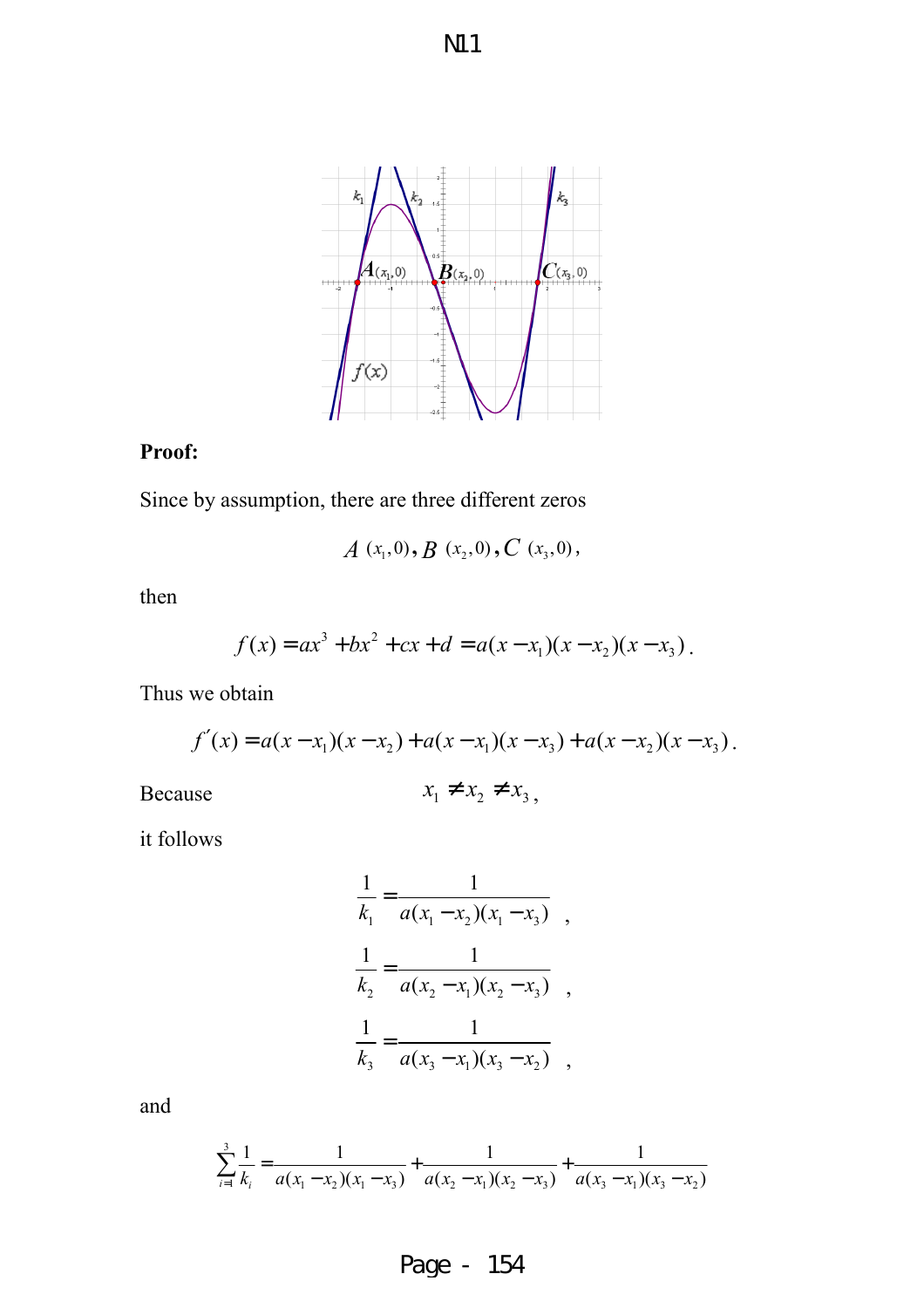

#### **Proof:**

Since by assumption, there are three different zeros

$$
A(x_1,0), B(x_2,0), C(x_3,0),
$$

then

$$
f(x) = ax3 + bx2 + cx + d = a(x - x1)(x - x2)(x - x3).
$$

Thus we obtain

$$
f'(x) = a(x - x_1)(x - x_2) + a(x - x_1)(x - x_3) + a(x - x_2)(x - x_3).
$$

Because

$$
x_1 \neq x_2 \neq x_3
$$

it follows

$$
\frac{1}{k_1} = \frac{1}{a(x_1 - x_2)(x_1 - x_3)},
$$
  
\n
$$
\frac{1}{k_2} = \frac{1}{a(x_2 - x_1)(x_2 - x_3)},
$$
  
\n
$$
\frac{1}{k_3} = \frac{1}{a(x_3 - x_1)(x_3 - x_2)},
$$

and

$$
\sum_{i=1}^{3} \frac{1}{k_i} = \frac{1}{a(x_1 - x_2)(x_1 - x_3)} + \frac{1}{a(x_2 - x_1)(x_2 - x_3)} + \frac{1}{a(x_3 - x_1)(x_3 - x_2)}
$$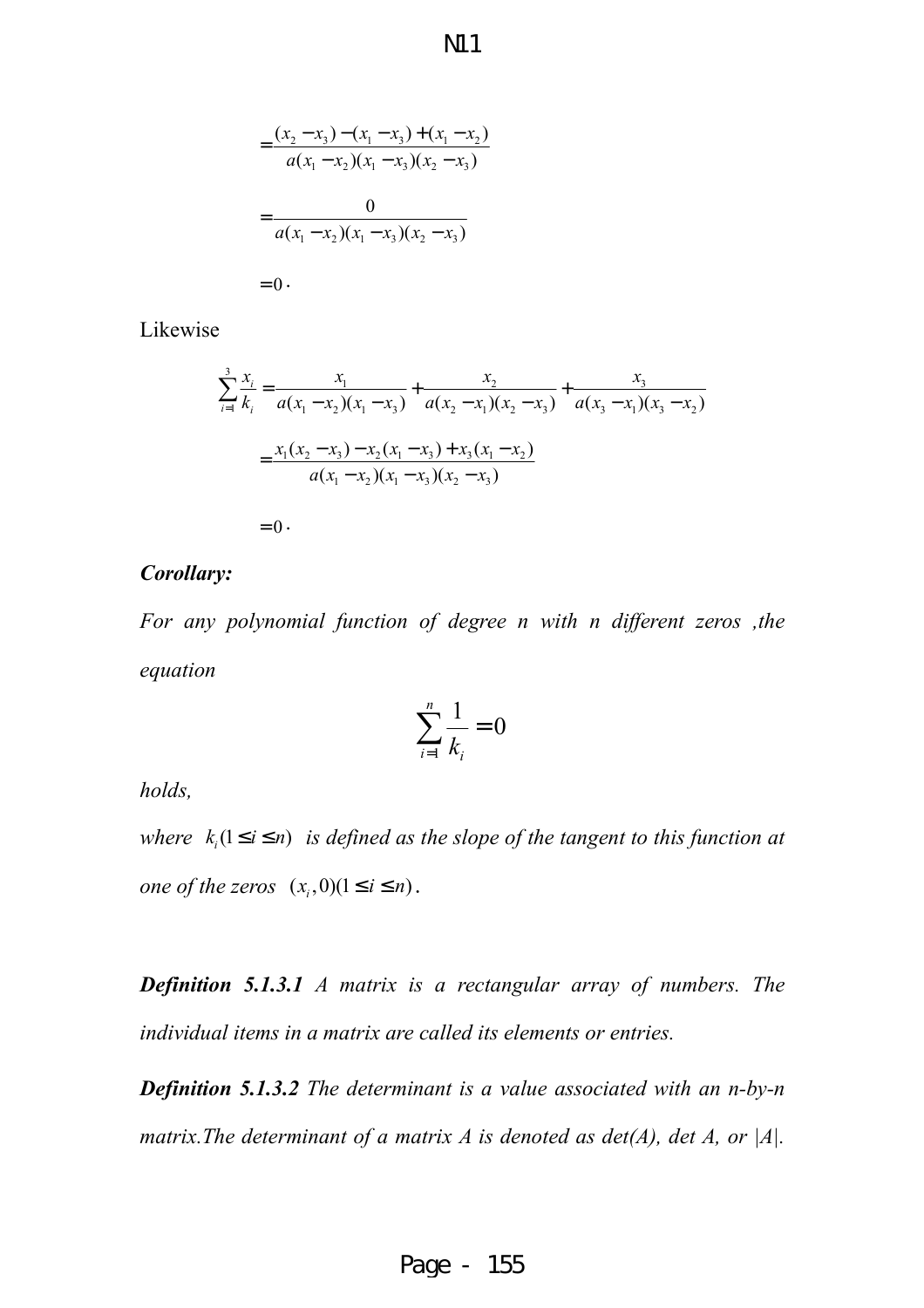$$
=\frac{(x_2 - x_3) - (x_1 - x_3) + (x_1 - x_2)}{a(x_1 - x_2)(x_1 - x_3)(x_2 - x_3)}
$$
  
= 
$$
\frac{0}{a(x_1 - x_2)(x_1 - x_3)(x_2 - x_3)}
$$
  
= 0.

Likewise

$$
\sum_{i=1}^{3} \frac{x_i}{k_i} = \frac{x_1}{a(x_1 - x_2)(x_1 - x_3)} + \frac{x_2}{a(x_2 - x_1)(x_2 - x_3)} + \frac{x_3}{a(x_3 - x_1)(x_3 - x_2)}
$$

$$
= \frac{x_1(x_2 - x_3) - x_2(x_1 - x_3) + x_3(x_1 - x_2)}{a(x_1 - x_2)(x_1 - x_3)(x_2 - x_3)}
$$

 $= 0$ .

#### *Corollary:*

*For any polynomial function of degree n with n different zeros ,the equation*

$$
\sum_{i=1}^{n} \frac{1}{k_i} = 0
$$

*holds,* 

*where*  $k_i$  ( $1 \le i \le n$ ) *is defined as the slope of the tangent to this function at one of the zeros*  $(x_i, 0)$  $(1 \le i \le n)$ .

*Definition 5.1.3.1 A matrix is a rectangular array of numbers. The individual items in a matrix are called its elements or entries.*

*Definition 5.1.3.2 The determinant is a value associated with an n-by-n matrix.The determinant of a matrix A is denoted as det(A), det A, or |A|.*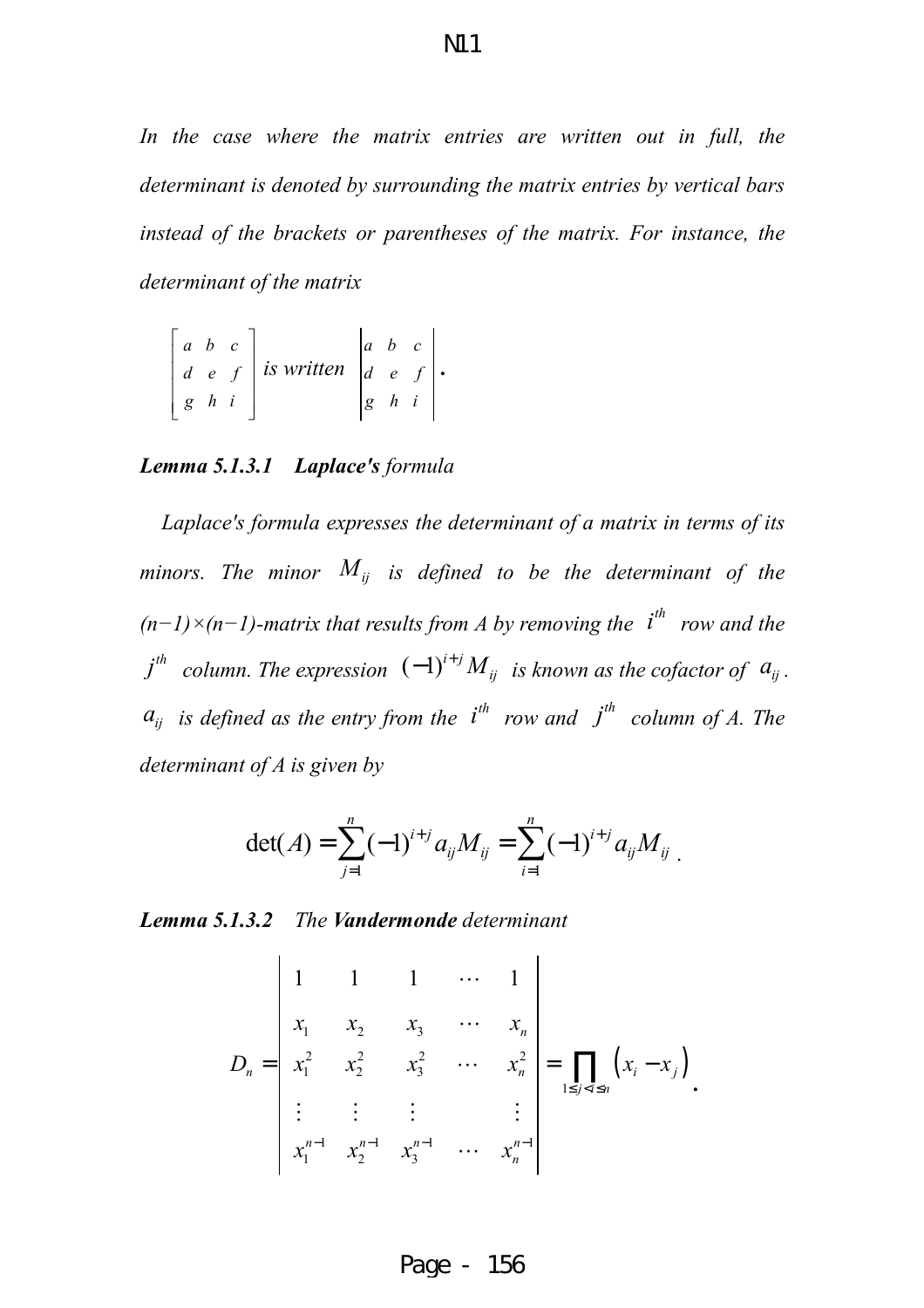In the case where the matrix entries are written out in full, the *determinant is denoted by surrounding the matrix entries by vertical bars instead of the brackets or parentheses of the matrix. For instance, the determinant of the matrix* 

$$
\begin{bmatrix} a & b & c \\ d & e & f \\ g & h & i \end{bmatrix}
$$
 is written 
$$
\begin{bmatrix} a & b & c \\ d & e & f \\ g & h & i \end{bmatrix}
$$
.

#### *Lemma 5.1.3.1 Laplace's formula*

*Laplace's formula expresses the determinant of a matrix in terms of its minors. The minor*  $M_{ij}$  *is defined to be the determinant of the*  $(n-1)\times(n-1)$ -matrix that results from A by removing the  $i^{th}$  *row and the*  $j$ <sup>th</sup> column. The expression  $(-1)^{i+j} M_{ij}$  is known as the cofactor of  $a_{ij}$ .  $a_{ij}$  *is defined as the entry from the*  $i^{th}$  *row and*  $j^{th}$  *column of A. The determinant of A is given by* 

$$
\det(A) = \sum_{j=1}^n (-1)^{i+j} a_{ij} M_{ij} = \sum_{i=1}^n (-1)^{i+j} a_{ij} M_{ij}.
$$

*Lemma 5.1.3.2 The Vandermonde determinant* 

$$
D_n = \begin{vmatrix} 1 & 1 & 1 & \cdots & 1 \\ x_1 & x_2 & x_3 & \cdots & x_n \\ x_1^2 & x_2^2 & x_3^2 & \cdots & x_n^2 \\ \vdots & \vdots & \vdots & & \vdots \\ x_1^{n-1} & x_2^{n-1} & x_3^{n-1} & \cdots & x_n^{n-1} \end{vmatrix} = \prod_{1 \le j < i \le n} (x_i - x_j).
$$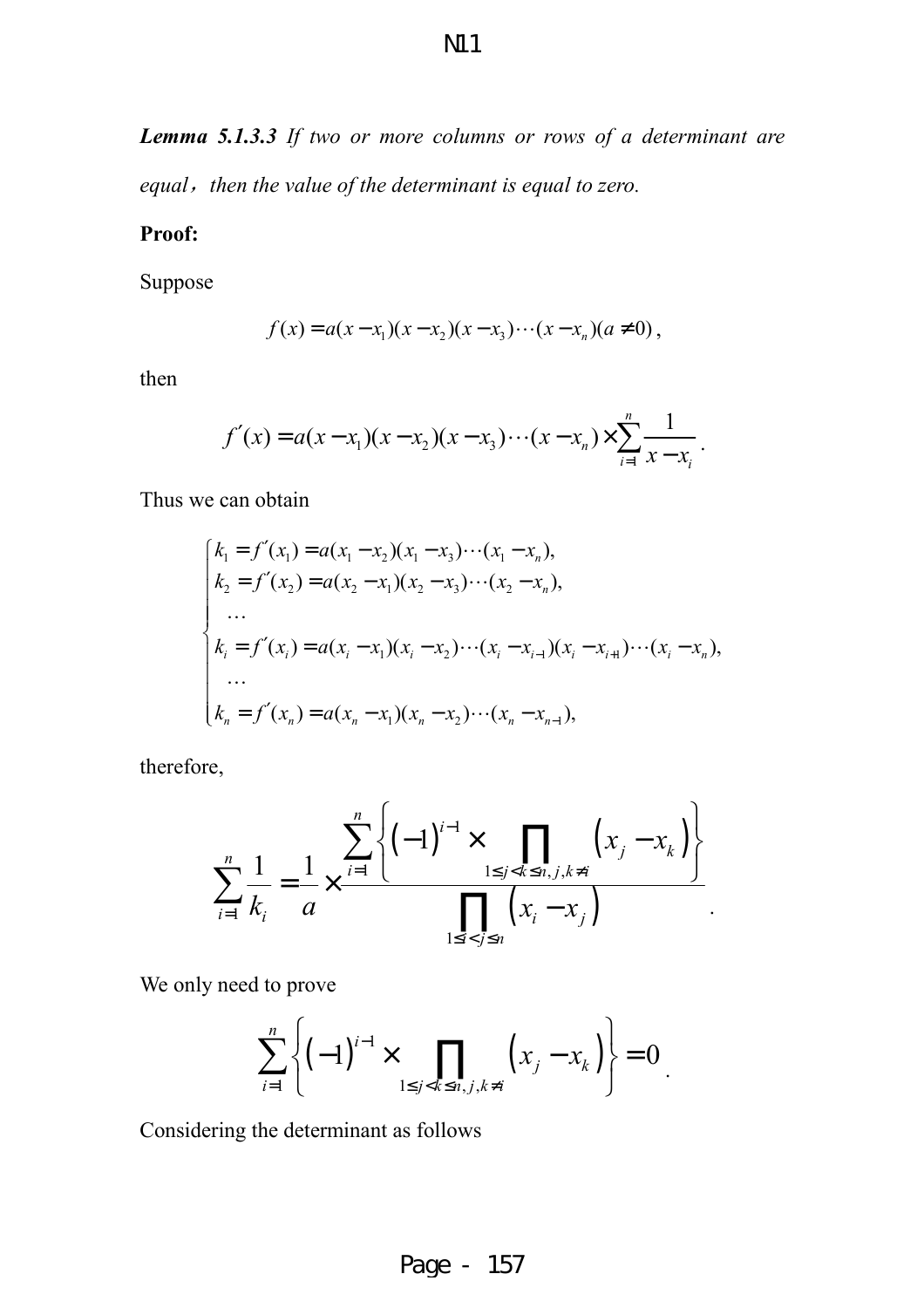*Lemma 5.1.3.3 If two or more columns or rows of a determinant are equal*,*then the value of the determinant is equal to zero.* 

#### **Proof:**

Suppose

$$
f(x) = a(x - x_1)(x - x_2)(x - x_3) \cdots (x - x_n)(a \neq 0),
$$

then

$$
f'(x) = a(x-x_1)(x-x_2)(x-x_3)\cdots(x-x_n) \times \sum_{i=1}^n \frac{1}{x-x_i}.
$$

Thus we can obtain

$$
\begin{cases}\nk_1 = f'(x_1) = a(x_1 - x_2)(x_1 - x_3) \cdots (x_1 - x_n), \\
k_2 = f'(x_2) = a(x_2 - x_1)(x_2 - x_3) \cdots (x_2 - x_n), \\
\dots \\
k_i = f'(x_i) = a(x_i - x_1)(x_i - x_2) \cdots (x_i - x_{i-1})(x_i - x_{i+1}) \cdots (x_i - x_n), \\
\dots \\
k_n = f'(x_n) = a(x_n - x_1)(x_n - x_2) \cdots (x_n - x_{n-1}),\n\end{cases}
$$

therefore,

$$
\sum_{i=1}^{n} \frac{1}{k_i} = \frac{1}{a} \times \frac{\sum_{i=1}^{n} \left\{ (-1)^{i-1} \times \prod_{1 \le j < k \le n, j, k \ne i} \left( x_j - x_k \right) \right\}}{\prod_{1 \le i < j \le n} \left( x_i - x_j \right)}.
$$

We only need to prove

$$
\sum_{i=1}^{n} \left\{ (-1)^{i-1} \times \prod_{1 \le j < k \le n, j, k \ne i} \left( x_j - x_k \right) \right\} = 0.
$$

Considering the determinant as follows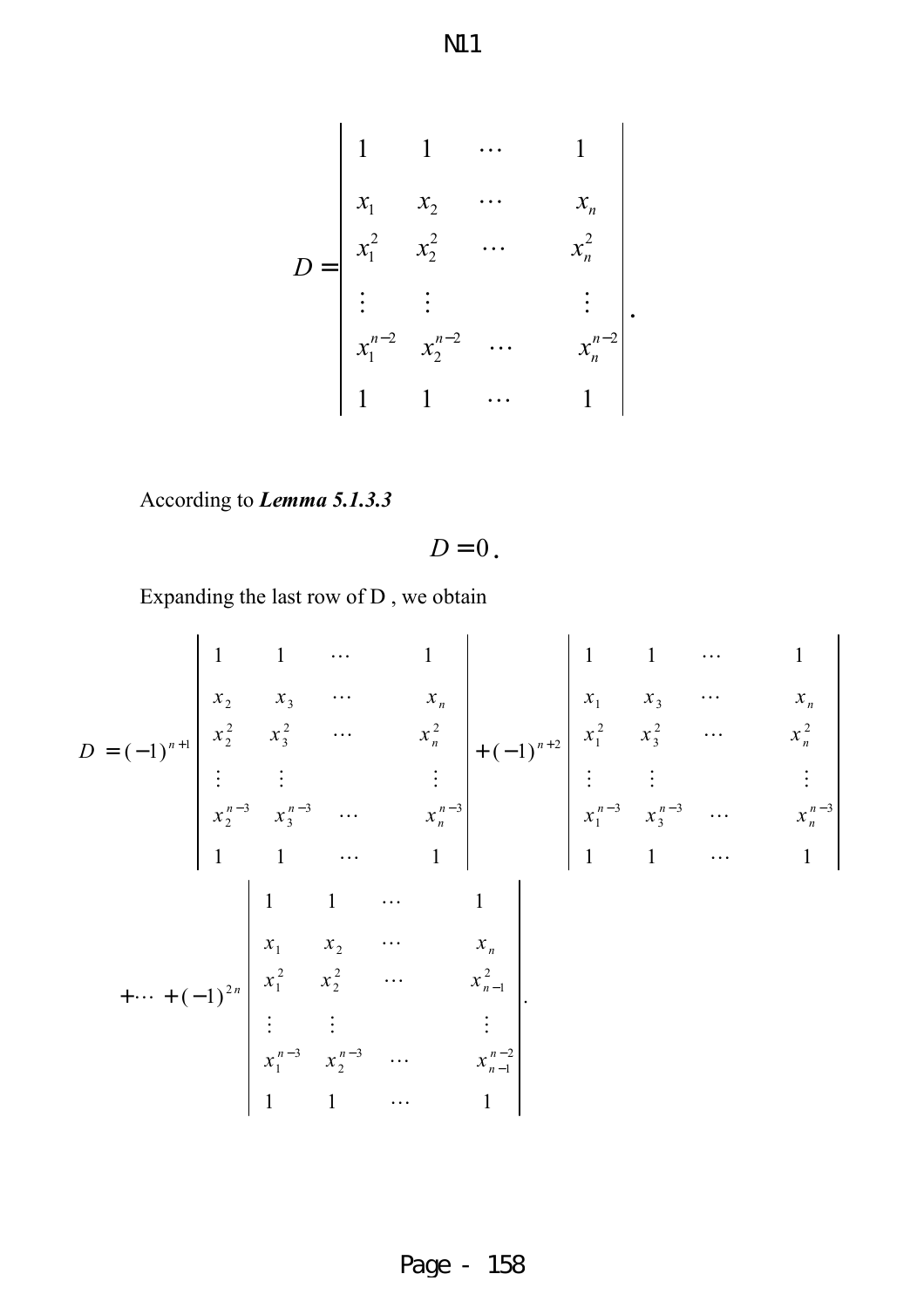$$
D = \begin{vmatrix} 1 & 1 & \cdots & 1 \\ x_1 & x_2 & \cdots & x_n \\ x_1^2 & x_2^2 & \cdots & x_n^2 \\ \vdots & \vdots & & \vdots \\ x_1^{n-2} & x_2^{n-2} & \cdots & x_n^{n-2} \\ 1 & 1 & \cdots & 1 \end{vmatrix}.
$$

According to *Lemma 5.1.3.3*

$$
D=0.
$$

Expanding the last row of D , we obtain

$$
D = (-1)^{n+1} \begin{vmatrix} 1 & 1 & \cdots & 1 \\ x_2 & x_3 & \cdots & x_n \\ x_2^2 & x_3^2 & \cdots & x_n^2 \\ \vdots & \vdots & \vdots & \vdots \\ x_2^{n-3} & x_3^{n-3} & \cdots & x_n^{n-3} \\ 1 & 1 & \cdots & 1 \\ \vdots & \vdots & \vdots & \vdots \\ x_1^{n-3} & x_2 & \cdots & x_n \\ x_1^{n-3} & x_2^{n-1} & \cdots & x_n \\ \vdots & \vdots & \vdots & \vdots \\ x_1^{n-3} & x_2^{n-2} & \cdots & x_n \\ \vdots & \vdots & \vdots & \vdots \\ x_1^{n-3} & x_2^{n-1} & \cdots & x_n \\ \vdots & \vdots & \vdots & \vdots \\ x_1^{n-3} & x_2^{n-2} & \cdots & x_n^{n-1} \\ \vdots & \vdots & \vdots & \vdots \\ x_1^{n-3} & x_2^{n-3} & \cdots & x_n^{n-2} \\ 1 & 1 & \cdots & 1 \end{vmatrix}
$$

Page - 158

N11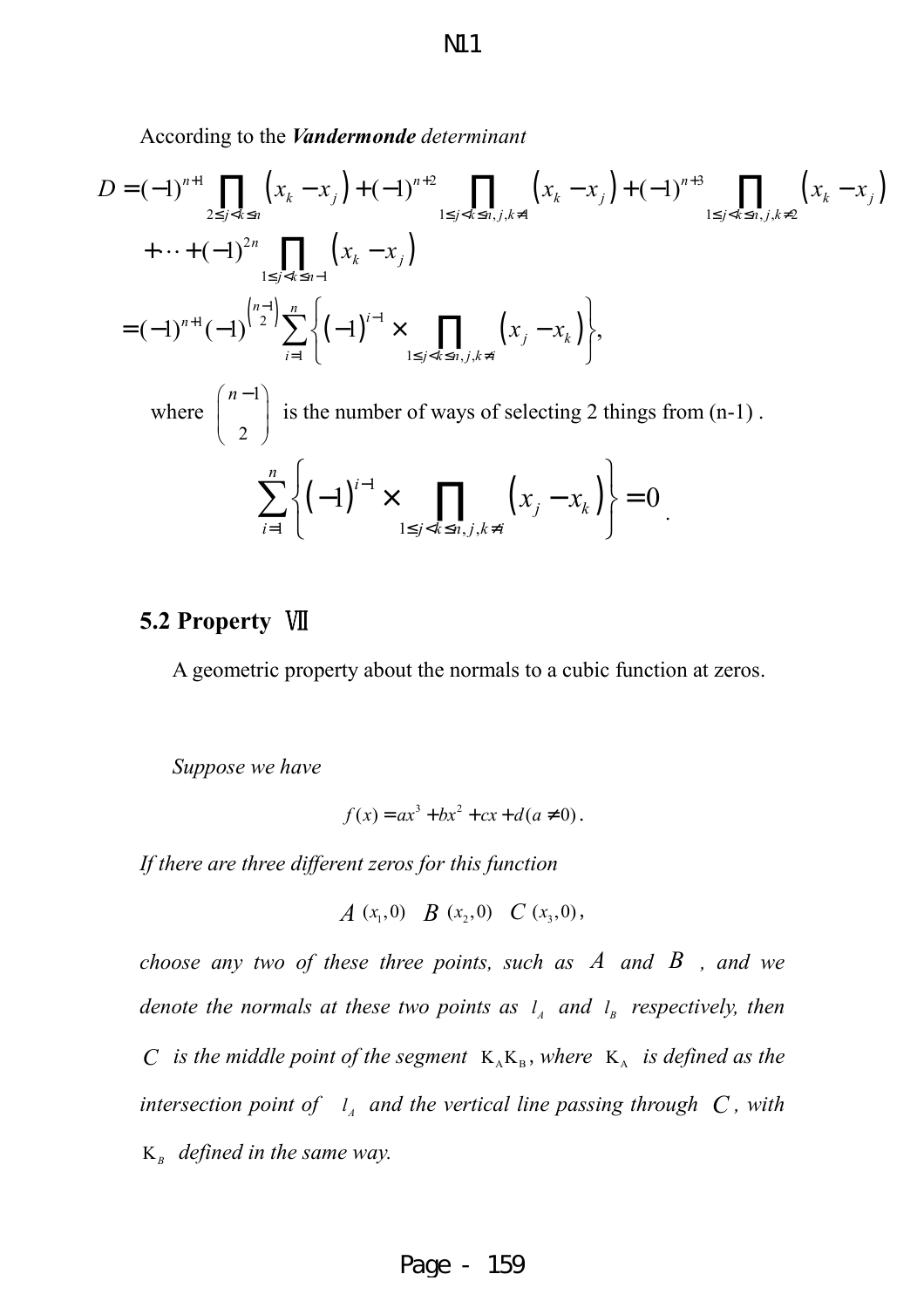According to the *Vandermonde determinant*

$$
D = (-1)^{n+1} \prod_{2 \le j < k \le n} (x_k - x_j) + (-1)^{n+2} \prod_{1 \le j < k \le n, j, k \ne 1} (x_k - x_j) + (-1)^{n+3} \prod_{1 \le j < k \le n, j, k \ne 2} (x_k - x_j)
$$
  
+ \cdots + (-1)^{2n} \prod\_{1 \le j < k \le n-1} (x\_k - x\_j)  
= (-1)^{n+1} (-1)^{\binom{n-1}{2}} \sum\_{i=1}^n \left\{ (-1)^{i-1} \times \prod\_{1 \le j < k \le n, j, k \ne i} (x\_j - x\_k) \right\},\newline where \binom{n-1}{2} \text{ is the number of ways of selecting 2 things from (n-1).}\newline \sum\_{i=1}^n \left\{ (-1)^{i-1} \times \prod\_{1 \le j < k \le n, j, k \ne i} (x\_j - x\_k) \right\} = 0.

#### **5.2 Property** Ⅶ

A geometric property about the normals to a cubic function at zeros.

*Suppose we have* 

$$
f(x) = ax^3 + bx^2 + cx + d(a \neq 0).
$$

*If there are three different zeros for this function* 

$$
A(x_1,0) \quad B(x_2,0) \quad C(x_3,0),
$$

*choose any two of these three points, such as A and B , and we denote the normals at these two points as*  $l_A$  *and*  $l_B$  *respectively, then C* is the middle point of the segment  $K_A K_B$ , where  $K_A$  is defined as the *intersection point of*  $I_A$  and the vertical line passing through  $C$ , with K*<sup>B</sup> defined in the same way.*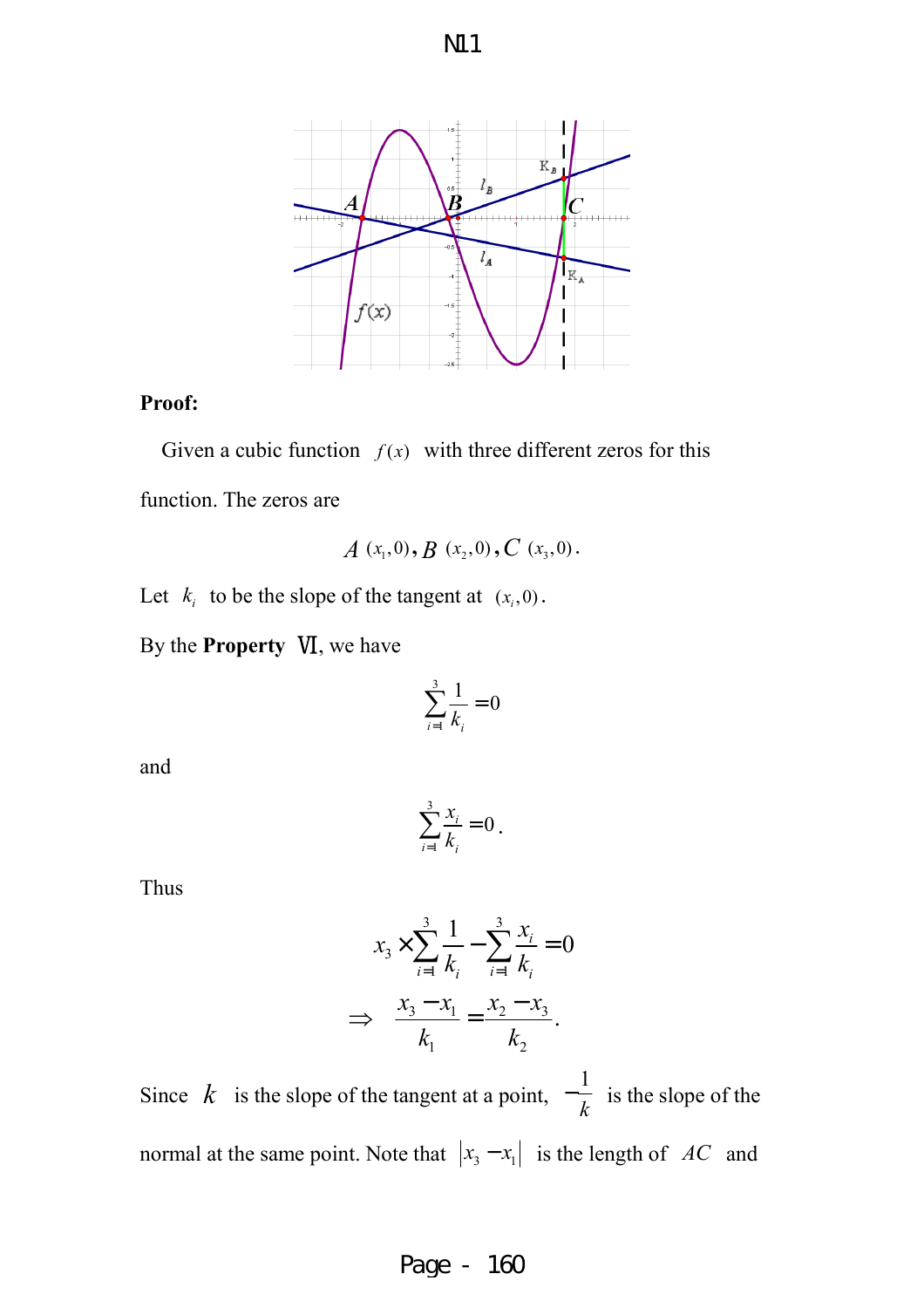



#### **Proof:**

Given a cubic function  $f(x)$  with three different zeros for this function. The zeros are

$$
A(x_1,0), B(x_2,0), C(x_3,0).
$$

Let  $k_i$  to be the slope of the tangent at  $(x_i, 0)$ .

By the **Property** Ⅵ, we have

$$
\sum_{i=1}^3 \frac{1}{k_i} = 0
$$

and

$$
\sum_{i=1}^3 \frac{x_i}{k_i} = 0.
$$

Thus

$$
x_3 \times \sum_{i=1}^3 \frac{1}{k_i} - \sum_{i=1}^3 \frac{x_i}{k_i} = 0
$$
  
\n
$$
\implies \frac{x_3 - x_1}{k_1} = \frac{x_2 - x_3}{k_2}.
$$

Since  $k$  is the slope of the tangent at a point, 1 *k*  $-\frac{1}{h}$  is the slope of the normal at the same point. Note that  $|x_3 - x_1|$  is the length of *AC* and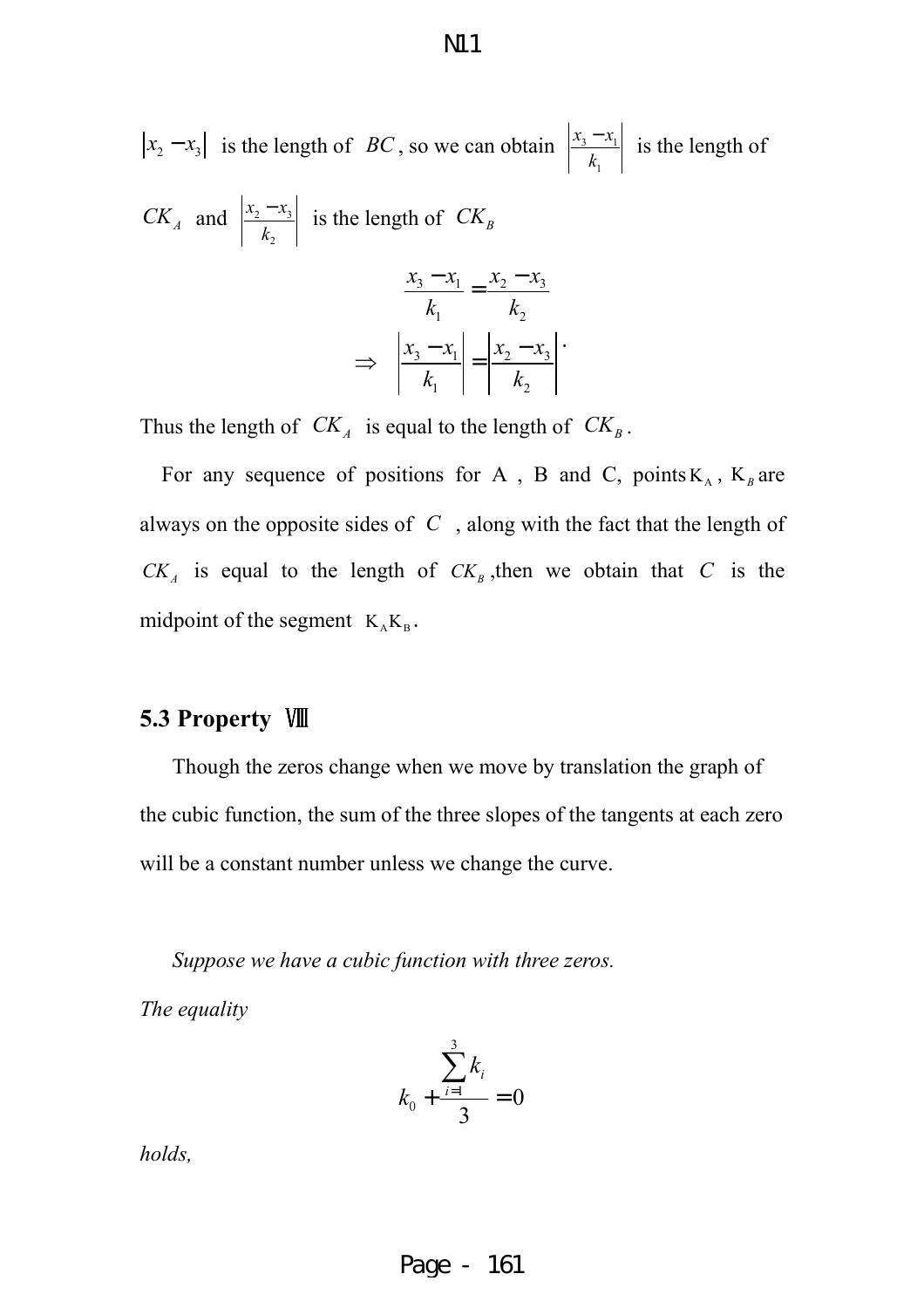$$
|x_2 - x_3|
$$
 is the length of *BC*, so we can obtain  $\left| \frac{x_3 - x_1}{k_1} \right|$  is the length of *CK<sub>A</sub>* and  $\left| \frac{x_2 - x_3}{k_2} \right|$  is the length of *CK<sub>B</sub>*  

$$
\frac{x_3 - x_1}{k_2} = \frac{x_2 - x_3}{k_3}
$$

$$
\frac{x_3 - x_1}{k_1} = \frac{x_2 - x_3}{k_2}
$$

$$
\Rightarrow \left| \frac{x_3 - x_1}{k_1} \right| = \left| \frac{x_2 - x_3}{k_2} \right|.
$$

Thus the length of  $CK_A$  is equal to the length of  $CK_B$ .

For any sequence of positions for A, B and C, points  $K_A$ ,  $K_B$  are always on the opposite sides of *C* , along with the fact that the length of  $CK_A$  is equal to the length of  $CK_B$ , then we obtain that *C* is the midpoint of the segment  $K_A K_B$ .

#### **5.3 Property** Ⅷ

Though the zeros change when we move by translation the graph of the cubic function, the sum of the three slopes of the tangents at each zero will be a constant number unless we change the curve.

*Suppose we have a cubic function with three zeros.* 

*The equality* 

$$
k_0 + \frac{\sum_{i=1}^3 k_i}{3} = 0
$$

*holds,*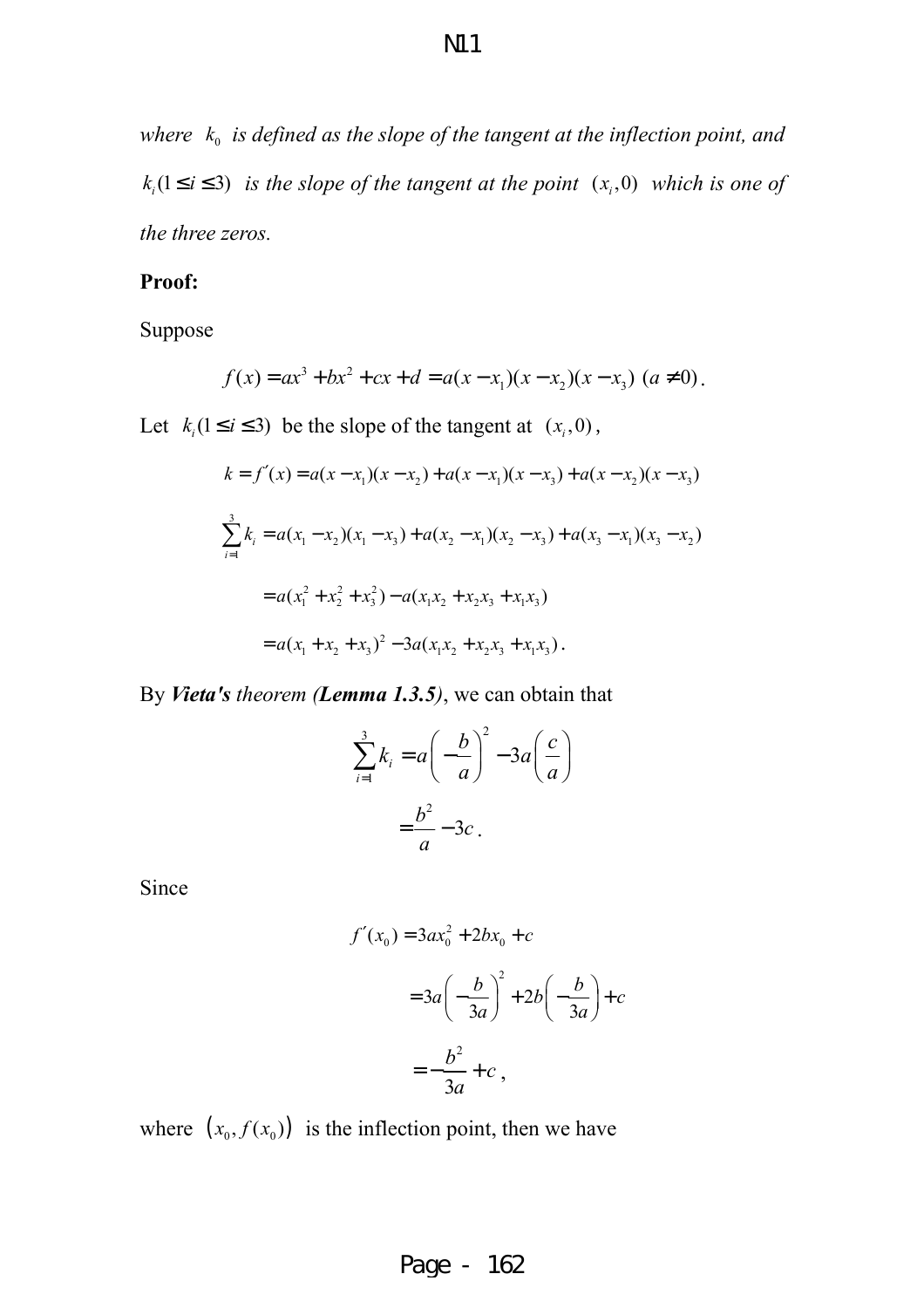where  $k_0$  is defined as the slope of the tangent at the inflection point, and  $k_i$ ( $1 \le i \le 3$ ) *is the slope of the tangent at the point*  $(x_i, 0)$  *which is one of the three zeros.* 

#### **Proof:**

Suppose

$$
f(x) = ax3 + bx2 + cx + d = a(x - x1)(x - x2)(x - x3) (a \neq 0).
$$

Let  $k_i$  ( $1 \le i \le 3$ ) be the slope of the tangent at  $(x_i, 0)$ ,

$$
k = f'(x) = a(x - x_1)(x - x_2) + a(x - x_1)(x - x_3) + a(x - x_2)(x - x_3)
$$
  

$$
\sum_{i=1}^{3} k_i = a(x_1 - x_2)(x_1 - x_3) + a(x_2 - x_1)(x_2 - x_3) + a(x_3 - x_1)(x_3 - x_2)
$$
  

$$
= a(x_1^2 + x_2^2 + x_3^2) - a(x_1x_2 + x_2x_3 + x_1x_3)
$$
  

$$
= a(x_1 + x_2 + x_3)^2 - 3a(x_1x_2 + x_2x_3 + x_1x_3).
$$

By *Vieta's theorem (Lemma 1.3.5)*, we can obtain that

$$
\sum_{i=1}^{3} k_i = a \left( -\frac{b}{a} \right)^2 - 3a \left( \frac{c}{a} \right)
$$

$$
= \frac{b^2}{a} - 3c
$$

Since

$$
f'(x_0) = 3ax_0^2 + 2bx_0 + c
$$
  

$$
= 3a\left(-\frac{b}{3a}\right)^2 + 2b\left(-\frac{b}{3a}\right) + c
$$
  

$$
= -\frac{b^2}{3a} + c,
$$

where  $(x_0, f(x_0))$  is the inflection point, then we have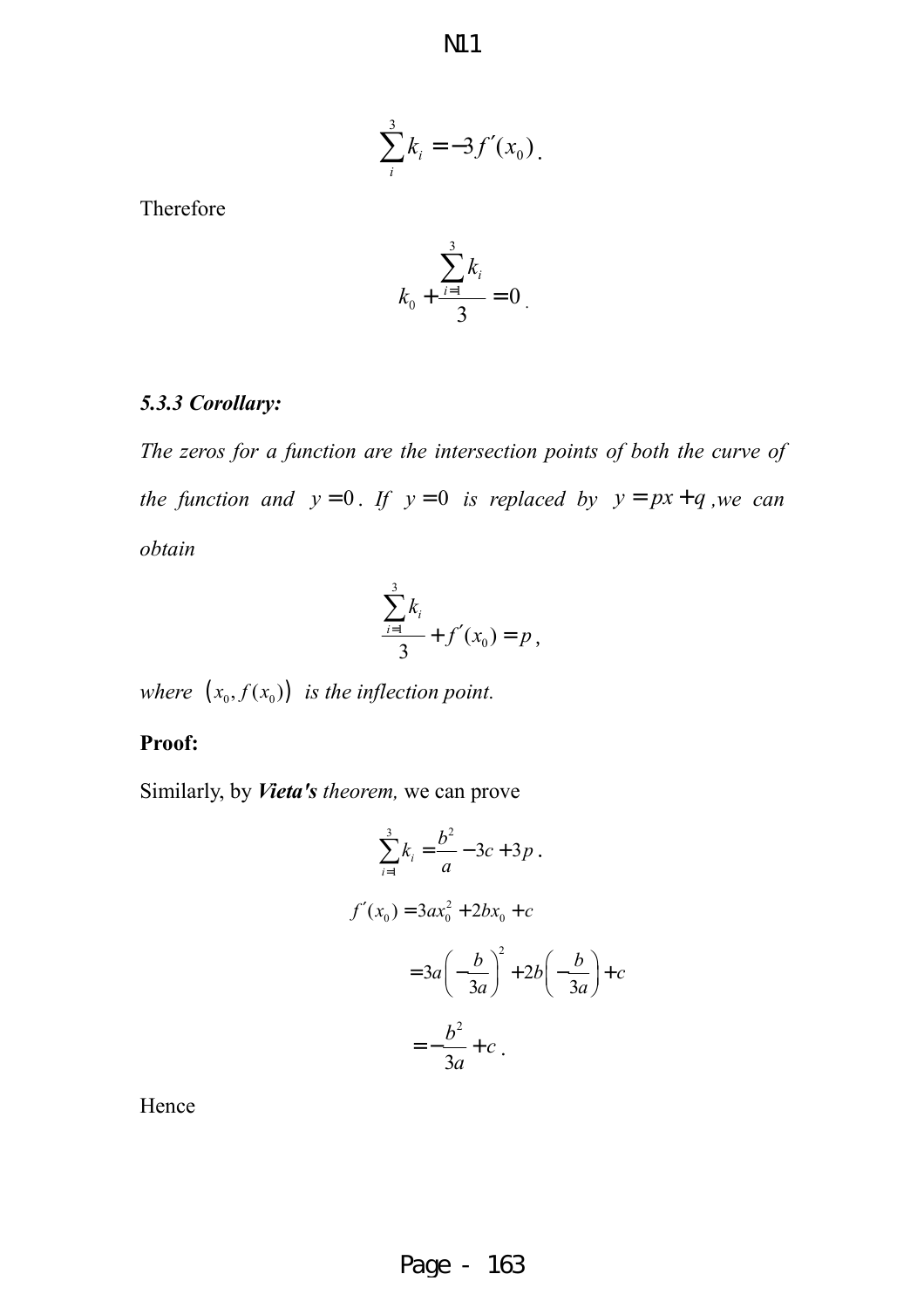N11

$$
\sum_{i}^{3} k_{i} = -3f'(x_{0}).
$$

Therefore

$$
k_0 + \frac{\sum_{i=1}^3 k_i}{3} = 0
$$

#### *5.3.3 Corollary:*

*The zeros for a function are the intersection points of both the curve of the function and*  $y = 0$ . If  $y = 0$  *is replaced by*  $y = px + q$ , *we can obtain* 

$$
\frac{\sum_{i=1}^{3}k_i}{3} + f'(x_0) = p,
$$

*where*  $(x_0, f(x_0))$  *is the inflection point.* 

#### **Proof:**

Similarly, by *Vieta's theorem,* we can prove

$$
\sum_{i=1}^{3} k_i = \frac{b^2}{a} - 3c + 3p.
$$
  

$$
f'(x_0) = 3ax_0^2 + 2bx_0 + c
$$

$$
= 3a\left(-\frac{b}{3a}\right)^2 + 2b\left(-\frac{b}{3a}\right) + c
$$

$$
= -\frac{b^2}{3a} + c.
$$

Hence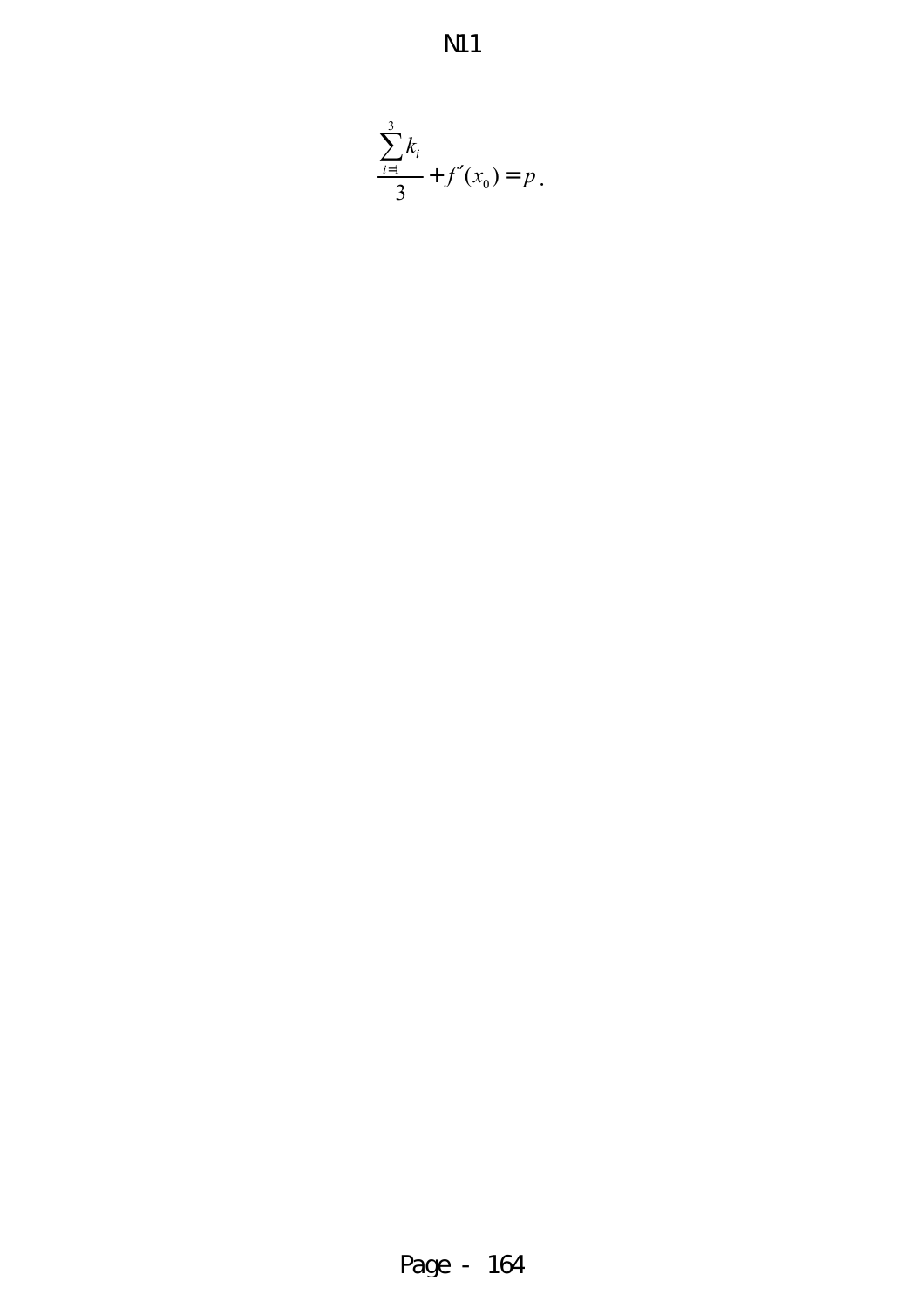N11

$$
\frac{\sum_{i=1}^{3}k_i}{3} + f'(x_0) = p.
$$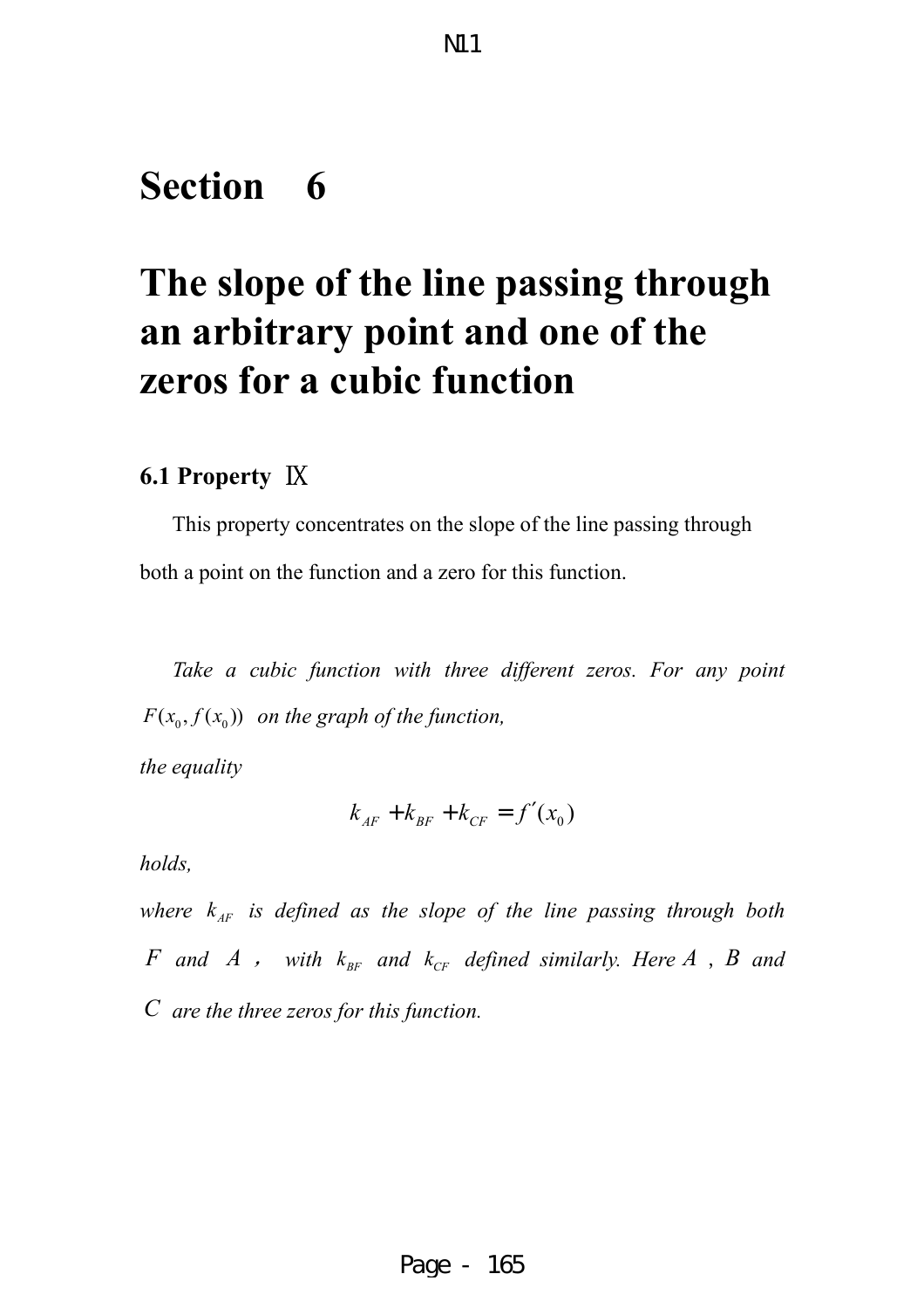### **Section 6**

# **The slope of the line passing through an arbitrary point and one of the zeros for a cubic function**

#### **6.1 Property** Ⅸ

This property concentrates on the slope of the line passing through both a point on the function and a zero for this function.

*Take a cubic function with three different zeros. For any point*  $F(x_0, f(x_0))$  on the graph of the function,

*the equality* 

$$
k_{AF} + k_{BF} + k_{CF} = f'(x_0)
$$

*holds,*

*where*  $k_{AF}$  *is defined as the slope of the line passing through both F* and *A*, with  $k_{BF}$  and  $k_{CF}$  defined similarly. Here *A*, *B* and *C are the three zeros for this function.*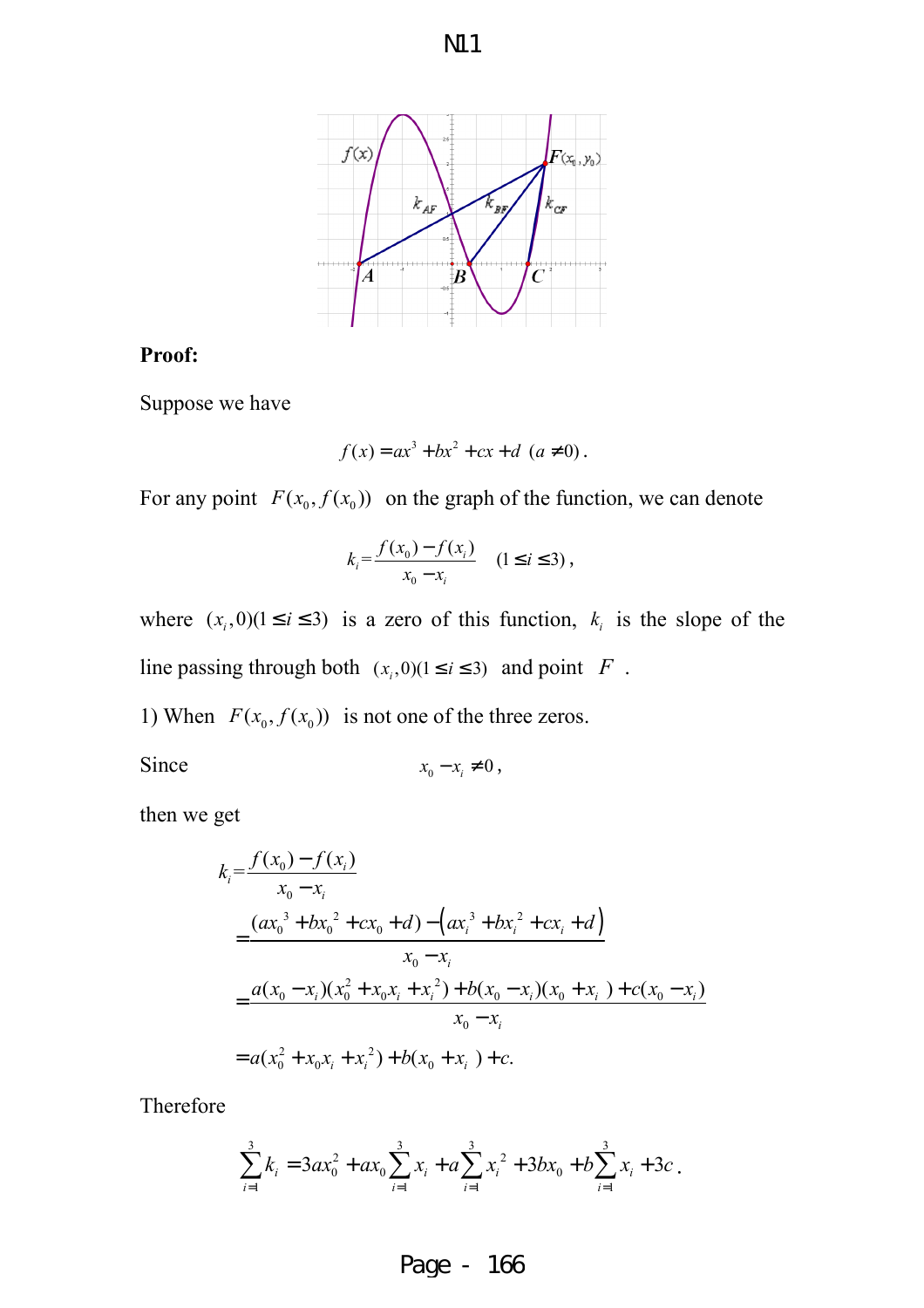



#### **Proof:**

Suppose we have

$$
f(x) = ax^3 + bx^2 + cx + d \ (a \neq 0).
$$

For any point  $F(x_0, f(x_0))$  on the graph of the function, we can denote

$$
k_i = \frac{f(x_0) - f(x_i)}{x_0 - x_i} \quad (1 \le i \le 3),
$$

where  $(x_i, 0)$  ( $1 \le i \le 3$ ) is a zero of this function,  $k_i$  is the slope of the line passing through both  $(x_i, 0)$  ( $1 \le i \le 3$ ) and point *F*.

1) When  $F(x_0, f(x_0))$  is not one of the three zeros.

Since

$$
x_0 - x_i \neq 0
$$
,

then we get

$$
k_i = \frac{f(x_0) - f(x_i)}{x_0 - x_i}
$$
  
= 
$$
\frac{(ax_0^3 + bx_0^2 + cx_0 + d) - (ax_i^3 + bx_i^2 + cx_i + d)}{x_0 - x_i}
$$
  
= 
$$
\frac{a(x_0 - x_i)(x_0^2 + x_0x_i + x_i^2) + b(x_0 - x_i)(x_0 + x_i) + c(x_0 - x_i)}{x_0 - x_i}
$$
  
= 
$$
a(x_0^2 + x_0x_i + x_i^2) + b(x_0 + x_i) + c.
$$

Therefore

$$
\sum_{i=1}^{3} k_i = 3ax_0^2 + ax_0 \sum_{i=1}^{3} x_i + a \sum_{i=1}^{3} x_i^2 + 3bx_0 + b \sum_{i=1}^{3} x_i + 3c.
$$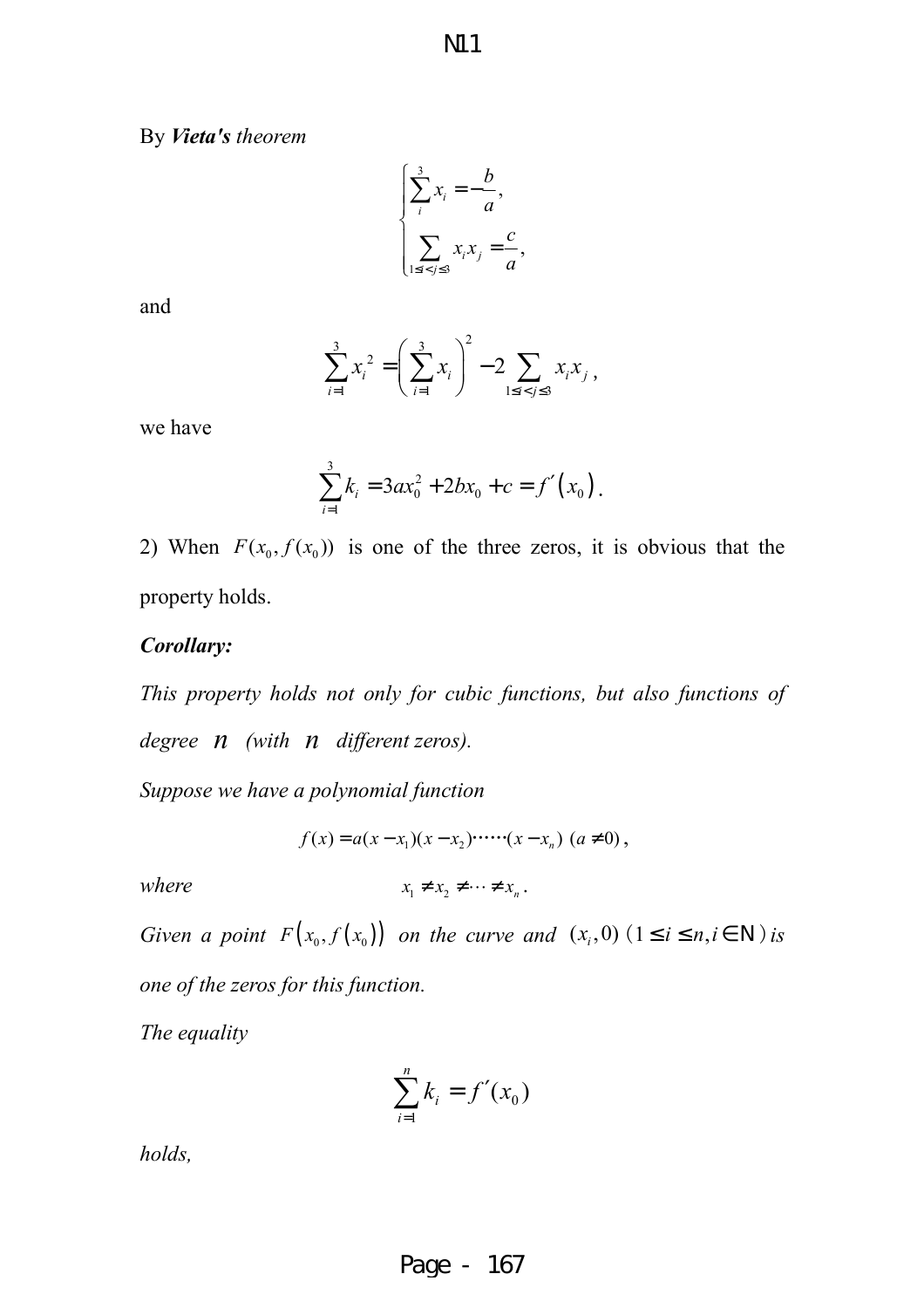By *Vieta's theorem* 

$$
\begin{cases} \sum_{i}^{3} x_{i} = -\frac{b}{a}, \\ \sum_{1 \le i < j \le 3} x_{i} x_{j} = \frac{c}{a}, \end{cases}
$$

and

$$
\sum_{i=1}^{3} x_i^2 = \left(\sum_{i=1}^{3} x_i\right)^2 - 2 \sum_{1 \le i < j \le 3} x_i x_j,
$$

we have

$$
\sum_{i=1}^{3} k_i = 3ax_0^2 + 2bx_0 + c = f'(x_0).
$$

2) When  $F(x_0, f(x_0))$  is one of the three zeros, it is obvious that the property holds.

#### *Corollary:*

*This property holds not only for cubic functions, but also functions of degree n (with n different zeros).*

*Suppose we have a polynomial function* 

$$
f(x) = a(x - x_1)(x - x_2) \cdots (x - x_n) \ (a \neq 0),
$$

 $where$ 

$$
x_1 \neq x_2 \neq \cdots \neq x_n.
$$

*Given a point*  $F(x_0, f(x_0))$  *on the curve and*  $(x_i, 0)$   $(1 \le i \le n, i \in \mathbb{N})$  *is one of the zeros for this function.* 

*The equality* 

$$
\sum_{i=1}^n k_i = f'(x_0)
$$

*holds,*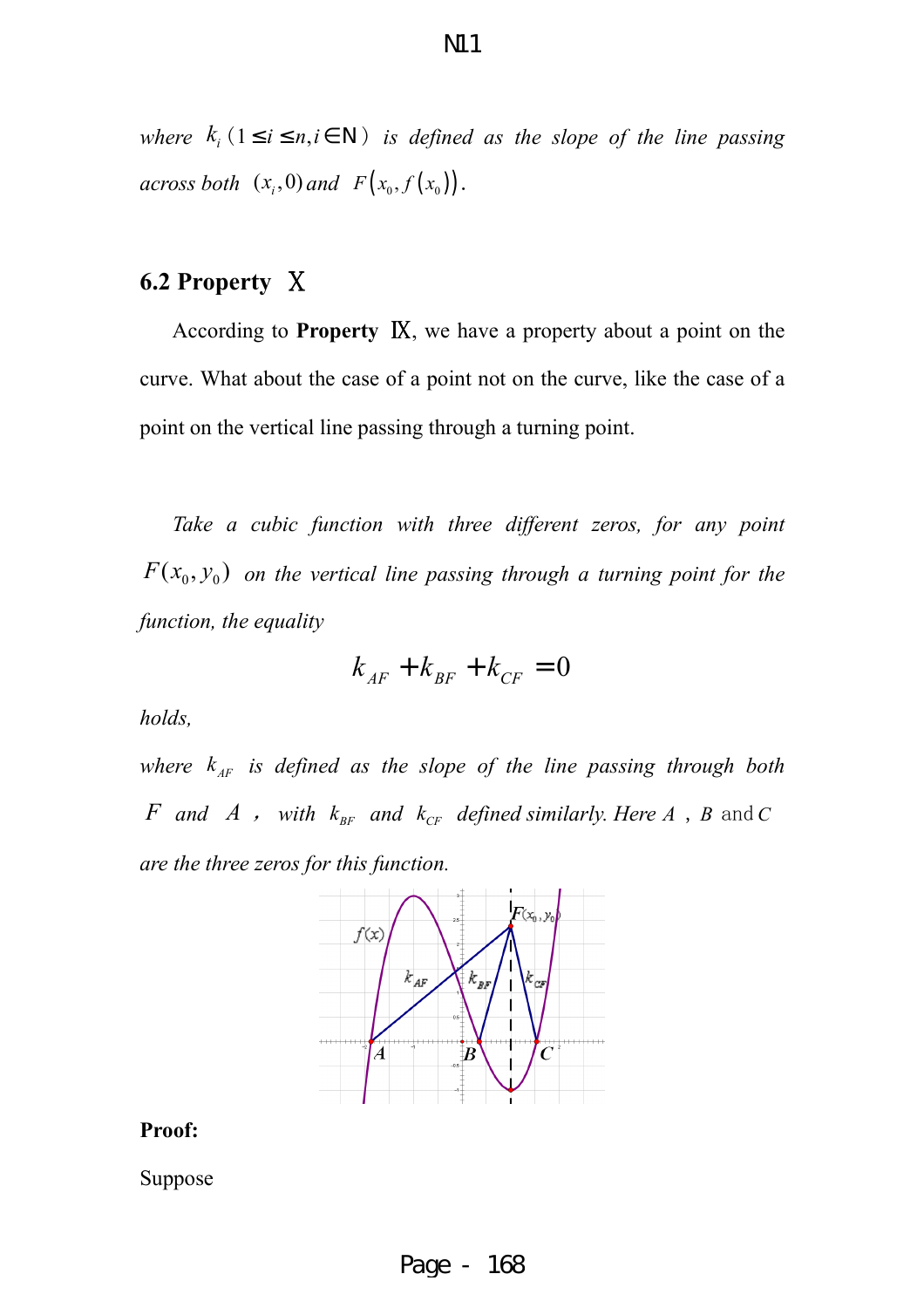*where*  $k_i$  ( $1 \le i \le n, i \in \mathbb{N}$ ) *is defined as the slope of the line passing across both*  $(x_i, 0)$  *and*  $F(x_0, f(x_0))$ .

#### **6.2 Property** Ⅹ

According to **Property** Ⅸ, we have a property about a point on the curve. What about the case of a point not on the curve, like the case of a point on the vertical line passing through a turning point.

*Take a cubic function with three different zeros, for any point*  $F(x_0, y_0)$  on the vertical line passing through a turning point for the *function, the equality* 

$$
k_{AF} + k_{BF} + k_{CF} = 0
$$

*holds,* 

*where*  $k_{AF}$  *is defined as the slope of the line passing through both F* and *A* , with  $k_{BF}$  and  $k_{CF}$  defined similarly. Here *A* , *B* and *C are the three zeros for this function.* 



#### **Proof:**

Suppose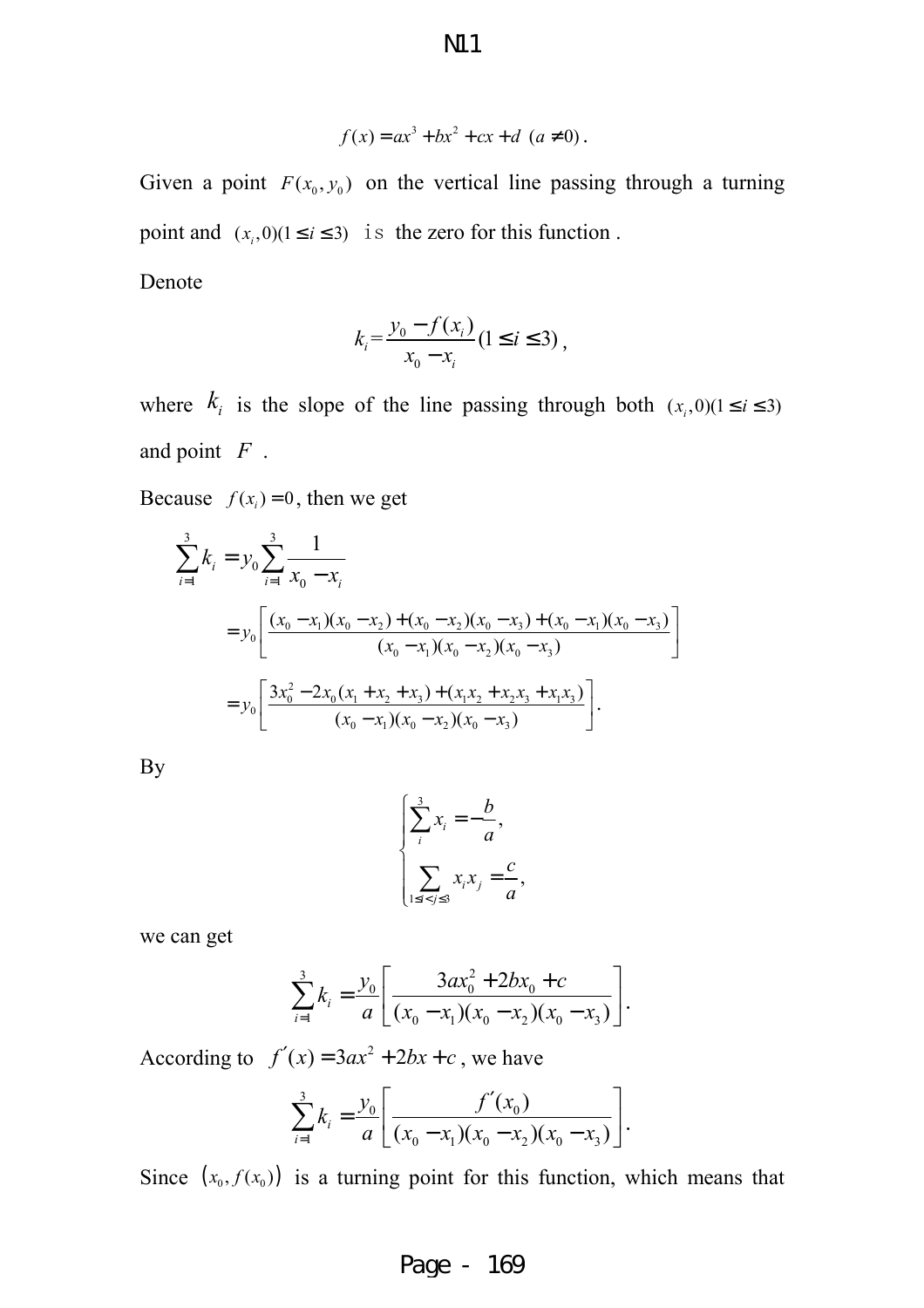$$
f(x) = ax^3 + bx^2 + cx + d \ (a \neq 0).
$$

Given a point  $F(x_0, y_0)$  on the vertical line passing through a turning point and  $(x_i, 0)$  ( $1 \le i \le 3$ ) is the zero for this function.

Denote

$$
k_i = \frac{y_0 - f(x_i)}{x_0 - x_i} (1 \le i \le 3),
$$

where  $k_i$  is the slope of the line passing through both  $(x_i, 0)$  (1  $\le i \le 3$ ) and point *F* .

Because  $f(x_i) = 0$ , then we get

$$
\sum_{i=1}^{3} k_i = y_0 \sum_{i=1}^{3} \frac{1}{x_0 - x_i}
$$
\n
$$
= y_0 \left[ \frac{(x_0 - x_1)(x_0 - x_2) + (x_0 - x_2)(x_0 - x_3) + (x_0 - x_1)(x_0 - x_3)}{(x_0 - x_1)(x_0 - x_2)(x_0 - x_3)} \right]
$$
\n
$$
= y_0 \left[ \frac{3x_0^2 - 2x_0(x_1 + x_2 + x_3) + (x_1x_2 + x_2x_3 + x_1x_3)}{(x_0 - x_1)(x_0 - x_2)(x_0 - x_3)} \right].
$$

By

$$
\begin{cases} \sum_{i}^{3} x_{i} = -\frac{b}{a}, \\ \sum_{1 \le i < j \le 3} x_{i} x_{j} = \frac{c}{a}, \end{cases}
$$

we can get

$$
\sum_{i=1}^{3} k_i = \frac{y_0}{a} \left[ \frac{3ax_0^2 + 2bx_0 + c}{(x_0 - x_1)(x_0 - x_2)(x_0 - x_3)} \right].
$$

According to  $f'(x) = 3ax^2 + 2bx + c$ , we have

$$
\sum_{i=1}^{3} k_i = \frac{y_0}{a} \left[ \frac{f'(x_0)}{(x_0 - x_1)(x_0 - x_2)(x_0 - x_3)} \right].
$$

Since  $(x_0, f(x_0))$  is a turning point for this function, which means that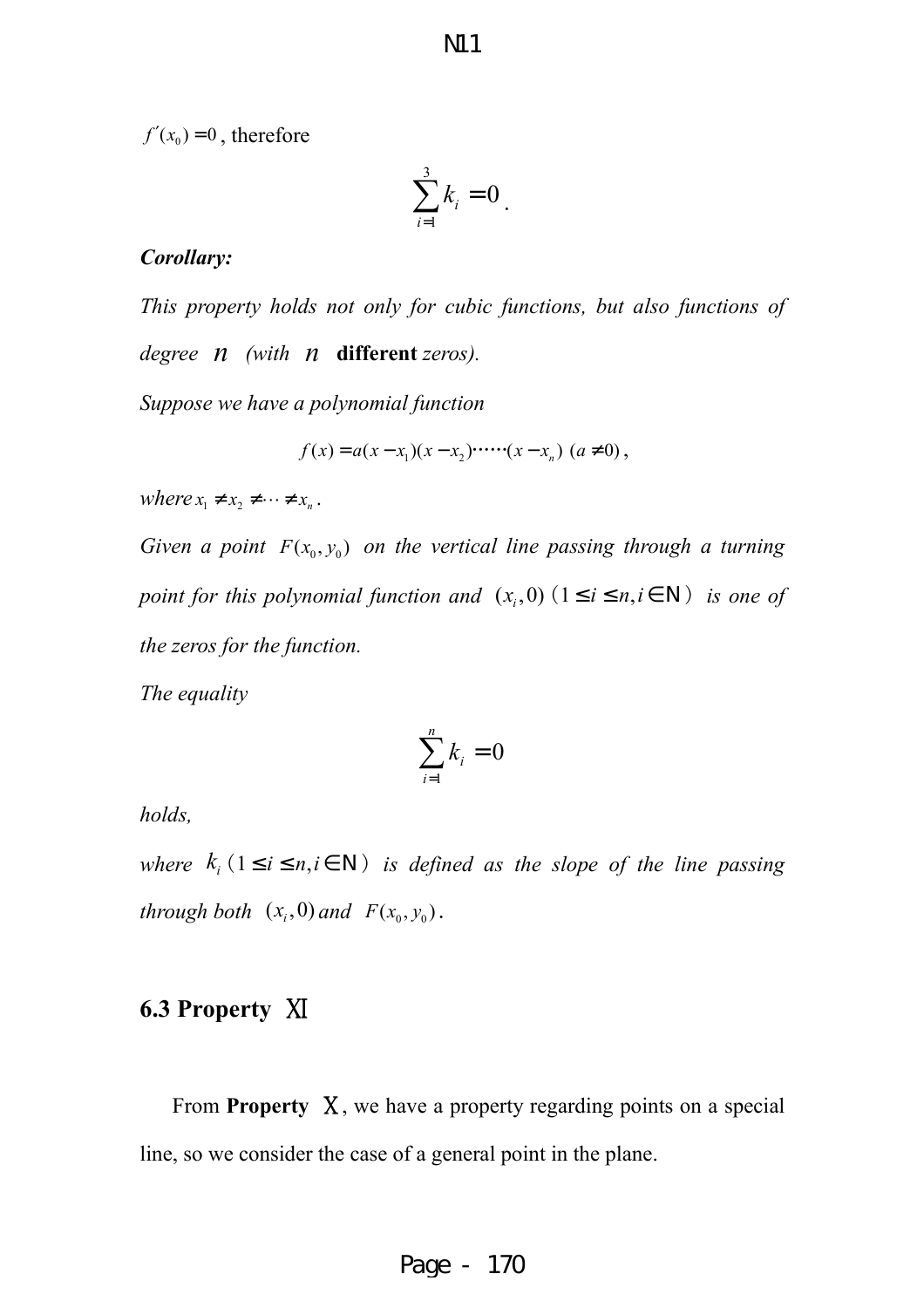$f'(x_0) = 0$ , therefore

$$
\sum_{i=1}^3 k_i = 0
$$

#### *Corollary:*

*This property holds not only for cubic functions, but also functions of degree n (with n* **different** *zeros).*

*Suppose we have a polynomial function* 

$$
f(x) = a(x - x_1)(x - x_2) \cdots (x - x_n) \ (a \neq 0),
$$

*where*  $x_1 \neq x_2 \neq \cdots \neq x_n$ .

*Given a point*  $F(x_0, y_0)$  *on the vertical line passing through a turning point for this polynomial function and*  $(x_i, 0)$   $(1 \le i \le n, i \in N)$  *is one of the zeros for the function.* 

*The equality* 

$$
\sum_{i=1}^n k_i = 0
$$

*holds,* 

*where*  $k_i$  ( $1 \le i \le n, i \in \mathbb{N}$ ) *is defined as the slope of the line passing through both*  $(x_i, 0)$  *and*  $F(x_0, y_0)$ .

#### **6.3 Property** Ⅺ

From **Property** Ⅹ, we have a property regarding points on a special line, so we consider the case of a general point in the plane.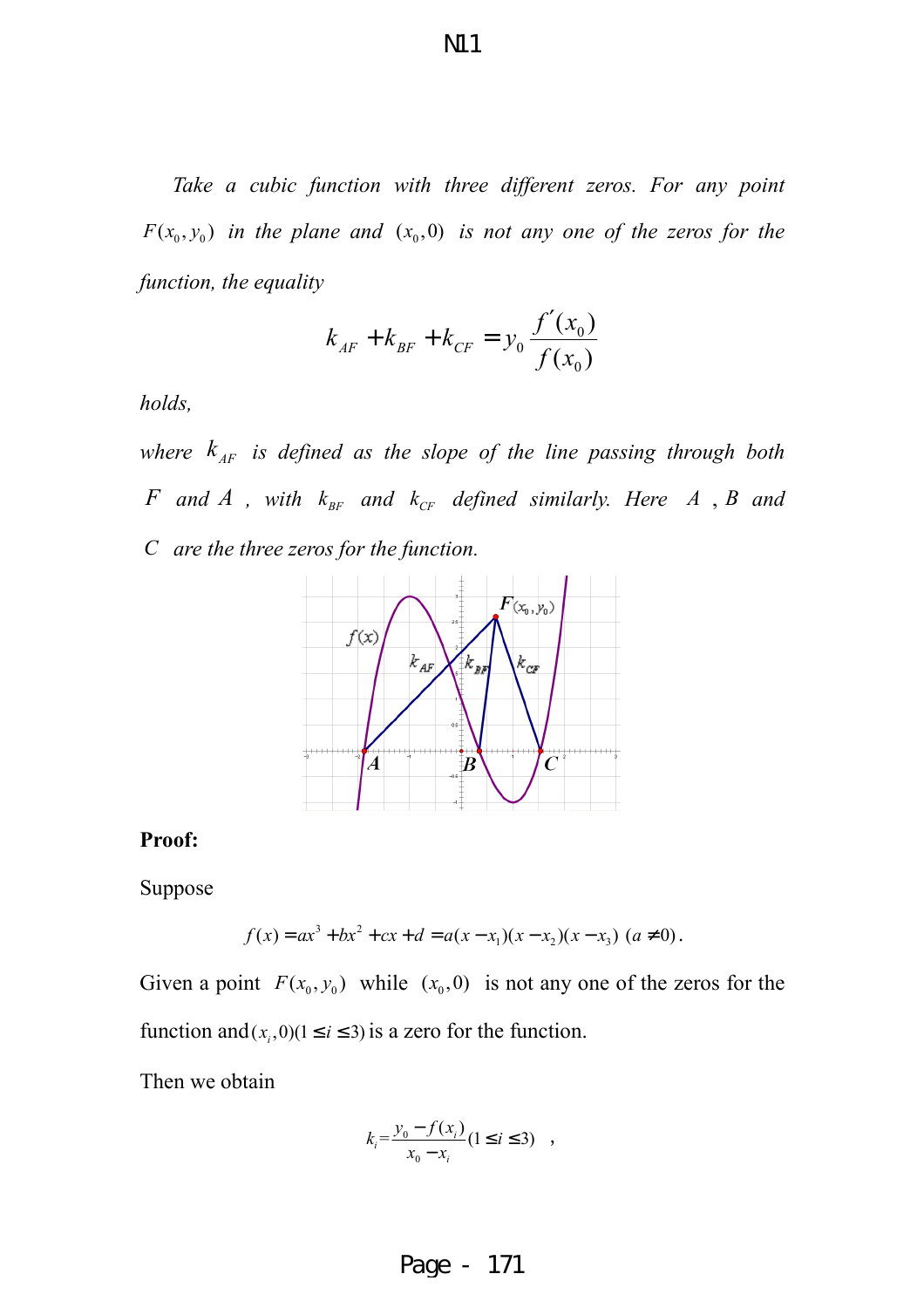*Take a cubic function with three different zeros. For any point*   $F(x_0, y_0)$  in the plane and  $(x_0, 0)$  is not any one of the zeros for the *function, the equality* 

$$
k_{AF} + k_{BF} + k_{CF} = y_0 \frac{f'(x_0)}{f(x_0)}
$$

*holds,* 

*where*  $k_{AF}$  *is defined as the slope of the line passing through both F* and *A* , with  $k_{BF}$  and  $k_{CF}$  defined similarly. Here *A* , *B* and *C are the three zeros for the function.* 



#### **Proof:**

Suppose

$$
f(x) = ax3 + bx2 + cx + d = a(x - x1)(x - x2)(x - x3) (a \neq 0).
$$

Given a point  $F(x_0, y_0)$  while  $(x_0, 0)$  is not any one of the zeros for the function and  $(x_i, 0)$  ( $1 \le i \le 3$ ) is a zero for the function.

Then we obtain

$$
k_i = \frac{y_0 - f(x_i)}{x_0 - x_i} (1 \le i \le 3) ,
$$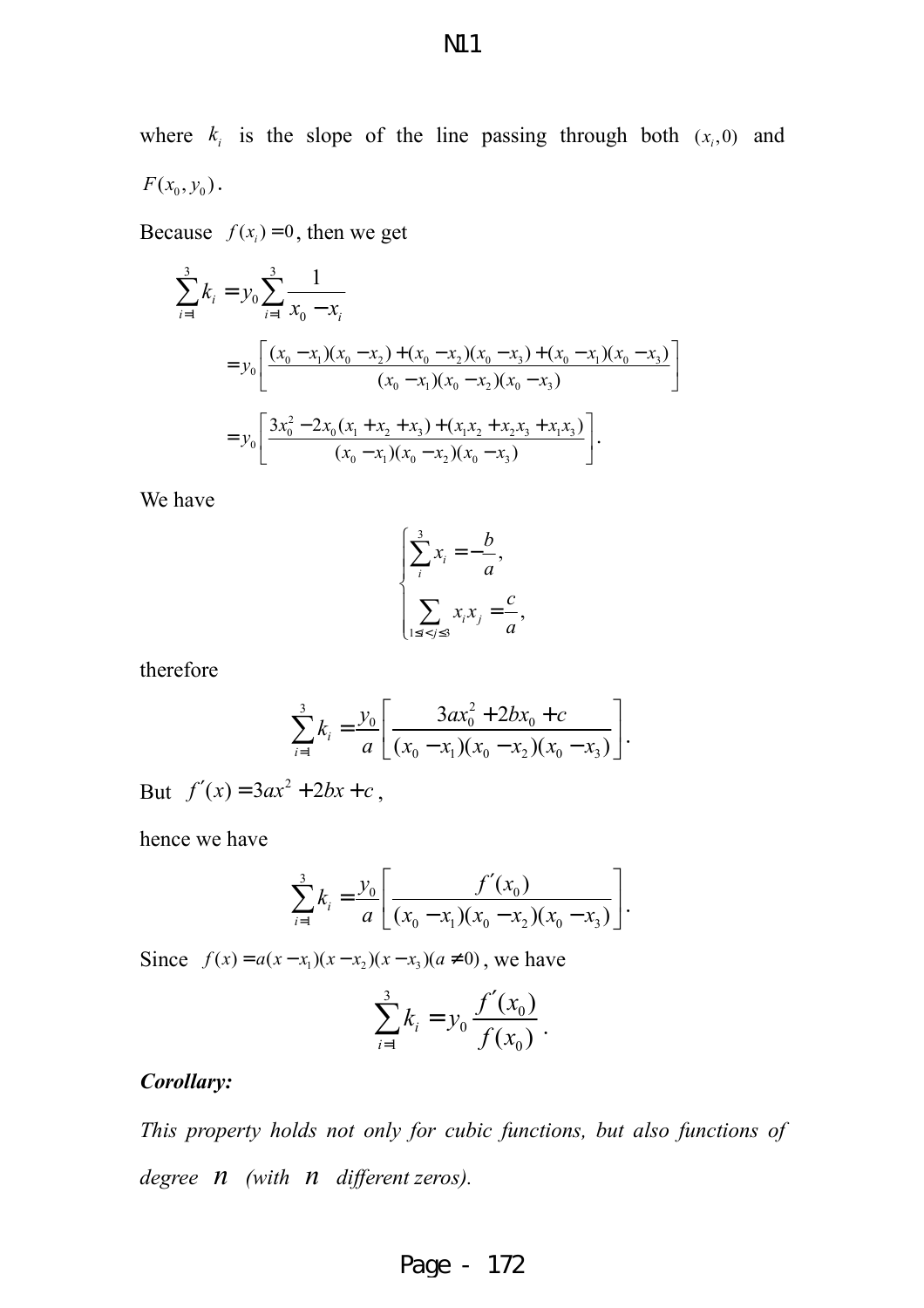where  $k_i$  is the slope of the line passing through both  $(x_i, 0)$  and  $F(x_0, y_0)$ .

Because  $f(x_i) = 0$ , then we get

$$
\sum_{i=1}^{3} k_{i} = y_{0} \sum_{i=1}^{3} \frac{1}{x_{0} - x_{i}}
$$
\n
$$
= y_{0} \left[ \frac{(x_{0} - x_{1})(x_{0} - x_{2}) + (x_{0} - x_{2})(x_{0} - x_{3}) + (x_{0} - x_{1})(x_{0} - x_{3})}{(x_{0} - x_{1})(x_{0} - x_{2})(x_{0} - x_{3})} \right]
$$
\n
$$
= y_{0} \left[ \frac{3x_{0}^{2} - 2x_{0}(x_{1} + x_{2} + x_{3}) + (x_{1}x_{2} + x_{2}x_{3} + x_{1}x_{3})}{(x_{0} - x_{1})(x_{0} - x_{2})(x_{0} - x_{3})} \right].
$$

We have

$$
\begin{cases} \sum_{i}^{3} x_{i} = -\frac{b}{a}, \\ \sum_{1 \leq i < j \leq 3} x_{i} x_{j} = \frac{c}{a}, \end{cases}
$$

therefore

$$
\sum_{i=1}^{3} k_i = \frac{y_0}{a} \left[ \frac{3ax_0^2 + 2bx_0 + c}{(x_0 - x_1)(x_0 - x_2)(x_0 - x_3)} \right].
$$

But  $f'(x) = 3ax^2 + 2bx + c$ ,

hence we have

$$
\sum_{i=1}^{3} k_i = \frac{y_0}{a} \left[ \frac{f'(x_0)}{(x_0 - x_1)(x_0 - x_2)(x_0 - x_3)} \right].
$$

Since  $f(x) = a(x - x_1)(x - x_2)(x - x_3)(a \neq 0)$ , we have

$$
\sum_{i=1}^{3} k_i = y_0 \frac{f'(x_0)}{f(x_0)}.
$$

#### *Corollary:*

*This property holds not only for cubic functions, but also functions of degree n (with n different zeros).*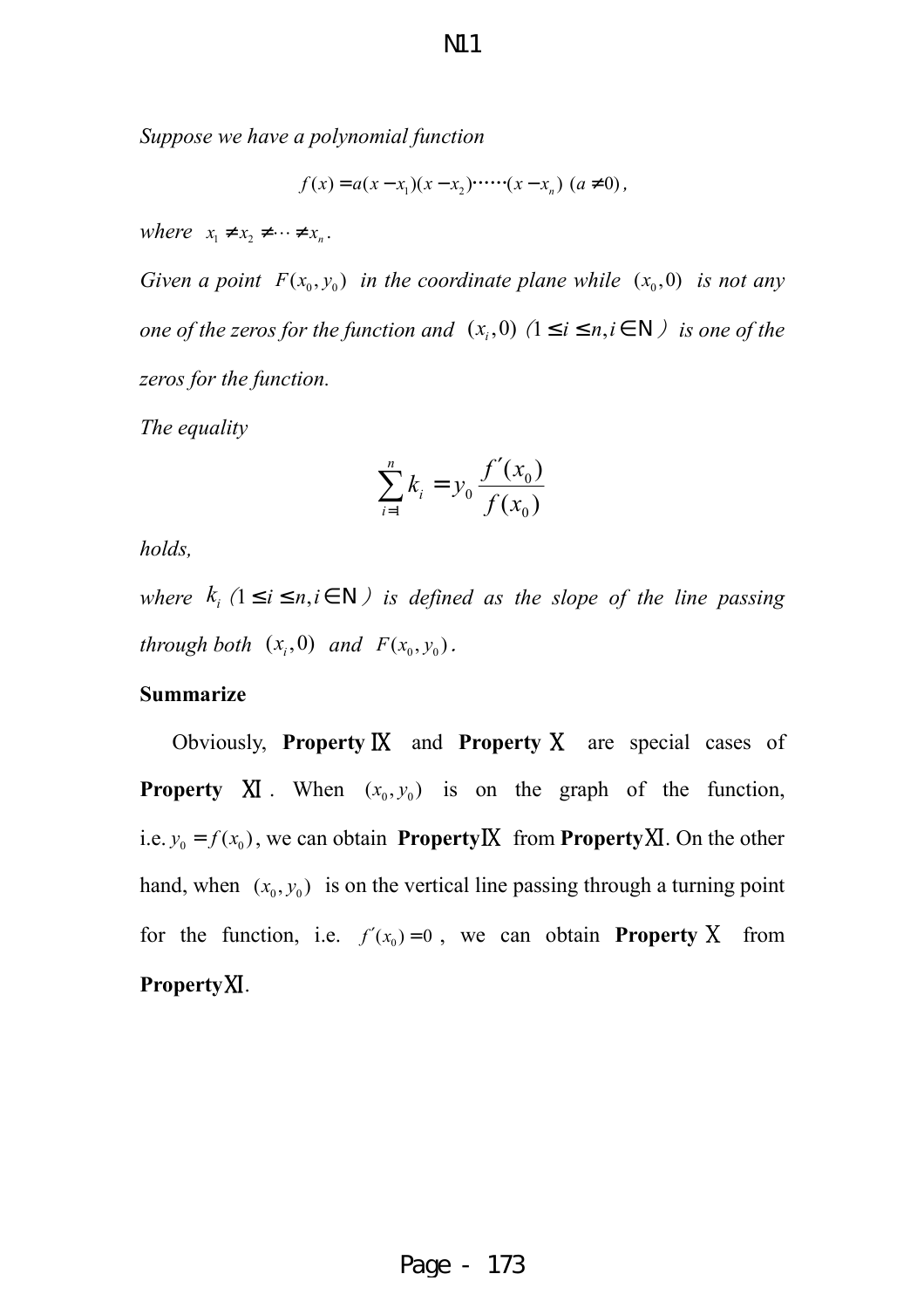*Suppose we have a polynomial function* 

$$
f(x) = a(x - x_1)(x - x_2) \cdots (x - x_n) \ (a \neq 0),
$$

*where*  $x_1 \neq x_2 \neq \cdots \neq x_n$ .

*Given a point*  $F(x_0, y_0)$  *in the coordinate plane while*  $(x_0, 0)$  *is not any one of the zeros for the function and*  $(x_i, 0)$   $(1 \le i \le n, i \in N)$  *is one of the zeros for the function.* 

*The equality* 

$$
\sum_{i=1}^{n} k_i = y_0 \frac{f'(x_0)}{f(x_0)}
$$

*holds,* 

*where*  $k_i$  ( $1 \le i \le n, i \in \mathbb{N}$ ) is defined as the slope of the line passing *through both*  $(x_i, 0)$  *and*  $F(x_0, y_0)$ .

#### **Summarize**

Obviously, **Property** Ⅸ and **Property** Ⅹ are special cases of **Property XI**. When  $(x_0, y_0)$  is on the graph of the function, i.e.  $y_0 = f(x_0)$ , we can obtain **PropertyIX** from **PropertyXI**. On the other hand, when  $(x_0, y_0)$  is on the vertical line passing through a turning point for the function, i.e.  $f'(x_0) = 0$ , we can obtain **Property** X from **Property**Ⅺ.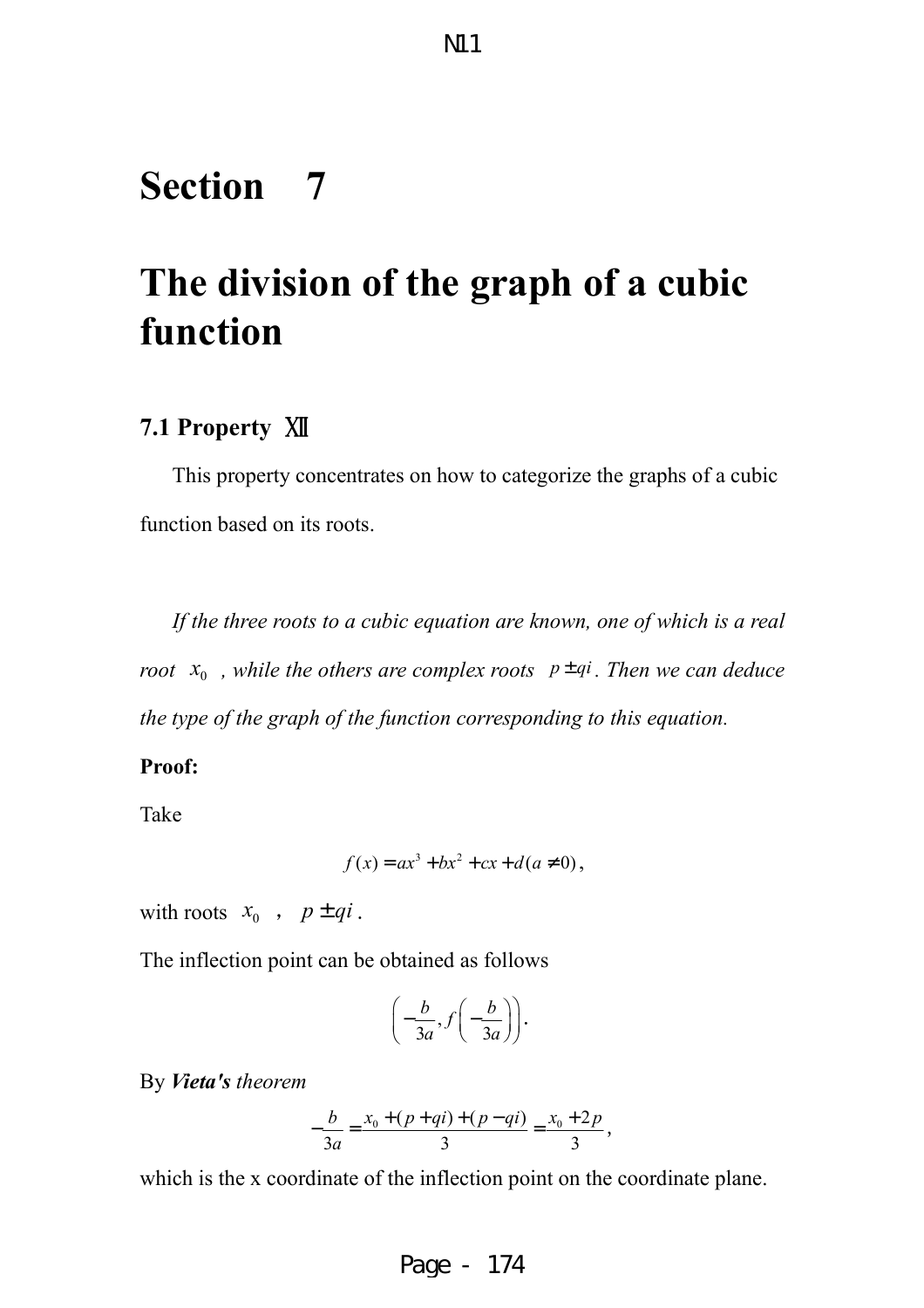## **Section 7**

# **The division of the graph of a cubic function**

#### **7.1 Property** Ⅻ

This property concentrates on how to categorize the graphs of a cubic function based on its roots.

*If the three roots to a cubic equation are known, one of which is a real root*  $x_0$ , while the others are complex roots  $p \pm qi$ . Then we can deduce *the type of the graph of the function corresponding to this equation.* 

#### **Proof:**

Take

$$
f(x) = ax^3 + bx^2 + cx + d(a \neq 0),
$$

with roots  $x_0$ ,  $p \pm qi$ .

The inflection point can be obtained as follows

$$
\left(-\frac{b}{3a}, f\left(-\frac{b}{3a}\right)\right).
$$

By *Vieta's theorem*

$$
-\frac{b}{3a} = \frac{x_0 + (p+qi) + (p-qi)}{3} = \frac{x_0 + 2p}{3},
$$

which is the x coordinate of the inflection point on the coordinate plane.

Page - 174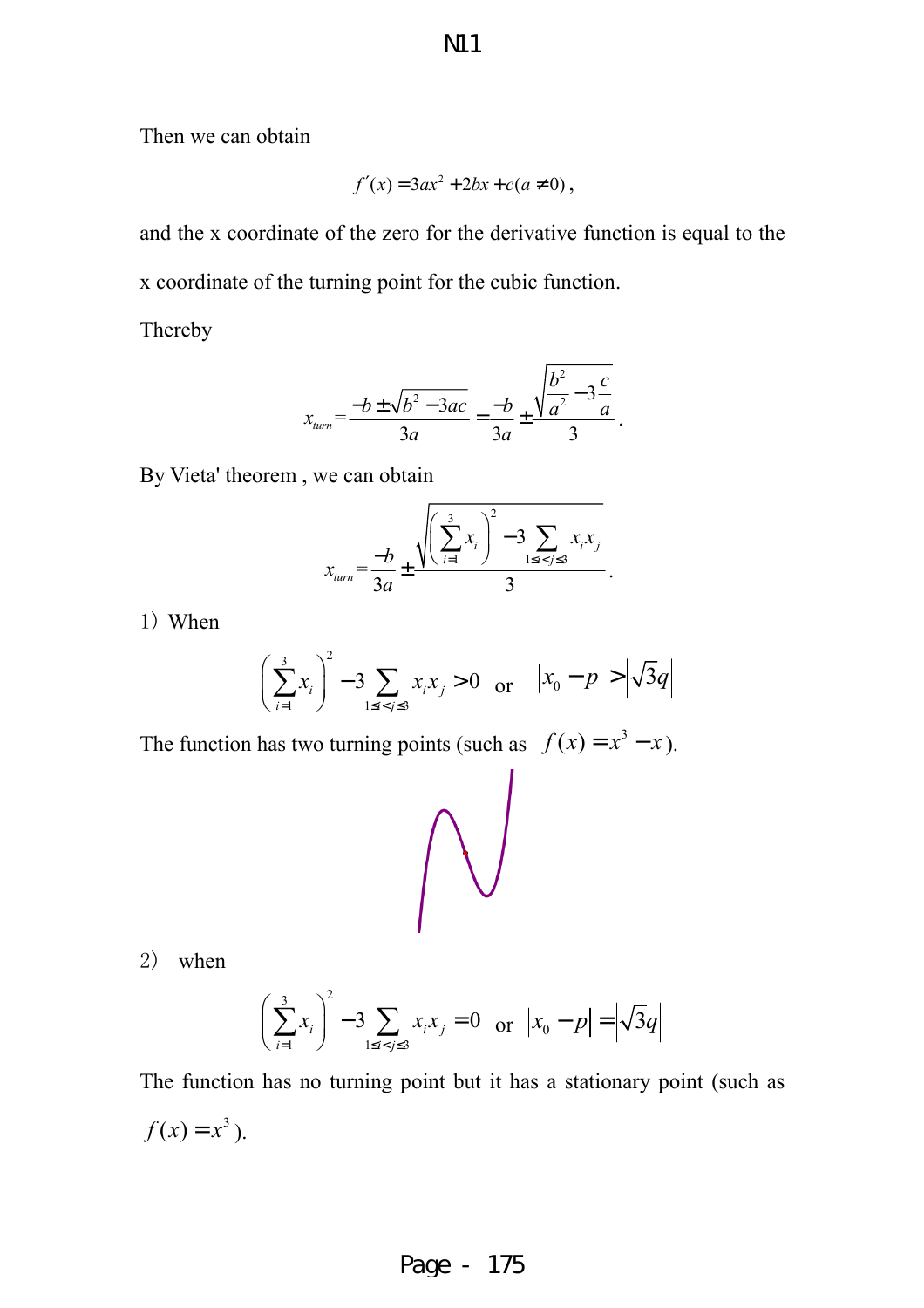Then we can obtain

$$
f'(x) = 3ax^2 + 2bx + c(a \neq 0),
$$

and the x coordinate of the zero for the derivative function is equal to the x coordinate of the turning point for the cubic function.

Thereby

$$
x_{\text{turn}} = \frac{-b \pm \sqrt{b^2 - 3ac}}{3a} = \frac{-b}{3a} \pm \frac{\sqrt{\frac{b^2}{a^2} - 3\frac{c}{a}}}{3}.
$$

By Vieta' theorem , we can obtain

$$
x_{\text{turn}} = \frac{-b}{3a} \pm \frac{\sqrt{\left(\sum_{i=1}^{3} x_i\right)^2 - 3 \sum_{1 \le i < j \le 3} x_i x_j}}{3}.
$$

1) When

$$
\left(\sum_{i=1}^{3} x_i\right)^2 - 3 \sum_{1 \le i < j \le 3} x_i x_j > 0 \quad \text{or} \quad |x_0 - p| > \left| \sqrt{3} q \right|
$$

The function has two turning points (such as  $f(x) = x^3 - x$ ).



2) when

$$
\left(\sum_{i=1}^{3} x_i\right)^2 - 3 \sum_{1 \le i < j \le 3} x_i x_j = 0 \quad \text{or} \quad |x_0 - p| = \left|\sqrt{3}q\right|
$$

The function has no turning point but it has a stationary point (such as  $f(x) = x^3$ .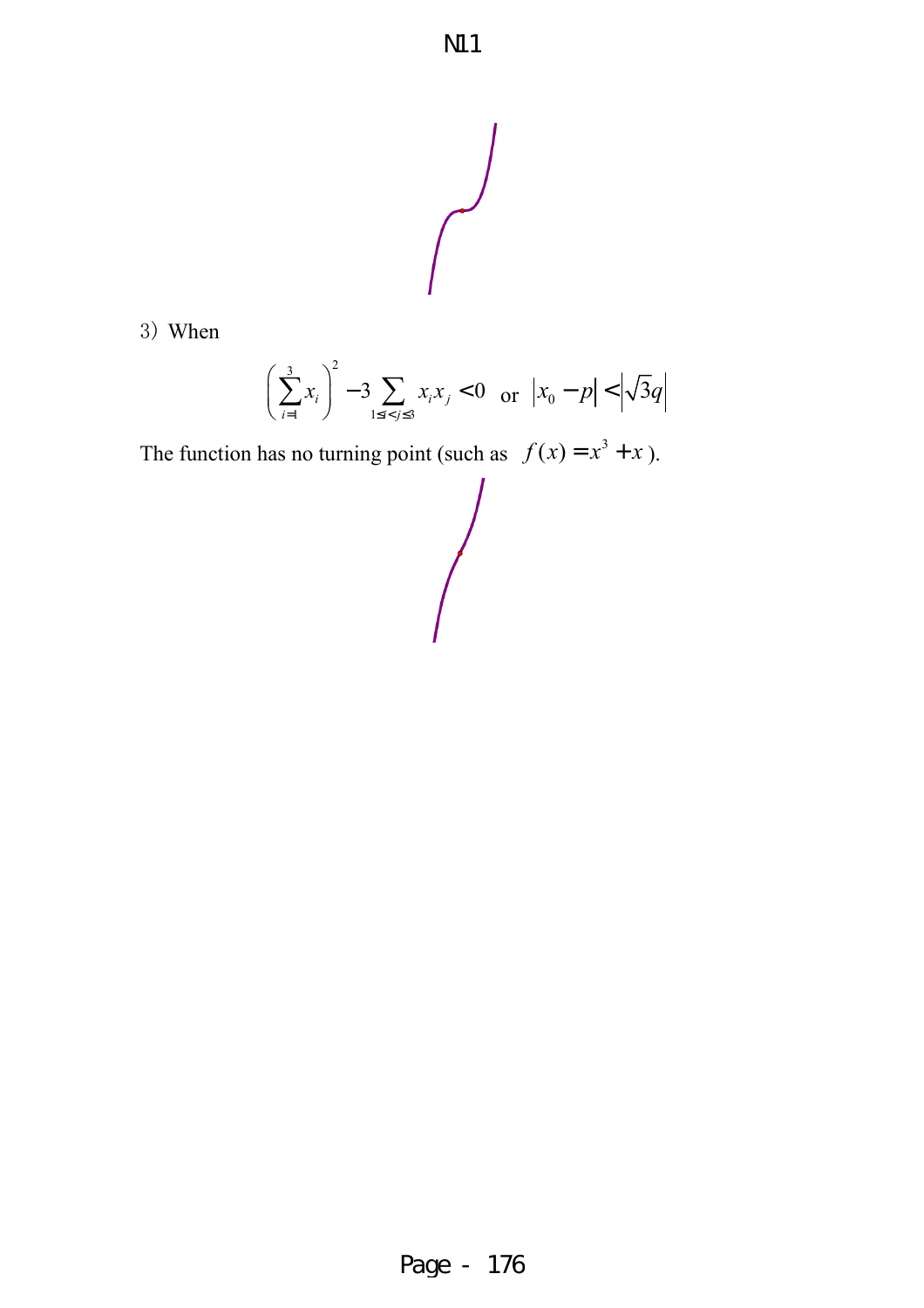

3) When

$$
\left(\sum_{i=1}^{3} x_i\right)^2 - 3 \sum_{1 \le i < j \le 3} x_i x_j < 0 \quad \text{or} \quad |x_0 - p| < \left|\sqrt{3}q\right|
$$

 $\bigg\}$ 

The function has no turning point (such as  $f(x) = x^3 + x$ ).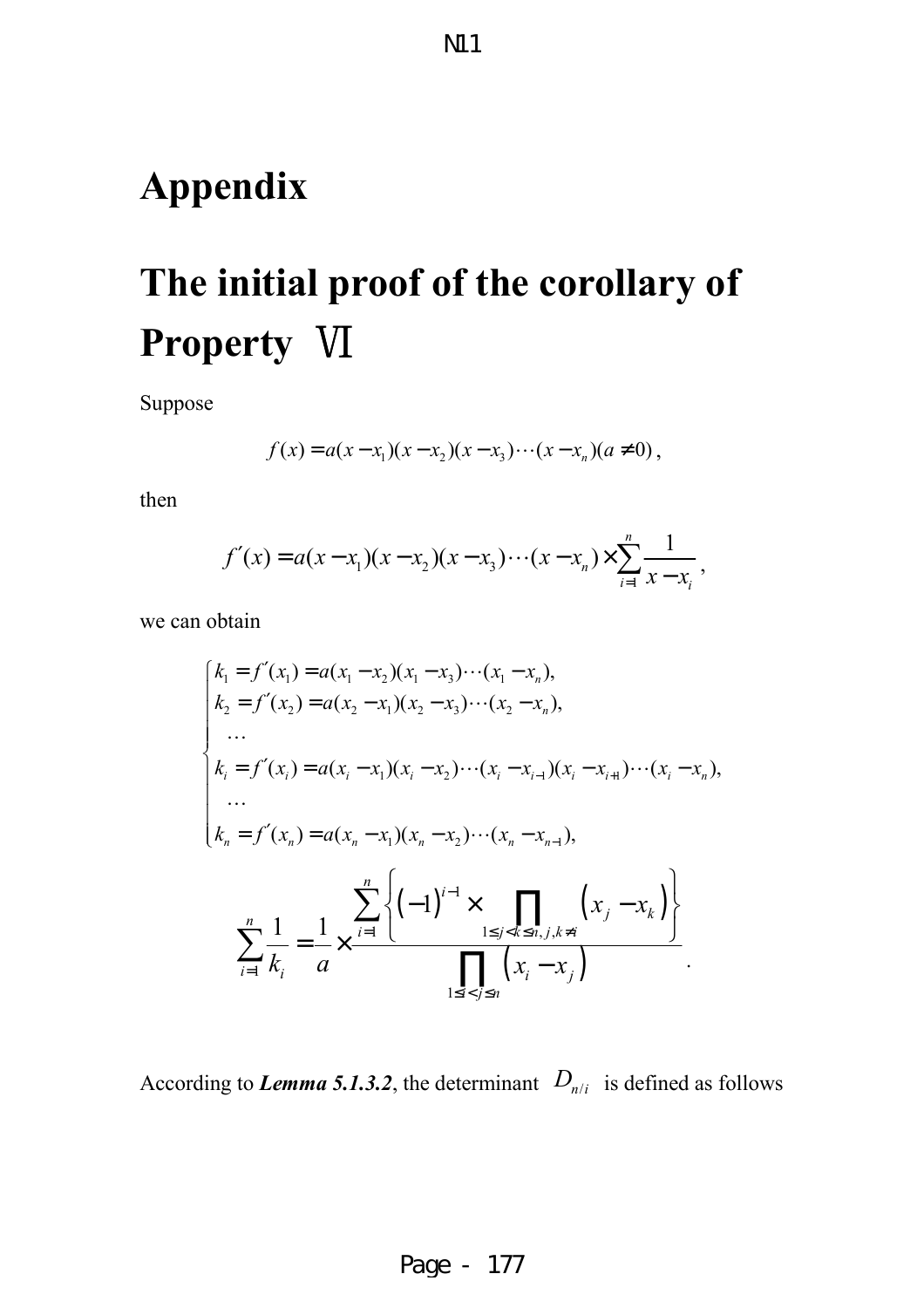# **Appendix**

# **The initial proof of the corollary of Property** Ⅵ

Suppose

$$
f(x) = a(x - x_1)(x - x_2)(x - x_3) \cdots (x - x_n)(a \neq 0),
$$

then

$$
f'(x) = a(x-x_1)(x-x_2)(x-x_3)\cdots(x-x_n) \times \sum_{i=1}^n \frac{1}{x-x_i},
$$

we can obtain

$$
\begin{cases}\nk_1 = f'(x_1) = a(x_1 - x_2)(x_1 - x_3) \cdots (x_1 - x_n), \\
k_2 = f'(x_2) = a(x_2 - x_1)(x_2 - x_3) \cdots (x_2 - x_n), \\
\dots \\
k_i = f'(x_i) = a(x_i - x_1)(x_i - x_2) \cdots (x_i - x_{i-1})(x_i - x_{i+1}) \cdots (x_i - x_n), \\
\dots \\
k_n = f'(x_n) = a(x_n - x_1)(x_n - x_2) \cdots (x_n - x_{n-1}), \\
\sum_{i=1}^n \frac{1}{k_i} = \frac{1}{a} \times \frac{\sum_{i=1}^n \left\{ (-1)^{i-1} \times \prod_{1 \le j < k \le n, j, k \ne i} \left( x_j - x_k \right) \right\}}{\prod_{1 \le i < j \le n} \left( x_i - x_j \right)}.\n\end{cases}
$$

According to *Lemma 5.1.3.2*, the determinant  $D_{n/i}$  is defined as follows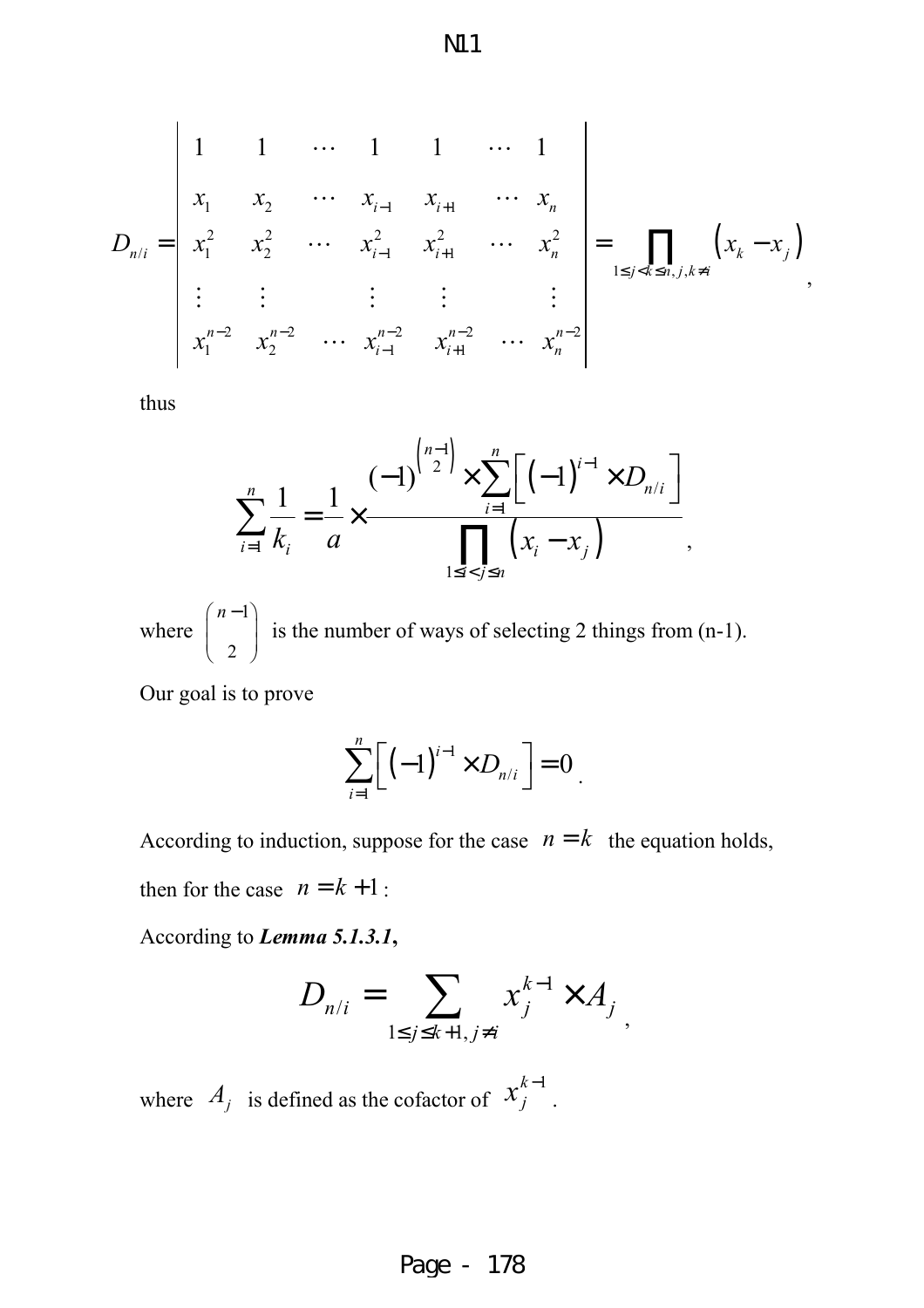$$
D_{n/i} = \begin{vmatrix} 1 & 1 & \cdots & 1 & 1 & \cdots & 1 \\ x_1 & x_2 & \cdots & x_{i-1} & x_{i+1} & \cdots & x_n \\ x_1^2 & x_2^2 & \cdots & x_{i-1}^2 & x_{i+1}^2 & \cdots & x_n^2 \\ \vdots & \vdots & \vdots & \vdots & \vdots & \vdots \\ x_1^{n-2} & x_2^{n-2} & \cdots & x_{i-1}^{n-2} & x_{i+1}^{n-2} & \cdots & x_n^{n-2} \end{vmatrix} = \prod_{1 \le j < k \le n, j, k \ne i} \left( x_k - x_j \right),
$$

thus

$$
\sum_{i=1}^{n} \frac{1}{k_i} = \frac{1}{a} \times \frac{(-1)^{\binom{n-1}{2}} \times \sum_{i=1}^{n} [(-1)^{i-1} \times D_{n/i}]}{\prod_{1 \le i < j \le n} (x_i - x_j)},
$$

where 1 2  $(n-1)$ is the number of ways of selecting 2 things from (n-1).

Our goal is to prove

$$
\sum_{i=1}^n \left[ \left( -1 \right)^{i-1} \times D_{n/i} \right] = 0
$$

According to induction, suppose for the case  $n = k$  the equation holds, then for the case  $n = k + 1$ :

According to *Lemma 5.1.3.1***,**

$$
D_{n/i} = \sum_{1 \le j \le k+1, j \ne i} x_j^{k-1} \times A_j
$$

where  $A_j$  is defined as the cofactor of  $x_j^{k-1}$  $x_j^{k-1}$ .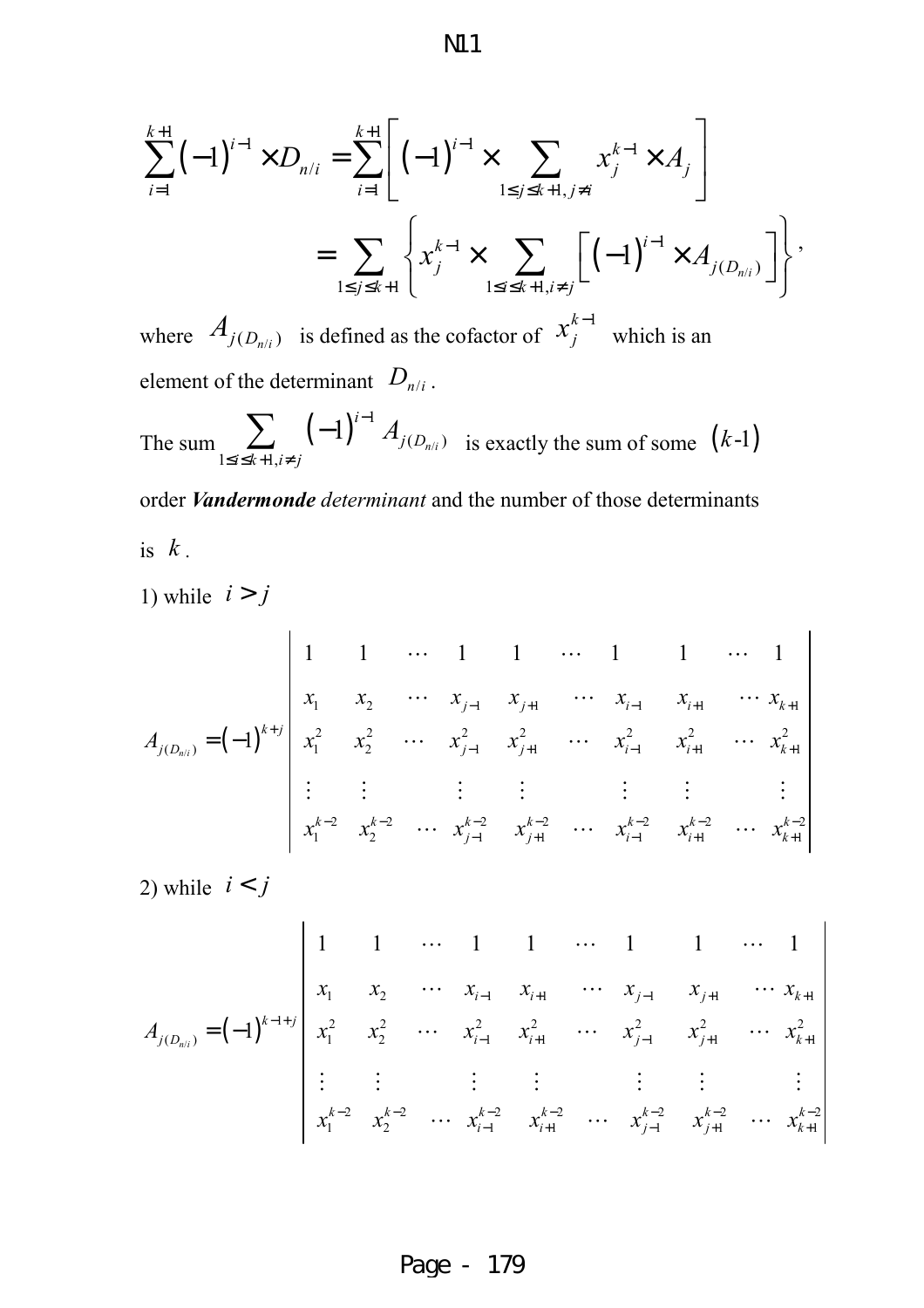$$
\sum_{i=1}^{k+1} (-1)^{i-1} \times D_{n/i} = \sum_{i=1}^{k+1} \left[ (-1)^{i-1} \times \sum_{1 \le j \le k+1, j \ne i} x_j^{k-1} \times A_j \right]
$$
  
= 
$$
\sum_{1 \le i \le k+1} \left\{ x_j^{k-1} \times \sum_{1 \le i \le k+1, j \ne i} \left[ (-1)^{i-1} \times A_{j(D_{n/i})} \right] \right\},
$$

where  $A_{j(D_{n/i})}$  is defined as the cofactor of  $x_j^{k-1}$  $x_j^{k-1}$ which is an element of the determinant  $D_{n/i}$ .

 $1 \le j \le k+1$   $\left\lfloor \frac{\text{1} \le i \le k+1}{k+1} \right\rfloor$ 

 $\leq j \leq k+1$   $1 \leq i \leq k+1, i \neq k$ 

 $j \leq k+1$   $\left(1 \leq i \leq k+1, i \neq j\right)$ 

 $\left[ \begin{array}{ccc} \n\frac{1}{2} & \frac{1}{2} & \frac{1}{2} \\ \n\frac{1}{2} & \frac{1}{2} & \frac{1}{2} \\ \n\frac{1}{2} & \frac{1}{2} & \frac{1}{2} \end{array} \right]$ 

The sum  $\sum_{i=1}^{\infty} (-1)^{i-1} A_{j(D_n)}$ 1  $(D_{n/i})$  $1 \leq i \leq k+1$ ,  $1)^{i-1} A_{j(D_{n/i})}$ *i j D i≤k+1,i≠j*  $^{-1}$   $A$  $\le i \le k+1, i \neq$  $\sum_{i=1}$   $(-1)^{i-1} A_{j(D_{n/i})}$  is exactly the sum of some  $(k-1)$ 

order *Vandermonde determinant* and the number of those determinants is  $k$ .

1) while  $i > j$ 

$$
A_{j(D_{n/i})} = (-1)^{k+j} \begin{vmatrix} 1 & 1 & \cdots & 1 & 1 & \cdots & 1 & 1 & \cdots & 1 \\ x_1 & x_2 & \cdots & x_{j-1} & x_{j+1} & \cdots & x_{i-1} & x_{i+1} & \cdots & x_{k+1} \\ x_1^2 & x_2^2 & \cdots & x_{j-1}^2 & x_{j+1}^2 & \cdots & x_{i-1}^2 & x_{i+1}^2 & \cdots & x_{k+1}^2 \\ \vdots & \vdots & \vdots & \vdots & \vdots & \vdots & \vdots & \vdots \\ x_1^{k-2} & x_2^{k-2} & \cdots & x_{j-1}^{k-2} & x_{j+1}^{k-2} & \cdots & x_{i-1}^{k-2} & x_{i+1}^{k-2} & \cdots & x_{k+1}^{k-2} \end{vmatrix}
$$

2) while  $i < j$ 

$$
A_{j(D_{n/i})} = (-1)^{k-l+j} \begin{vmatrix} 1 & 1 & \cdots & 1 & 1 & \cdots & 1 & 1 & \cdots & 1 \\ x_1 & x_2 & \cdots & x_{i-1} & x_{i+1} & \cdots & x_{j-1} & x_{j+1} & \cdots & x_{k+1} \\ x_1^2 & x_2^2 & \cdots & x_{i-1}^2 & x_{i+1}^2 & \cdots & x_{j-1}^2 & x_{j+1}^2 & \cdots & x_{k+1}^2 \\ \vdots & \vdots & \vdots & \vdots & \vdots & \vdots & \vdots & \vdots \\ x_1^{k-2} & x_2^{k-2} & \cdots & x_{i-1}^{k-2} & x_{i+1}^{k-2} & \cdots & x_{j-1}^{k-2} & x_{j+1}^{k-2} & \cdots & x_{k+1}^{k-2} \end{vmatrix}
$$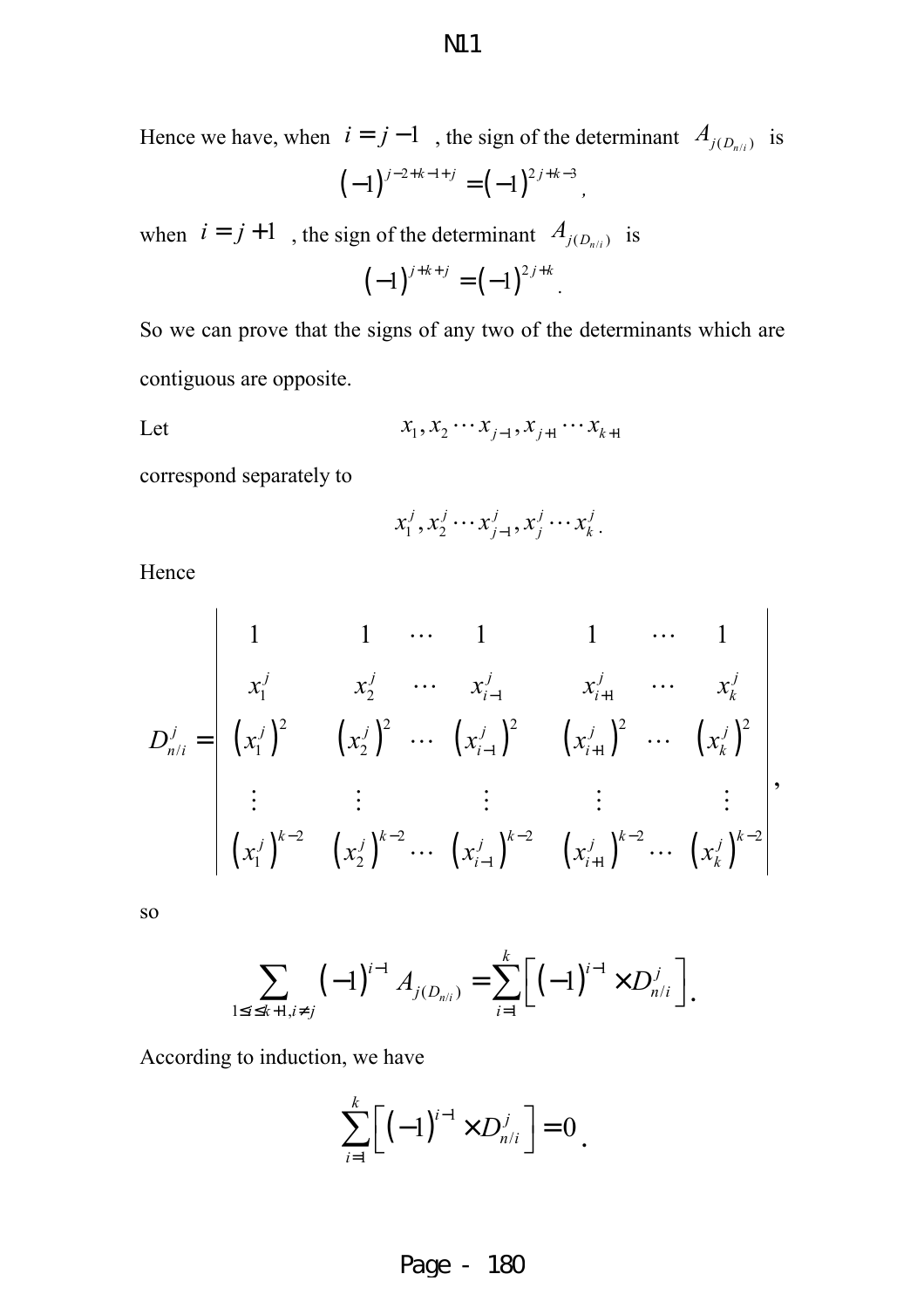Hence we have, when  $i = j - 1$ , the sign of the determinant  $A_{j(D_{n/i})}$  is

when  $i = j + 1$ , the sign of the determinant  $A_{j(D_{n/i})}$  is

$$
(-1)^{j+k+j} = (-1)^{2j+k}.
$$

So we can prove that the signs of any two of the determinants which are contiguous are opposite.

Let 
$$
x_1, x_2 \cdots x_{j-1}, x_{j+1} \cdots x_{k+1}
$$

correspond separately to

$$
x_1^j, x_2^j \cdots x_{j-1}^j, x_j^j \cdots x_k^j.
$$

Hence

$$
D_{n/i}^{j} = \begin{vmatrix} 1 & 1 & \cdots & 1 & 1 & \cdots & 1 \\ x_{1}^{j} & x_{2}^{j} & \cdots & x_{i-1}^{j} & x_{i+1}^{j} & \cdots & x_{k}^{j} \\ (x_{1}^{j})^{2} & (x_{2}^{j})^{2} & \cdots & (x_{i-1}^{j})^{2} & (x_{i+1}^{j})^{2} & \cdots & (x_{k}^{j})^{2} \\ \vdots & \vdots & \vdots & \vdots & \vdots & \vdots \\ (x_{1}^{j})^{k-2} & (x_{2}^{j})^{k-2} & \cdots & (x_{i-1}^{j})^{k-2} & (x_{i+1}^{j})^{k-2} & \cdots & (x_{k}^{j})^{k-2} \end{vmatrix},
$$

so

$$
\sum_{1 \le i \le k+1, i \ne j} (-1)^{i-1} A_{j(D_{n/i})} = \sum_{i=1}^k \Big[ (-1)^{i-1} \times D_{n/i}^j \Big].
$$

According to induction, we have

$$
\sum_{i=1}^k \bigg[ \bigg( -1 \bigg)^{i-1} \times D_{n/i}^j \bigg] = 0 \, .
$$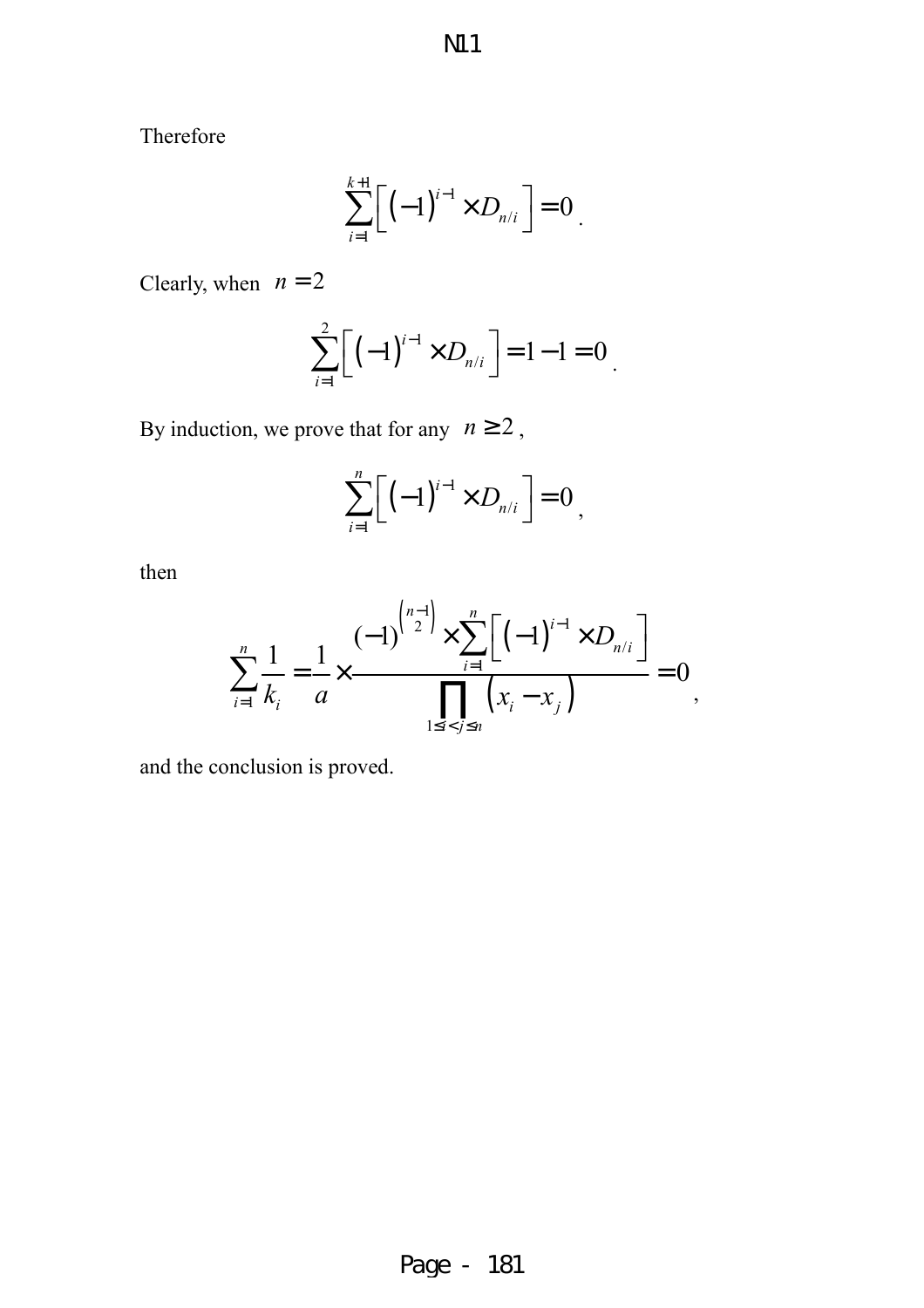N11

Therefore

$$
\sum_{i=1}^{k+1} \left[ \left( -1 \right)^{i-1} \times D_{n/i} \right] = 0
$$

Clearly, when  $n = 2$ 

$$
\sum_{i=1}^{2} \left[ \left( -1 \right)^{i-1} \times D_{n/i} \right] = 1 - 1 = 0
$$

By induction, we prove that for any  $n \ge 2$ ,

$$
\sum_{i=1}^n \left[ \left( -1 \right)^{i-1} \times D_{n/i} \right] = 0
$$

then

$$
\sum_{i=1}^{n} \frac{1}{k_i} = \frac{1}{a} \times \frac{(-1)^{\binom{n-1}{2}} \times \sum_{i=1}^{n} [(-1)^{i-1} \times D_{n/i}]}{\prod_{1 \le i < j \le n} (x_i - x_j)} = 0,
$$

and the conclusion is proved.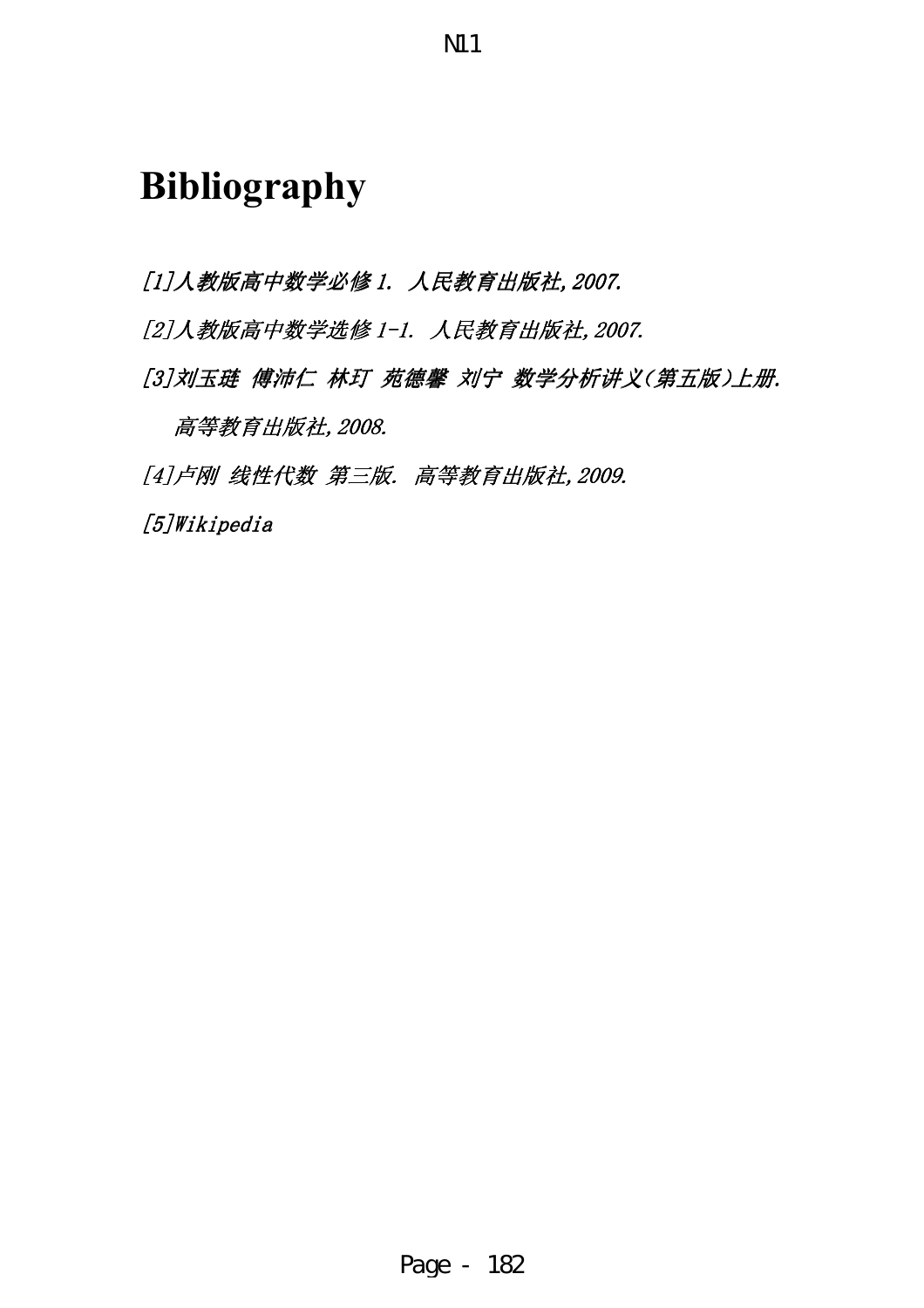# **Bibliography**

[1]人教版高中数学必修 1. 人民教育出版社, 2007.

[2]人教版高中数学选修 1-1. 人民教育出版社, 2007.

[3]刘玉琏 傅沛仁 林玎 苑德馨 刘宁 数学分析讲义(第五版)上册.

高等教育出版社,2008.

[4]卢刚 线性代数 第三版. 高等教育出版社, 2009.

[5]Wikipedia